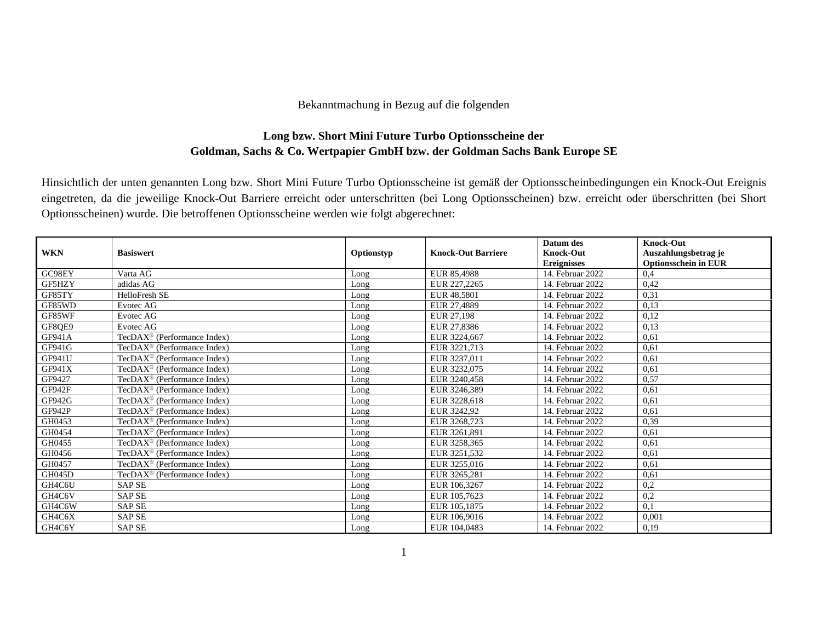## Bekanntmachung in Bezug auf die folgenden

## **Long bzw. Short Mini Future Turbo Optionsscheine der Goldman, Sachs & Co. Wertpapier GmbH bzw. der Goldman Sachs Bank Europe SE**

Hinsichtlich der unten genannten Long bzw. Short Mini Future Turbo Optionsscheine ist gemäß der Optionsscheinbedingungen ein Knock-Out Ereignis eingetreten, da die jeweilige Knock-Out Barriere erreicht oder unterschritten (bei Long Optionsscheinen) bzw. erreicht oder überschritten (bei Short Optionsscheinen) wurde. Die betroffenen Optionsscheine werden wie folgt abgerechnet:

| <b>WKN</b>    | <b>Basiswert</b>                            | Optionstyp | <b>Knock-Out Barriere</b> | Datum des<br><b>Knock-Out</b><br><b>Ereignisses</b> | <b>Knock-Out</b><br>Auszahlungsbetrag je<br><b>Optionsschein in EUR</b> |
|---------------|---------------------------------------------|------------|---------------------------|-----------------------------------------------------|-------------------------------------------------------------------------|
| GC98EY        | Varta AG                                    | Long       | EUR 85,4988               | 14. Februar 2022                                    | 0,4                                                                     |
| GF5HZY        | adidas AG                                   | Long       | EUR 227,2265              | 14. Februar 2022                                    | 0,42                                                                    |
| GF85TY        | HelloFresh SE                               | Long       | EUR 48,5801               | 14. Februar 2022                                    | 0.31                                                                    |
| GF85WD        | Evotec AG                                   | Long       | EUR 27,4889               | 14. Februar 2022                                    | 0,13                                                                    |
| GF85WF        | Evotec AG                                   | Long       | EUR 27,198                | 14. Februar 2022                                    | 0,12                                                                    |
| GF8QE9        | Evotec AG                                   | Long       | EUR 27,8386               | 14. Februar 2022                                    | 0.13                                                                    |
| GF941A        | $TecDAX^{\circledR}$ (Performance Index)    | Long       | EUR 3224,667              | 14. Februar 2022                                    | 0.61                                                                    |
| GF941G        | $TecDAX^{\circledR}$ (Performance Index)    | Long       | EUR 3221,713              | 14. Februar 2022                                    | 0,61                                                                    |
| <b>GF941U</b> | TecDAX <sup>®</sup> (Performance Index)     | Long       | EUR 3237,011              | 14. Februar 2022                                    | 0.61                                                                    |
| GF941X        | $TecDAX^{\circledcirc}$ (Performance Index) | Long       | EUR 3232,075              | 14. Februar 2022                                    | 0,61                                                                    |
| GF9427        | TecDA $X^{\circledR}$ (Performance Index)   | Long       | EUR 3240.458              | 14. Februar 2022                                    | 0,57                                                                    |
| GF942F        | TecDAX <sup>®</sup> (Performance Index)     | Long       | EUR 3246,389              | 14. Februar 2022                                    | 0.61                                                                    |
| GF942G        | TecDAX <sup>®</sup> (Performance Index)     | Long       | EUR 3228,618              | 14. Februar 2022                                    | 0,61                                                                    |
| <b>GF942P</b> | $TecDAX^{\circledR}$ (Performance Index)    | Long       | EUR 3242.92               | 14. Februar 2022                                    | 0,61                                                                    |
| GH0453        | TecDAX <sup>®</sup> (Performance Index)     | Long       | EUR 3268,723              | 14. Februar 2022                                    | 0,39                                                                    |
| GH0454        | TecDA $X^{\circledR}$ (Performance Index)   | Long       | EUR 3261,891              | 14. Februar 2022                                    | 0.61                                                                    |
| GH0455        | TecDAX <sup>®</sup> (Performance Index)     | Long       | EUR 3258,365              | 14. Februar 2022                                    | 0,61                                                                    |
| GH0456        | TecDA $X^{\circledR}$ (Performance Index)   | Long       | EUR 3251,532              | 14. Februar 2022                                    | 0.61                                                                    |
| GH0457        | TecDAX <sup>®</sup> (Performance Index)     | Long       | EUR 3255,016              | 14. Februar 2022                                    | 0,61                                                                    |
| GH045D        | $TecDAX^{\circledR}$ (Performance Index)    | Long       | EUR 3265.281              | 14. Februar 2022                                    | 0,61                                                                    |
| GH4C6U        | <b>SAP SE</b>                               | Long       | EUR 106,3267              | 14. Februar 2022                                    | 0,2                                                                     |
| GH4C6V        | <b>SAP SE</b>                               | Long       | EUR 105,7623              | 14. Februar 2022                                    | 0,2                                                                     |
| GH4C6W        | <b>SAP SE</b>                               | Long       | EUR 105,1875              | 14. Februar 2022                                    | 0,1                                                                     |
| GH4C6X        | <b>SAP SE</b>                               | Long       | EUR 106,9016              | 14. Februar 2022                                    | 0,001                                                                   |
| GH4C6Y        | <b>SAP SE</b>                               | Long       | EUR 104,0483              | 14. Februar 2022                                    | 0,19                                                                    |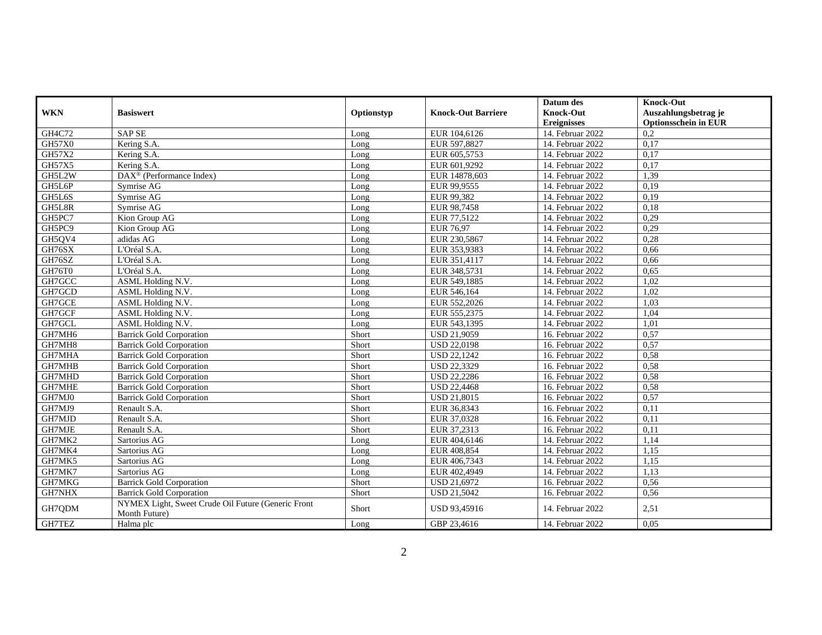|               |                                                                     |            |                           | Datum des          | <b>Knock-Out</b>            |
|---------------|---------------------------------------------------------------------|------------|---------------------------|--------------------|-----------------------------|
| <b>WKN</b>    | <b>Basiswert</b>                                                    | Optionstyp | <b>Knock-Out Barriere</b> | Knock-Out          | Auszahlungsbetrag je        |
|               |                                                                     |            |                           | <b>Ereignisses</b> | <b>Optionsschein in EUR</b> |
| GH4C72        | <b>SAP SE</b>                                                       | Long       | EUR 104,6126              | 14. Februar 2022   | 0.2                         |
| <b>GH57X0</b> | Kering S.A.                                                         | Long       | EUR 597,8827              | 14. Februar 2022   | 0,17                        |
| GH57X2        | Kering S.A.                                                         | Long       | EUR 605,5753              | 14. Februar 2022   | 0,17                        |
| <b>GH57X5</b> | Kering S.A.                                                         | Long       | EUR 601,9292              | 14. Februar 2022   | 0,17                        |
| GH5L2W        | $\text{DAX}^{\circledR}$ (Performance Index)                        | Long       | EUR 14878,603             | 14. Februar 2022   | 1,39                        |
| GH5L6P        | Symrise AG                                                          | Long       | EUR 99,9555               | 14. Februar 2022   | 0,19                        |
| GH5L6S        | Symrise AG                                                          | Long       | EUR 99,382                | 14. Februar 2022   | 0,19                        |
| GH5L8R        | Symrise AG                                                          | Long       | EUR 98,7458               | 14. Februar 2022   | 0,18                        |
| GH5PC7        | Kion Group AG                                                       | Long       | EUR 77,5122               | 14. Februar 2022   | 0,29                        |
| GH5PC9        | Kion Group AG                                                       | Long       | EUR 76,97                 | 14. Februar 2022   | 0,29                        |
| GH5QV4        | adidas AG                                                           | Long       | EUR 230,5867              | 14. Februar 2022   | 0,28                        |
| GH76SX        | L'Oréal S.A.                                                        | Long       | EUR 353,9383              | 14. Februar 2022   | 0,66                        |
| GH76SZ        | L'Oréal S.A.                                                        | Long       | EUR 351,4117              | 14. Februar 2022   | 0,66                        |
| GH76T0        | L'Oréal S.A.                                                        | Long       | EUR 348,5731              | 14. Februar 2022   | 0,65                        |
| GH7GCC        | ASML Holding N.V.                                                   | Long       | EUR 549,1885              | 14. Februar 2022   | 1,02                        |
| GH7GCD        | ASML Holding N.V.                                                   | Long       | EUR 546,164               | 14. Februar 2022   | 1,02                        |
| GH7GCE        | ASML Holding N.V.                                                   | Long       | EUR 552,2026              | 14. Februar 2022   | 1,03                        |
| GH7GCF        | ASML Holding N.V.                                                   | Long       | EUR 555,2375              | 14. Februar 2022   | 1,04                        |
| GH7GCL        | ASML Holding N.V.                                                   | Long       | EUR 543,1395              | 14. Februar 2022   | 1,01                        |
| GH7MH6        | <b>Barrick Gold Corporation</b>                                     | Short      | USD 21,9059               | 16. Februar 2022   | 0,57                        |
| GH7MH8        | <b>Barrick Gold Corporation</b>                                     | Short      | <b>USD 22,0198</b>        | 16. Februar 2022   | 0,57                        |
| GH7MHA        | <b>Barrick Gold Corporation</b>                                     | Short      | <b>USD 22,1242</b>        | 16. Februar 2022   | 0,58                        |
| GH7MHB        | <b>Barrick Gold Corporation</b>                                     | Short      | <b>USD 22,3329</b>        | 16. Februar 2022   | 0,58                        |
| GH7MHD        | <b>Barrick Gold Corporation</b>                                     | Short      | <b>USD 22,2286</b>        | 16. Februar 2022   | 0,58                        |
| GH7MHE        | <b>Barrick Gold Corporation</b>                                     | Short      | <b>USD 22,4468</b>        | 16. Februar 2022   | 0,58                        |
| GH7MJ0        | <b>Barrick Gold Corporation</b>                                     | Short      | <b>USD 21,8015</b>        | 16. Februar 2022   | 0,57                        |
| GH7MJ9        | Renault S.A.                                                        | Short      | EUR 36,8343               | 16. Februar 2022   | 0,11                        |
| GH7MJD        | Renault S.A.                                                        | Short      | EUR 37,0328               | 16. Februar 2022   | 0,11                        |
| GH7MJE        | Renault S.A.                                                        | Short      | EUR 37,2313               | 16. Februar 2022   | 0,11                        |
| GH7MK2        | Sartorius AG                                                        | Long       | EUR 404,6146              | 14. Februar 2022   | 1,14                        |
| GH7MK4        | Sartorius AG                                                        | Long       | EUR 408,854               | 14. Februar 2022   | 1,15                        |
| GH7MK5        | Sartorius AG                                                        | Long       | EUR 406,7343              | 14. Februar 2022   | 1,15                        |
| GH7MK7        | Sartorius AG                                                        | Long       | EUR 402,4949              | 14. Februar 2022   | 1,13                        |
| GH7MKG        | <b>Barrick Gold Corporation</b>                                     | Short      | <b>USD 21,6972</b>        | 16. Februar 2022   | 0,56                        |
| GH7NHX        | <b>Barrick Gold Corporation</b>                                     | Short      | <b>USD 21,5042</b>        | 16. Februar 2022   | 0,56                        |
| GH7QDM        | NYMEX Light, Sweet Crude Oil Future (Generic Front<br>Month Future) | Short      | USD 93,45916              | 14. Februar 2022   | 2,51                        |
| GH7TEZ        | Halma plc                                                           | Long       | GBP 23,4616               | 14. Februar 2022   | 0.05                        |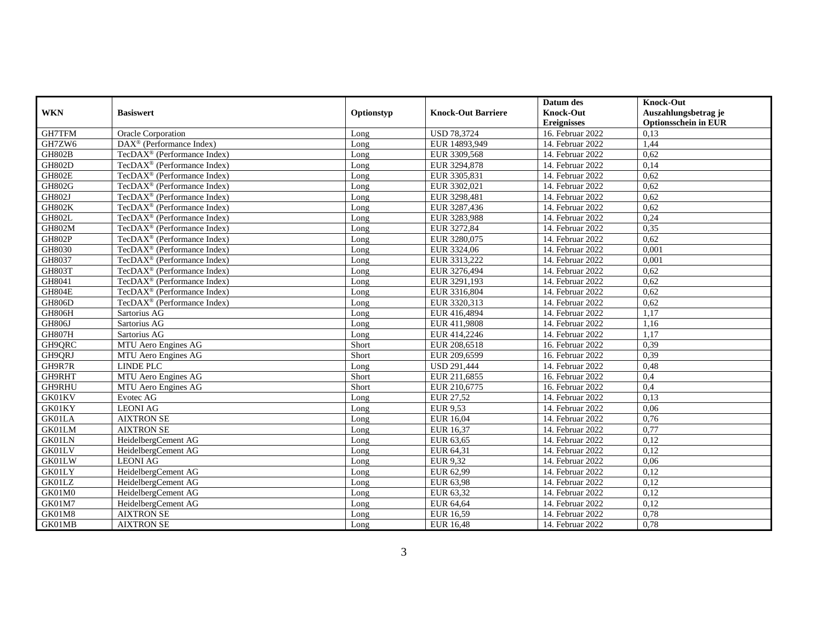|               |                                             |            |                           | Datum des          | <b>Knock-Out</b>            |
|---------------|---------------------------------------------|------------|---------------------------|--------------------|-----------------------------|
| <b>WKN</b>    | <b>Basiswert</b>                            | Optionstyp | <b>Knock-Out Barriere</b> | Knock-Out          | Auszahlungsbetrag je        |
|               |                                             |            |                           | <b>Ereignisses</b> | <b>Optionsschein in EUR</b> |
| GH7TFM        | <b>Oracle Corporation</b>                   | Long       | <b>USD 78,3724</b>        | 16. Februar 2022   | 0,13                        |
| GH7ZW6        | $DAX^{\circledR}$ (Performance Index)       | Long       | EUR 14893.949             | 14. Februar 2022   | 1,44                        |
| <b>GH802B</b> | TecDAX <sup>®</sup> (Performance Index)     | Long       | EUR 3309,568              | 14. Februar 2022   | 0,62                        |
| <b>GH802D</b> | TecDAX <sup>®</sup> (Performance Index)     | Long       | EUR 3294,878              | 14. Februar 2022   | 0,14                        |
| <b>GH802E</b> | TecDAX <sup>®</sup> (Performance Index)     | Long       | EUR 3305,831              | 14. Februar 2022   | 0,62                        |
| <b>GH802G</b> | TecDAX <sup>®</sup> (Performance Index)     | Long       | EUR 3302,021              | 14. Februar 2022   | 0,62                        |
| <b>GH802J</b> | $TecDAX^{\circledR}$ (Performance Index)    | Long       | EUR 3298,481              | 14. Februar 2022   | 0.62                        |
| <b>GH802K</b> | TecDA $X^{\circledR}$ (Performance Index)   | Long       | EUR 3287,436              | 14. Februar 2022   | 0.62                        |
| <b>GH802L</b> | TecDAX <sup>®</sup> (Performance Index)     | Long       | EUR 3283,988              | 14. Februar 2022   | 0,24                        |
| <b>GH802M</b> | TecDAX <sup>®</sup> (Performance Index)     | Long       | EUR 3272,84               | 14. Februar 2022   | 0,35                        |
| <b>GH802P</b> | $TecDAX^{\circledcirc}$ (Performance Index) | Long       | EUR 3280,075              | 14. Februar 2022   | 0,62                        |
| GH8030        | $TecDAX^{\circledR}$ (Performance Index)    | Long       | EUR 3324,06               | 14. Februar 2022   | 0.001                       |
| GH8037        | $TecDAX^{\circledR}$ (Performance Index)    | Long       | EUR 3313,222              | 14. Februar 2022   | 0.001                       |
| <b>GH803T</b> | TecDAX <sup>®</sup> (Performance Index)     | Long       | EUR 3276,494              | 14. Februar 2022   | 0,62                        |
| GH8041        | TecDAX <sup>®</sup> (Performance Index)     | Long       | EUR 3291,193              | 14. Februar 2022   | 0,62                        |
| GH804E        | TecDAX <sup>®</sup> (Performance Index)     | Long       | EUR 3316,804              | 14. Februar 2022   | 0,62                        |
| <b>GH806D</b> | TecDAX <sup>®</sup> (Performance Index)     | Long       | EUR 3320,313              | 14. Februar 2022   | 0,62                        |
| <b>GH806H</b> | Sartorius AG                                | Long       | EUR 416,4894              | 14. Februar 2022   | 1,17                        |
| <b>GH806J</b> | Sartorius AG                                | Long       | EUR 411,9808              | 14. Februar 2022   | 1,16                        |
| <b>GH807H</b> | Sartorius AG                                | Long       | EUR 414,2246              | 14. Februar 2022   | 1,17                        |
| GH9QRC        | MTU Aero Engines AG                         | Short      | EUR 208,6518              | 16. Februar 2022   | 0,39                        |
| GH9QRJ        | MTU Aero Engines AG                         | Short      | EUR 209,6599              | 16. Februar 2022   | 0,39                        |
| GH9R7R        | LINDE PLC                                   | Long       | <b>USD 291.444</b>        | 14. Februar 2022   | 0.48                        |
| GH9RHT        | MTU Aero Engines AG                         | Short      | EUR 211,6855              | 16. Februar 2022   | 0,4                         |
| GH9RHU        | MTU Aero Engines AG                         | Short      | EUR 210,6775              | 16. Februar 2022   | 0,4                         |
| GK01KV        | Evotec AG                                   | Long       | EUR 27,52                 | 14. Februar 2022   | 0,13                        |
| GK01KY        | <b>LEONI AG</b>                             | Long       | EUR 9,53                  | 14. Februar 2022   | 0,06                        |
| GK01LA        | <b>AIXTRON SE</b>                           | Long       | EUR 16,04                 | 14. Februar 2022   | 0,76                        |
| GK01LM        | <b>AIXTRON SE</b>                           | Long       | EUR 16,37                 | 14. Februar 2022   | 0,77                        |
| GK01LN        | HeidelbergCement AG                         | Long       | EUR 63,65                 | 14. Februar 2022   | 0,12                        |
| GK01LV        | HeidelbergCement AG                         | Long       | EUR 64,31                 | 14. Februar 2022   | 0,12                        |
| <b>GK01LW</b> | <b>LEONI AG</b>                             | Long       | EUR 9,32                  | 14. Februar 2022   | 0,06                        |
| GK01LY        | HeidelbergCement AG                         | Long       | EUR 62,99                 | 14. Februar 2022   | 0,12                        |
| GK01LZ        | HeidelbergCement AG                         | Long       | EUR 63,98                 | 14. Februar 2022   | 0,12                        |
| GK01M0        | HeidelbergCement AG                         | Long       | EUR 63,32                 | 14. Februar 2022   | 0,12                        |
| GK01M7        | HeidelbergCement AG                         | Long       | EUR 64,64                 | 14. Februar 2022   | 0,12                        |
| GK01M8        | <b>AIXTRON SE</b>                           | Long       | EUR 16,59                 | 14. Februar 2022   | 0,78                        |
| GK01MB        | <b>AIXTRON SE</b>                           | Long       | <b>EUR 16,48</b>          | 14. Februar 2022   | 0,78                        |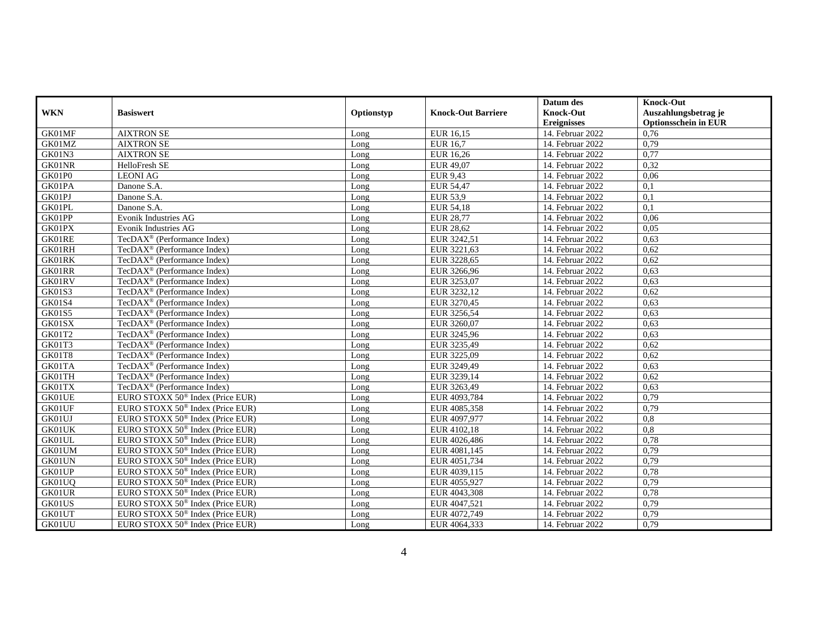|                    |                                              |            |                           | Datum des          | <b>Knock-Out</b>            |
|--------------------|----------------------------------------------|------------|---------------------------|--------------------|-----------------------------|
| <b>WKN</b>         | <b>Basiswert</b>                             | Optionstyp | <b>Knock-Out Barriere</b> | <b>Knock-Out</b>   | Auszahlungsbetrag je        |
|                    |                                              |            |                           | <b>Ereignisses</b> | <b>Optionsschein in EUR</b> |
| GK01MF             | <b>AIXTRON SE</b>                            | Long       | EUR 16,15                 | 14. Februar 2022   | 0,76                        |
| GK01MZ             | <b>AIXTRON SE</b>                            | Long       | <b>EUR</b> 16,7           | 14. Februar 2022   | 0,79                        |
| GK01N3             | <b>AIXTRON SE</b>                            | Long       | EUR 16,26                 | 14. Februar 2022   | 0,77                        |
| GK01NR             | HelloFresh SE                                | Long       | EUR 49,07                 | 14. Februar 2022   | 0,32                        |
| GK01P0             | <b>LEONI AG</b>                              | Long       | EUR 9,43                  | 14. Februar 2022   | 0,06                        |
| GK01PA             | Danone S.A.                                  | Long       | EUR 54,47                 | 14. Februar 2022   | 0,1                         |
| GK01PJ             | Danone S.A.                                  | Long       | EUR 53,9                  | 14. Februar 2022   | 0.1                         |
| GK01PL             | Danone S.A.                                  | Long       | EUR 54,18                 | 14. Februar 2022   | 0,1                         |
| GK01PP             | Evonik Industries AG                         | Long       | <b>EUR 28,77</b>          | 14. Februar 2022   | 0,06                        |
| GK01PX             | Evonik Industries AG                         | Long       | EUR 28,62                 | 14. Februar 2022   | 0.05                        |
| GK01RE             | TecDAX <sup>®</sup> (Performance Index)      | Long       | EUR 3242,51               | 14. Februar 2022   | 0,63                        |
| GK01RH             | TecDAX <sup>®</sup> (Performance Index)      | Long       | EUR 3221,63               | 14. Februar 2022   | 0,62                        |
| GK01RK             | TecDAX <sup>®</sup> (Performance Index)      | Long       | EUR 3228,65               | 14. Februar 2022   | 0,62                        |
| GK01RR             | $TecDAX^{\circledR}$ (Performance Index)     | Long       | EUR 3266,96               | 14. Februar 2022   | 0,63                        |
| GK01RV             | TecDAX <sup>®</sup> (Performance Index)      | Long       | EUR 3253,07               | 14. Februar 2022   | 0.63                        |
| <b>GK01S3</b>      | $TecDAX^{\circledcirc}$ (Performance Index)  | Long       | EUR 3232,12               | 14. Februar 2022   | 0.62                        |
| G <sub>K01S4</sub> | TecDAX <sup>®</sup> (Performance Index)      | Long       | EUR 3270,45               | 14. Februar 2022   | 0,63                        |
| <b>GK01S5</b>      | TecDA $X^{\circledR}$ (Performance Index)    | Long       | EUR 3256,54               | 14. Februar 2022   | 0.63                        |
| GK01SX             | TecDAX <sup>®</sup> (Performance Index)      | Long       | EUR 3260,07               | 14. Februar 2022   | 0,63                        |
| GK01T2             | TecDA $X^{\circledR}$ (Performance Index)    | Long       | EUR 3245,96               | 14. Februar 2022   | 0,63                        |
| GK01T3             | $TecDAX^{\circledR}$ (Performance Index)     | Long       | EUR 3235,49               | 14. Februar 2022   | 0,62                        |
| GK01T8             | $TecDAX^{\circledR}$ (Performance Index)     | Long       | EUR 3225,09               | 14. Februar 2022   | 0.62                        |
| GK01TA             | TecDA $X^{\circledR}$ (Performance Index)    | Long       | EUR 3249,49               | 14. Februar 2022   | 0,63                        |
| GK01TH             | TecDAX <sup>®</sup> (Performance Index)      | Long       | EUR 3239,14               | 14. Februar 2022   | 0,62                        |
| GK01TX             | TecDA $X^{\circledR}$ (Performance Index)    | Long       | EUR 3263,49               | 14. Februar 2022   | 0,63                        |
| GK01UE             | EURO STOXX 50 <sup>®</sup> Index (Price EUR) | Long       | EUR 4093,784              | 14. Februar 2022   | 0,79                        |
| GK01UF             | EURO STOXX $50^{\circ}$ Index (Price EUR)    | Long       | EUR 4085,358              | 14. Februar 2022   | 0,79                        |
| GK01UJ             | EURO STOXX $50^{\circ}$ Index (Price EUR)    | Long       | EUR 4097,977              | 14. Februar 2022   | 0,8                         |
| GK01UK             | EURO STOXX 50 <sup>®</sup> Index (Price EUR) | Long       | EUR 4102,18               | 14. Februar 2022   | 0,8                         |
| GK01UL             | EURO STOXX $50^{\circ}$ Index (Price EUR)    | Long       | EUR 4026,486              | 14. Februar 2022   | 0,78                        |
| GK01UM             | EURO STOXX 50 <sup>®</sup> Index (Price EUR) | Long       | EUR 4081,145              | 14. Februar 2022   | 0,79                        |
| GK01UN             | EURO STOXX 50 <sup>®</sup> Index (Price EUR) | Long       | EUR 4051,734              | 14. Februar 2022   | 0,79                        |
| GK01UP             | EURO STOXX 50 <sup>®</sup> Index (Price EUR) | Long       | EUR 4039,115              | 14. Februar 2022   | 0,78                        |
| GK01UQ             | EURO STOXX 50 <sup>®</sup> Index (Price EUR) | Long       | EUR 4055,927              | 14. Februar 2022   | 0.79                        |
| GK01UR             | EURO STOXX 50 <sup>®</sup> Index (Price EUR) | Long       | EUR 4043,308              | 14. Februar 2022   | 0,78                        |
| GK01US             | EURO STOXX 50 <sup>®</sup> Index (Price EUR) | Long       | EUR 4047,521              | 14. Februar 2022   | 0,79                        |
| GK01UT             | EURO STOXX $50^{\circ}$ Index (Price EUR)    | Long       | EUR 4072,749              | 14. Februar 2022   | 0,79                        |
| GK01UU             | EURO STOXX 50 <sup>®</sup> Index (Price EUR) | Long       | EUR 4064,333              | 14. Februar 2022   | 0,79                        |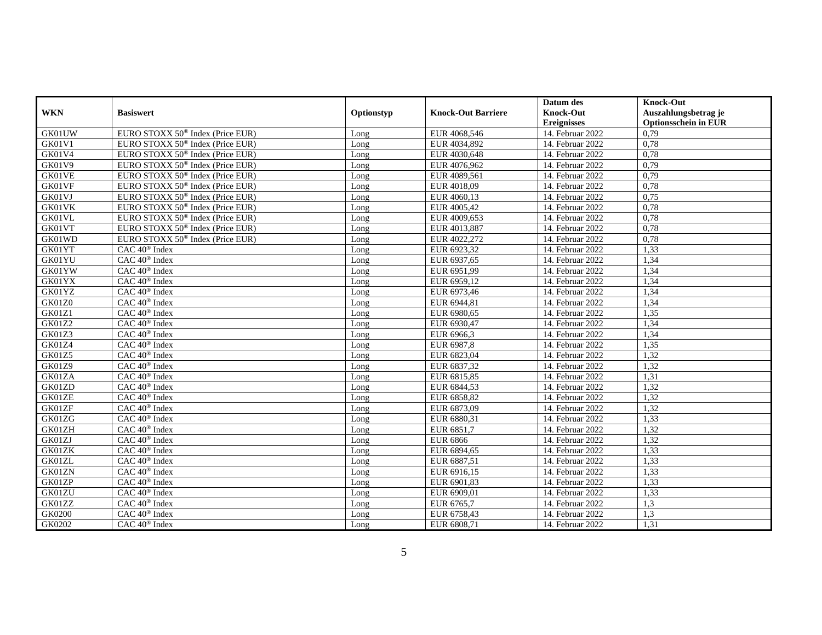|               |                                                 |            |                           | Datum des          | <b>Knock-Out</b>            |
|---------------|-------------------------------------------------|------------|---------------------------|--------------------|-----------------------------|
| <b>WKN</b>    | <b>Basiswert</b>                                | Optionstyp | <b>Knock-Out Barriere</b> | <b>Knock-Out</b>   | Auszahlungsbetrag je        |
|               |                                                 |            |                           | <b>Ereignisses</b> | <b>Optionsschein in EUR</b> |
| GK01UW        | EURO STOXX 50 <sup>®</sup> Index (Price EUR)    | Long       | EUR 4068,546              | 14. Februar 2022   | 0.79                        |
| GK01V1        | EURO STOXX $50^{\circ}$ Index (Price EUR)       | Long       | EUR 4034,892              | 14. Februar 2022   | 0.78                        |
| GK01V4        | EURO STOXX 50 <sup>®</sup> Index (Price EUR)    | Long       | EUR 4030,648              | 14. Februar 2022   | 0,78                        |
| <b>GK01V9</b> | EURO STOXX 50 <sup>®</sup> Index (Price EUR)    | Long       | EUR 4076,962              | 14. Februar 2022   | 0,79                        |
| GK01VE        | EURO STOXX 50 <sup>®</sup> Index (Price EUR)    | Long       | EUR 4089,561              | 14. Februar 2022   | 0,79                        |
| GK01VF        | EURO STOXX $50^{\circ}$ Index (Price EUR)       | Long       | EUR 4018,09               | 14. Februar 2022   | 0,78                        |
| GK01VJ        | EURO STOXX 50 <sup>®</sup> Index (Price EUR)    | Long       | EUR 4060,13               | 14. Februar 2022   | 0,75                        |
| GK01VK        | EURO STOXX 50 <sup>®</sup> Index (Price EUR)    | Long       | EUR 4005,42               | 14. Februar 2022   | 0,78                        |
| GK01VL        | EURO STOXX 50 <sup>®</sup> Index (Price EUR)    | Long       | EUR 4009,653              | 14. Februar 2022   | 0,78                        |
| GK01VT        | EURO STOXX 50 <sup>®</sup> Index (Price EUR)    | Long       | EUR 4013,887              | 14. Februar 2022   | 0,78                        |
| GK01WD        | EURO STOXX 50 <sup>®</sup> Index (Price EUR)    | Long       | EUR 4022,272              | 14. Februar 2022   | 0,78                        |
| GK01YT        | CAC 40 <sup>®</sup> Index                       | Long       | EUR 6923,32               | 14. Februar 2022   | 1,33                        |
| GK01YU        | CAC 40 <sup>®</sup> Index                       | Long       | EUR 6937,65               | 14. Februar 2022   | 1,34                        |
| GK01YW        | CAC 40 <sup>®</sup> Index                       | Long       | EUR 6951,99               | 14. Februar 2022   | 1,34                        |
| GK01YX        | CAC 40 <sup>®</sup> Index                       | Long       | EUR 6959,12               | 14. Februar 2022   | 1,34                        |
| GK01YZ        | CAC 40 <sup>®</sup> Index                       | Long       | EUR 6973,46               | 14. Februar 2022   | 1,34                        |
| GK01Z0        | $\overline{CAC 40^{\circledast} \text{ Index}}$ | Long       | EUR 6944,81               | 14. Februar 2022   | 1,34                        |
| <b>GK01Z1</b> | CAC 40 <sup>®</sup> Index                       | Long       | EUR 6980,65               | 14. Februar 2022   | 1,35                        |
| <b>GK01Z2</b> | CAC 40 <sup>®</sup> Index                       | Long       | EUR 6930,47               | 14. Februar 2022   | 1,34                        |
| GK01Z3        | CAC 40 <sup>®</sup> Index                       | Long       | EUR 6966,3                | 14. Februar 2022   | 1,34                        |
| GK01Z4        | CAC 40 <sup>®</sup> Index                       | Long       | EUR 6987,8                | 14. Februar 2022   | 1,35                        |
| GK01Z5        | CAC 40 <sup>®</sup> Index                       | Long       | EUR 6823,04               | 14. Februar 2022   | 1,32                        |
| <b>GK01Z9</b> | CAC 40 <sup>®</sup> Index                       | Long       | EUR 6837,32               | 14. Februar 2022   | 1,32                        |
| GK01ZA        | CAC 40 <sup>®</sup> Index                       | Long       | EUR 6815,85               | 14. Februar 2022   | 1,31                        |
| GK01ZD        | $CAC 40^{\circledast}$ Index                    | Long       | EUR 6844,53               | 14. Februar 2022   | 1,32                        |
| GK01ZE        | CAC 40 <sup>®</sup> Index                       | Long       | EUR 6858,82               | 14. Februar 2022   | 1,32                        |
| GK01ZF        | CAC 40 <sup>®</sup> Index                       | Long       | EUR 6873,09               | 14. Februar 2022   | 1,32                        |
| GK01ZG        | CAC 40 <sup>®</sup> Index                       | Long       | EUR 6880,31               | 14. Februar 2022   | 1,33                        |
| GK01ZH        | CAC 40 <sup>®</sup> Index                       | Long       | EUR 6851,7                | 14. Februar 2022   | 1,32                        |
| GK01ZJ        | $CAC 40$ <sup>®</sup> Index                     | Long       | <b>EUR 6866</b>           | 14. Februar 2022   | 1,32                        |
| GK01ZK        | CAC 40 <sup>®</sup> Index                       | Long       | EUR 6894,65               | 14. Februar 2022   | 1,33                        |
| GK01ZL        | CAC 40 <sup>®</sup> Index                       | Long       | EUR 6887,51               | 14. Februar 2022   | 1,33                        |
| GK01ZN        | CAC 40 <sup>®</sup> Index                       | Long       | EUR 6916,15               | 14. Februar 2022   | 1,33                        |
| GK01ZP        | CAC 40 <sup>®</sup> Index                       | Long       | EUR 6901,83               | 14. Februar 2022   | 1,33                        |
| GK01ZU        | $CAC 40$ <sup>®</sup> Index                     | Long       | EUR 6909,01               | 14. Februar 2022   | 1,33                        |
| GK01ZZ        | $CAC 40^{\circledast}$ Index                    | Long       | EUR 6765,7                | 14. Februar 2022   | 1,3                         |
| GK0200        | CAC 40 <sup>®</sup> Index                       | Long       | EUR 6758,43               | 14. Februar 2022   | 1,3                         |
| GK0202        | CAC 40 <sup>®</sup> Index                       | Long       | EUR 6808,71               | 14. Februar 2022   | 1,31                        |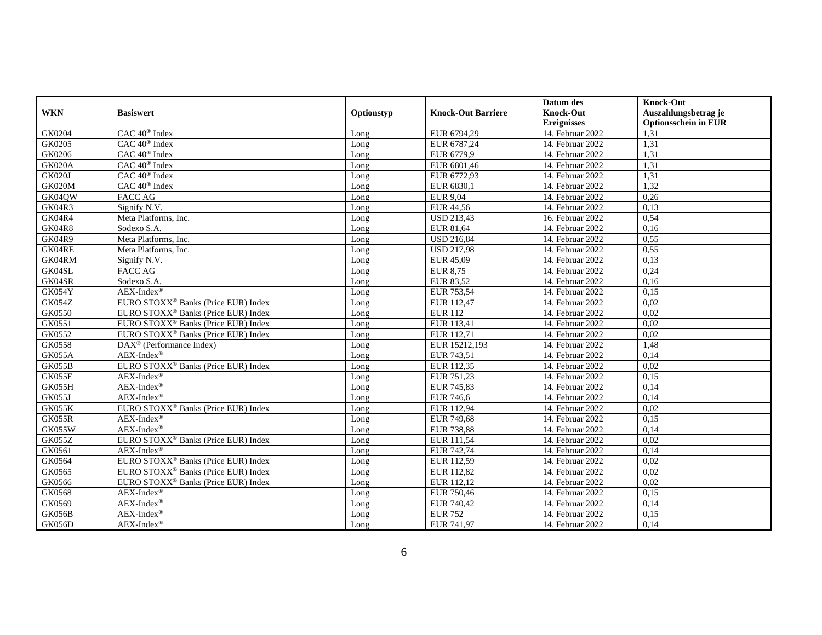|               |                                                 |            |                           | Datum des          | <b>Knock-Out</b>            |
|---------------|-------------------------------------------------|------------|---------------------------|--------------------|-----------------------------|
| <b>WKN</b>    | <b>Basiswert</b>                                | Optionstyp | <b>Knock-Out Barriere</b> | <b>Knock-Out</b>   | Auszahlungsbetrag je        |
|               |                                                 |            |                           | <b>Ereignisses</b> | <b>Optionsschein in EUR</b> |
| GK0204        | CAC 40 <sup>®</sup> Index                       | Long       | EUR 6794,29               | 14. Februar 2022   | 1,31                        |
| GK0205        | $CAC 40$ <sup>®</sup> Index                     | Long       | EUR 6787.24               | 14. Februar 2022   | 1,31                        |
| GK0206        | $CAC 40$ <sup>®</sup> Index                     | Long       | EUR 6779,9                | 14. Februar 2022   | 1,31                        |
| <b>GK020A</b> | CAC 40 <sup>®</sup> Index                       | Long       | EUR 6801,46               | 14. Februar 2022   | 1,31                        |
| <b>GK020J</b> | $CAC 40$ <sup>®</sup> Index                     | Long       | EUR 6772.93               | 14. Februar 2022   | 1.31                        |
| GK020M        | CAC 40 <sup>®</sup> Index                       | Long       | EUR 6830,1                | 14. Februar 2022   | 1,32                        |
| GK04QW        | <b>FACC AG</b>                                  | Long       | <b>EUR 9,04</b>           | 14. Februar 2022   | 0,26                        |
| GK04R3        | Signify N.V.                                    | Long       | EUR 44,56                 | 14. Februar 2022   | 0,13                        |
| GK04R4        | Meta Platforms, Inc.                            | Long       | <b>USD 213,43</b>         | 16. Februar 2022   | 0,54                        |
| <b>GK04R8</b> | Sodexo S.A.                                     | Long       | EUR 81,64                 | 14. Februar 2022   | 0,16                        |
| GK04R9        | Meta Platforms, Inc.                            | Long       | <b>USD 216,84</b>         | 14. Februar 2022   | 0,55                        |
| GK04RE        | Meta Platforms, Inc.                            | Long       | <b>USD 217,98</b>         | 14. Februar 2022   | 0,55                        |
| GK04RM        | Signify N.V.                                    | Long       | EUR 45,09                 | $14.$ Februar 2022 | 0,13                        |
| GK04SL        | <b>FACC AG</b>                                  | Long       | <b>EUR 8,75</b>           | 14. Februar 2022   | 0,24                        |
| GK04SR        | Sodexo S.A.                                     | Long       | <b>EUR 83,52</b>          | 14. Februar 2022   | 0,16                        |
| GK054Y        | $AEX-Index^{\circledR}$                         | Long       | EUR 753,54                | 14. Februar 2022   | 0,15                        |
| GK054Z        | EURO STOXX <sup>®</sup> Banks (Price EUR) Index | Long       | EUR 112,47                | 14. Februar 2022   | 0.02                        |
| GK0550        | EURO STOXX <sup>®</sup> Banks (Price EUR) Index | Long       | <b>EUR 112</b>            | 14. Februar 2022   | 0,02                        |
| GK0551        | EURO STOXX <sup>®</sup> Banks (Price EUR) Index | Long       | EUR 113,41                | 14. Februar 2022   | 0,02                        |
| GK0552        | EURO STOXX <sup>®</sup> Banks (Price EUR) Index | Long       | EUR 112,71                | 14. Februar 2022   | 0.02                        |
| GK0558        | DAX <sup>®</sup> (Performance Index)            | Long       | EUR 15212,193             | 14. Februar 2022   | 1,48                        |
| GK055A        | $AEX-Index^{\circledR}$                         | Long       | EUR 743,51                | 14. Februar 2022   | 0,14                        |
| GK055B        | EURO STOXX <sup>®</sup> Banks (Price EUR) Index | Long       | EUR 112,35                | 14. Februar 2022   | 0,02                        |
| GK055E        | $AEX-Index^{\circledR}$                         | Long       | EUR 751,23                | 14. Februar 2022   | 0.15                        |
| GK055H        | $AEX-Index^{\circledR}$                         | Long       | EUR 745,83                | 14. Februar 2022   | 0,14                        |
| GK055J        | $AEX-Index^{\circledR}$                         | Long       | EUR 746,6                 | 14. Februar 2022   | 0,14                        |
| GK055K        | EURO STOXX <sup>®</sup> Banks (Price EUR) Index | Long       | EUR 112.94                | 14. Februar 2022   | 0.02                        |
| <b>GK055R</b> | $AEX-Index^{\circledR}$                         | Long       | EUR 749,68                | 14. Februar 2022   | 0,15                        |
| <b>GK055W</b> | $AEX-Index^{\circledR}$                         | Long       | EUR 738,88                | 14. Februar 2022   | 0,14                        |
| GK055Z        | EURO STOXX <sup>®</sup> Banks (Price EUR) Index | Long       | EUR 111,54                | 14. Februar 2022   | 0,02                        |
| GK0561        | $AEX-Index^{\circledR}$                         | Long       | EUR 742,74                | 14. Februar 2022   | 0,14                        |
| GK0564        | EURO STOXX <sup>®</sup> Banks (Price EUR) Index | Long       | EUR 112,59                | 14. Februar 2022   | 0.02                        |
| GK0565        | EURO STOXX <sup>®</sup> Banks (Price EUR) Index | Long       | EUR 112,82                | 14. Februar 2022   | 0,02                        |
| GK0566        | EURO STOXX <sup>®</sup> Banks (Price EUR) Index | Long       | EUR 112,12                | 14. Februar 2022   | 0,02                        |
| GK0568        | $AEX-Index^{\circledR}$                         | Long       | EUR 750,46                | 14. Februar 2022   | 0.15                        |
| GK0569        | $AEX-Index^{\circledR}$                         | Long       | EUR 740,42                | 14. Februar 2022   | 0,14                        |
| GK056B        | $AEX-Index^{\circledR}$                         | Long       | <b>EUR 752</b>            | 14. Februar 2022   | 0,15                        |
| GK056D        | $AEX-Index^{\circledR}$                         | Long       | EUR 741,97                | 14. Februar 2022   | 0,14                        |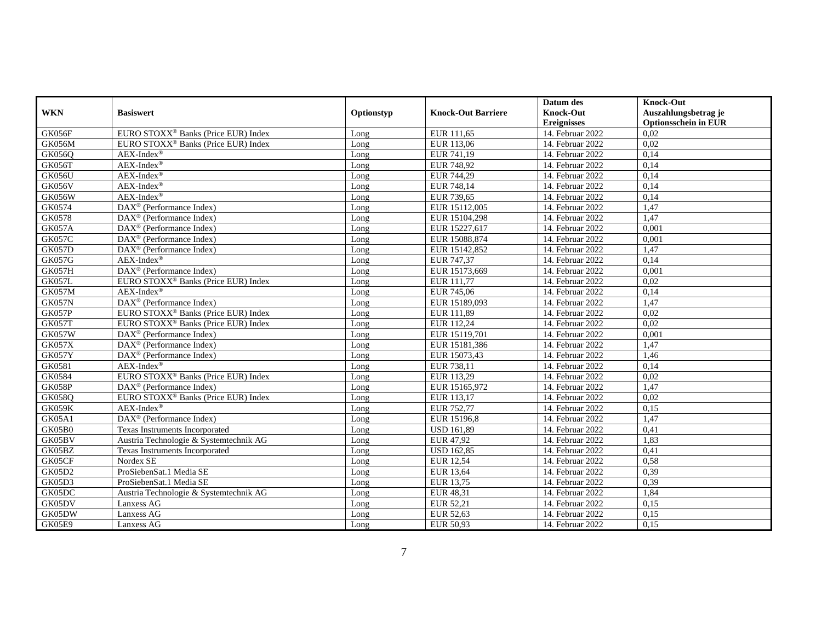|               |                                                       |            |                           | Datum des          | <b>Knock-Out</b>            |
|---------------|-------------------------------------------------------|------------|---------------------------|--------------------|-----------------------------|
| <b>WKN</b>    | <b>Basiswert</b>                                      | Optionstyp | <b>Knock-Out Barriere</b> | <b>Knock-Out</b>   | Auszahlungsbetrag je        |
|               |                                                       |            |                           | <b>Ereignisses</b> | <b>Optionsschein in EUR</b> |
| GK056F        | EURO STOXX <sup>®</sup> Banks (Price EUR) Index       | Long       | EUR 111,65                | 14. Februar 2022   | 0,02                        |
| GK056M        | EURO STOXX <sup>®</sup> Banks (Price EUR) Index       | Long       | EUR 113,06                | 14. Februar 2022   | 0,02                        |
| <b>GK056Q</b> | $AEX-Index^{\circledR}$                               | Long       | EUR 741,19                | 14. Februar 2022   | 0.14                        |
| GK056T        | $AEX-Index^{\circledR}$                               | Long       | EUR 748,92                | 14. Februar 2022   | 0,14                        |
| GK056U        | $AEX-Index^{\circledR}$                               | Long       | EUR 744,29                | 14. Februar 2022   | 0,14                        |
| GK056V        | $AEX-Index^{\circledR}$                               | Long       | EUR 748,14                | 14. Februar 2022   | 0,14                        |
| <b>GK056W</b> | $AEX-Index^{\circledR}$                               | Long       | EUR 739,65                | 14. Februar 2022   | 0,14                        |
| GK0574        | $\text{DAX}^{\otimes}$ (Performance Index)            | Long       | EUR 15112,005             | 14. Februar 2022   | 1,47                        |
| GK0578        | DAX <sup>®</sup> (Performance Index)                  | Long       | EUR 15104,298             | 14. Februar 2022   | 1,47                        |
| <b>GK057A</b> | $DAX^{\circledR}$ (Performance Index)                 | Long       | EUR 15227,617             | 14. Februar 2022   | 0.001                       |
| <b>GK057C</b> | $\overline{\text{DAX}^{\otimes}}$ (Performance Index) | Long       | EUR 15088,874             | 14. Februar 2022   | 0,001                       |
| <b>GK057D</b> | DAX <sup>®</sup> (Performance Index)                  | Long       | EUR 15142,852             | 14. Februar 2022   | 1,47                        |
| <b>GK057G</b> | $AEX-Index^{\circledR}$                               | Long       | EUR 747,37                | 14. Februar 2022   | 0,14                        |
| <b>GK057H</b> | $\text{DAX}^{\otimes}$ (Performance Index)            | Long       | EUR 15173,669             | 14. Februar 2022   | 0.001                       |
| <b>GK057L</b> | EURO STOXX <sup>®</sup> Banks (Price EUR) Index       | Long       | EUR 111,77                | 14. Februar 2022   | 0.02                        |
| <b>GK057M</b> | $AEX-Index^{\circledR}$                               | Long       | EUR 745.06                | 14. Februar 2022   | 0,14                        |
| GK057N        | DAX <sup>®</sup> (Performance Index)                  | Long       | EUR 15189,093             | 14. Februar 2022   | 1,47                        |
| GK057P        | EURO STOXX <sup>®</sup> Banks (Price EUR) Index       | Long       | EUR 111,89                | 14. Februar 2022   | 0.02                        |
| GK057T        | EURO STOXX <sup>®</sup> Banks (Price EUR) Index       | Long       | EUR 112,24                | 14. Februar 2022   | 0,02                        |
| <b>GK057W</b> | DAX <sup>®</sup> (Performance Index)                  | Long       | EUR 15119,701             | 14. Februar 2022   | 0,001                       |
| <b>GK057X</b> | $DAX^{\circledR}$ (Performance Index)                 | Long       | EUR 15181,386             | 14. Februar 2022   | 1,47                        |
| <b>GK057Y</b> | $\text{DAX}^{\circledR}$ (Performance Index)          | Long       | EUR 15073.43              | 14. Februar 2022   | 1,46                        |
| GK0581        | $AEX-Index^{\circledR}$                               | Long       | EUR 738,11                | 14. Februar 2022   | 0,14                        |
| GK0584        | EURO STOXX <sup>®</sup> Banks (Price EUR) Index       | Long       | EUR 113,29                | 14. Februar 2022   | 0,02                        |
| GK058P        | $\text{DAX}^{\otimes}$ (Performance Index)            | Long       | EUR 15165,972             | 14. Februar 2022   | 1,47                        |
| <b>GK058Q</b> | EURO STOXX <sup>®</sup> Banks (Price EUR) Index       | Long       | EUR 113,17                | 14. Februar 2022   | 0.02                        |
| GK059K        | $AEX-Index^{\circledR}$                               | Long       | EUR 752.77                | 14. Februar 2022   | 0,15                        |
| GK05A1        | DAX <sup>®</sup> (Performance Index)                  | Long       | EUR 15196,8               | 14. Februar 2022   | 1,47                        |
| GK05B0        | Texas Instruments Incorporated                        | Long       | <b>USD 161,89</b>         | 14. Februar 2022   | 0,41                        |
| GK05BV        | Austria Technologie & Systemtechnik AG                | Long       | EUR 47,92                 | 14. Februar 2022   | 1,83                        |
| GK05BZ        | Texas Instruments Incorporated                        | Long       | <b>USD 162,85</b>         | 14. Februar 2022   | 0,41                        |
| GK05CF        | Nordex SE                                             | Long       | <b>EUR 12,54</b>          | 14. Februar 2022   | 0,58                        |
| <b>GK05D2</b> | ProSiebenSat.1 Media SE                               | Long       | EUR 13,64                 | 14. Februar 2022   | 0,39                        |
| <b>GK05D3</b> | ProSiebenSat.1 Media SE                               | Long       | EUR 13.75                 | 14. Februar 2022   | 0.39                        |
| GK05DC        | Austria Technologie & Systemtechnik AG                | Long       | EUR 48,31                 | 14. Februar 2022   | 1,84                        |
| GK05DV        | Lanxess AG                                            | Long       | EUR 52,21                 | 14. Februar 2022   | 0,15                        |
| GK05DW        | Lanxess AG                                            | Long       | EUR 52,63                 | 14. Februar 2022   | 0,15                        |
| GK05E9        | Lanxess AG                                            | Long       | EUR 50,93                 | 14. Februar 2022   | 0,15                        |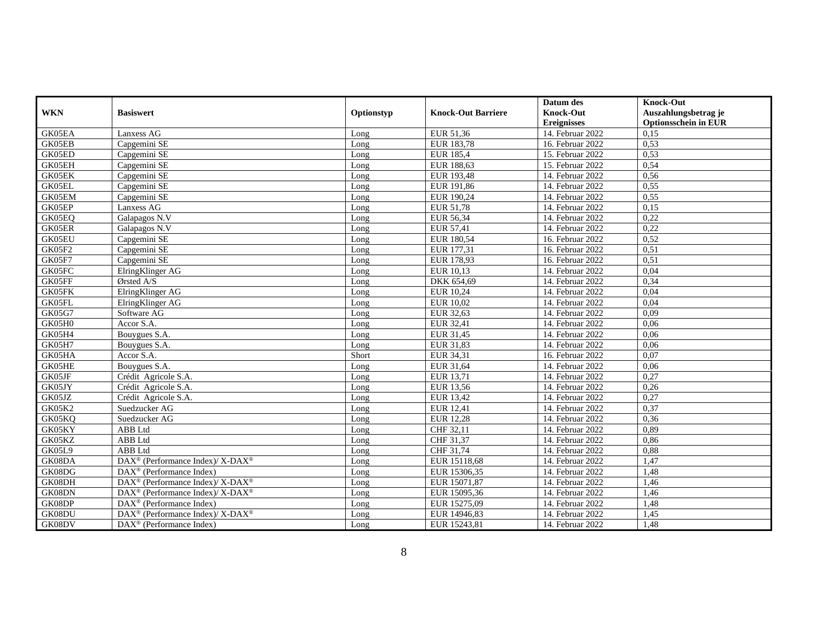|               |                                                              |            |                           | Datum des          | <b>Knock-Out</b>            |
|---------------|--------------------------------------------------------------|------------|---------------------------|--------------------|-----------------------------|
| <b>WKN</b>    | <b>Basiswert</b>                                             | Optionstyp | <b>Knock-Out Barriere</b> | <b>Knock-Out</b>   | Auszahlungsbetrag je        |
|               |                                                              |            |                           | <b>Ereignisses</b> | <b>Optionsschein in EUR</b> |
| GK05EA        | Lanxess AG                                                   | Long       | EUR 51,36                 | 14. Februar 2022   | 0,15                        |
| GK05EB        | Capgemini SE                                                 | Long       | EUR 183,78                | 16. Februar 2022   | 0,53                        |
| GK05ED        | Capgemini SE                                                 | Long       | <b>EUR 185,4</b>          | 15. Februar 2022   | 0,53                        |
| GK05EH        | Capgemini SE                                                 | Long       | EUR 188,63                | 15. Februar 2022   | 0,54                        |
| GK05EK        | Capgemini SE                                                 | Long       | EUR 193,48                | 14. Februar 2022   | 0,56                        |
| GK05EL        | Capgemini SE                                                 | Long       | EUR 191,86                | 14. Februar 2022   | 0,55                        |
| GK05EM        | Capgemini SE                                                 | Long       | EUR 190,24                | 14. Februar 2022   | 0,55                        |
| GK05EP        | Lanxess AG                                                   | Long       | EUR 51,78                 | 14. Februar 2022   | 0.15                        |
| GK05EQ        | Galapagos N.V                                                | Long       | EUR 56,34                 | 14. Februar 2022   | 0,22                        |
| GK05ER        | Galapagos N.V                                                | Long       | EUR 57,41                 | 14. Februar 2022   | 0,22                        |
| GK05EU        | Capgemini SE                                                 | Long       | EUR 180,54                | 16. Februar 2022   | 0,52                        |
| GK05F2        | Capgemini SE                                                 | Long       | EUR 177,31                | 16. Februar 2022   | 0,51                        |
| GK05F7        | Capgemini SE                                                 | Long       | EUR 178,93                | 16. Februar 2022   | 0,51                        |
| GK05FC        | ElringKlinger AG                                             | Long       | EUR 10,13                 | 14. Februar 2022   | 0,04                        |
| GK05FF        | Ørsted A/S                                                   | Long       | DKK 654,69                | 14. Februar 2022   | 0.34                        |
| GK05FK        | ElringKlinger AG                                             | Long       | EUR 10,24                 | 14. Februar 2022   | 0,04                        |
| GK05FL        | ElringKlinger AG                                             | Long       | <b>EUR 10,02</b>          | 14. Februar 2022   | 0,04                        |
| <b>GK05G7</b> | Software AG                                                  | Long       | EUR 32,63                 | 14. Februar 2022   | 0,09                        |
| GK05H0        | Accor S.A.                                                   | Long       | EUR 32,41                 | 14. Februar 2022   | 0,06                        |
| GK05H4        | Bouygues S.A.                                                | Long       | EUR 31,45                 | 14. Februar 2022   | 0,06                        |
| <b>GK05H7</b> | Bouygues S.A.                                                | Long       | EUR 31,83                 | 14. Februar 2022   | 0,06                        |
| GK05HA        | Accor S.A.                                                   | Short      | EUR 34,31                 | 16. Februar 2022   | 0,07                        |
| GK05HE        | Bouygues S.A.                                                | Long       | EUR 31,64                 | 14. Februar 2022   | 0,06                        |
| GK05JF        | Crédit Agricole S.A.                                         | Long       | EUR 13,71                 | 14. Februar 2022   | 0,27                        |
| GK05JY        | Crédit Agricole S.A.                                         | Long       | EUR 13,56                 | 14. Februar 2022   | 0,26                        |
| GK05JZ        | Crédit Agricole S.A.                                         | Long       | EUR 13,42                 | 14. Februar 2022   | 0,27                        |
| GK05K2        | Suedzucker AG                                                | Long       | EUR 12,41                 | 14. Februar 2022   | 0,37                        |
| GK05KQ        | Suedzucker AG                                                | Long       | <b>EUR 12,28</b>          | 14. Februar 2022   | 0,36                        |
| GK05KY        | ABB Ltd                                                      | Long       | CHF 32,11                 | 14. Februar 2022   | 0,89                        |
| GK05KZ        | ABB Ltd                                                      | Long       | CHF 31,37                 | 14. Februar 2022   | 0,86                        |
| GK05L9        | <b>ABB</b> Ltd                                               | Long       | CHF 31,74                 | 14. Februar 2022   | 0,88                        |
| GK08DA        | DAX <sup>®</sup> (Performance Index)/ X-DAX <sup>®</sup>     | Long       | EUR 15118,68              | 14. Februar 2022   | 1,47                        |
| GK08DG        | $\text{DAX}^{\textcircled{p}}$ (Performance Index)           | Long       | EUR 15306,35              | 14. Februar 2022   | 1,48                        |
| GK08DH        | $DAX^{\circledcirc}$ (Performance Index)/ X-DAX <sup>®</sup> | Long       | EUR 15071,87              | 14. Februar 2022   | 1,46                        |
| GK08DN        | DAX <sup>®</sup> (Performance Index)/ X-DAX <sup>®</sup>     | Long       | EUR 15095,36              | 14. Februar 2022   | 1,46                        |
| GK08DP        | $\text{DAX}^{\circledR}$ (Performance Index)                 | Long       | EUR 15275,09              | 14. Februar 2022   | 1,48                        |
| GK08DU        | DAX <sup>®</sup> (Performance Index)/ X-DAX <sup>®</sup>     | Long       | EUR 14946,83              | 14. Februar 2022   | 1,45                        |
| GK08DV        | $\text{DAX}^{\circledR}$ (Performance Index)                 | Long       | EUR 15243,81              | 14. Februar 2022   | 1,48                        |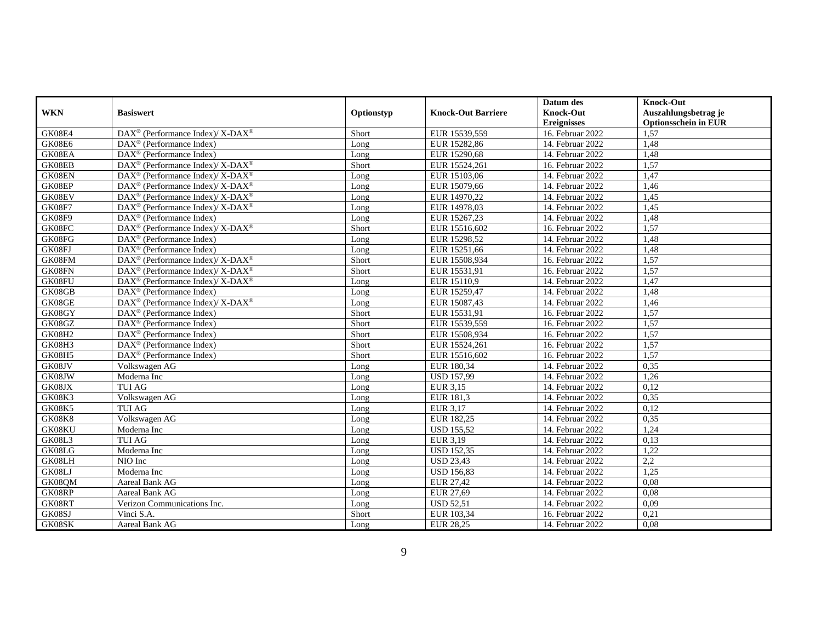|               |                                                           |            |                           | Datum des          | <b>Knock-Out</b>            |
|---------------|-----------------------------------------------------------|------------|---------------------------|--------------------|-----------------------------|
| <b>WKN</b>    | <b>Basiswert</b>                                          | Optionstyp | <b>Knock-Out Barriere</b> | Knock-Out          | Auszahlungsbetrag je        |
|               |                                                           |            |                           | <b>Ereignisses</b> | <b>Optionsschein in EUR</b> |
| GK08E4        | DAX <sup>®</sup> (Performance Index)/ X-DAX <sup>®</sup>  | Short      | EUR 15539,559             | 16. Februar 2022   | 1,57                        |
| GK08E6        | $DAX^{\circledR}$ (Performance Index)                     | Long       | EUR 15282,86              | 14. Februar 2022   | 1,48                        |
| GK08EA        | $DAX^{\circledR}$ (Performance Index)                     | Long       | EUR 15290,68              | 14. Februar 2022   | 1,48                        |
| GK08EB        | DAX <sup>®</sup> (Performance Index)/ X-DAX <sup>®</sup>  | Short      | EUR 15524,261             | 16. Februar 2022   | 1,57                        |
| GK08EN        | $DAX^{\circledR}$ (Performance Index)/ X-DAX <sup>®</sup> | Long       | EUR 15103,06              | 14. Februar 2022   | 1,47                        |
| GK08EP        | DAX <sup>®</sup> (Performance Index)/ X-DAX <sup>®</sup>  | Long       | EUR 15079,66              | 14. Februar 2022   | 1,46                        |
| GK08EV        | DAX <sup>®</sup> (Performance Index)/ X-DAX <sup>®</sup>  | Long       | EUR 14970,22              | 14. Februar 2022   | 1,45                        |
| GK08F7        | $DAX^{\circledR}$ (Performance Index)/ X-DAX <sup>®</sup> | Long       | EUR 14978,03              | 14. Februar 2022   | 1,45                        |
| GK08F9        | DAX <sup>®</sup> (Performance Index)                      | Long       | EUR 15267,23              | 14. Februar 2022   | 1,48                        |
| GK08FC        | $DAX^{\circledR}$ (Performance Index)/X-DAX <sup>®</sup>  | Short      | EUR 15516,602             | 16. Februar 2022   | 1.57                        |
| GK08FG        | $\text{DAX}^{\circledR}$ (Performance Index)              | Long       | EUR 15298,52              | 14. Februar 2022   | 1,48                        |
| GK08FJ        | DAX <sup>®</sup> (Performance Index)                      | Long       | EUR 15251,66              | 14. Februar 2022   | 1,48                        |
| GK08FM        | DAX <sup>®</sup> (Performance Index)/ X-DAX <sup>®</sup>  | Short      | EUR 15508,934             | 16. Februar 2022   | 1,57                        |
| GK08FN        | $DAX^{\circledR}$ (Performance Index)/X-DAX <sup>®</sup>  | Short      | EUR 15531,91              | 16. Februar 2022   | 1,57                        |
| GK08FU        | $DAX^{\circledR}$ (Performance Index)/X-DAX <sup>®</sup>  | Long       | EUR 15110,9               | 14. Februar 2022   | 1.47                        |
| GK08GB        | $\text{DAX}^{\otimes}$ (Performance Index)                | Long       | EUR 15259.47              | 14. Februar 2022   | 1,48                        |
| GK08GE        | DAX <sup>®</sup> (Performance Index)/ X-DAX <sup>®</sup>  | Long       | EUR 15087,43              | 14. Februar 2022   | 1,46                        |
| GK08GY        | $DAX^{\circledR}$ (Performance Index)                     | Short      | EUR 15531,91              | 16. Februar 2022   | 1,57                        |
| GK08GZ        | DAX <sup>®</sup> (Performance Index)                      | Short      | EUR 15539,559             | 16. Februar 2022   | 1,57                        |
| <b>GK08H2</b> | DAX <sup>®</sup> (Performance Index)                      | Short      | EUR 15508,934             | 16. Februar 2022   | 1,57                        |
| GK08H3        | $DAX^{\circledR}$ (Performance Index)                     | Short      | EUR 15524,261             | 16. Februar 2022   | 1,57                        |
| <b>GK08H5</b> | $DAX^{\circledR}$ (Performance Index)                     | Short      | EUR 15516.602             | 16. Februar 2022   | 1,57                        |
| GK08JV        | Volkswagen AG                                             | Long       | EUR 180,34                | 14. Februar 2022   | 0,35                        |
| GK08JW        | Moderna Inc                                               | Long       | <b>USD 157,99</b>         | 14. Februar 2022   | 1,26                        |
| GK08JX        | <b>TUI AG</b>                                             | Long       | EUR 3,15                  | 14. Februar 2022   | 0,12                        |
| <b>GK08K3</b> | Volkswagen AG                                             | Long       | EUR 181,3                 | 14. Februar 2022   | 0,35                        |
| GK08K5        | <b>TUI AG</b>                                             | Long       | EUR 3,17                  | 14. Februar 2022   | 0,12                        |
| <b>GK08K8</b> | Volkswagen AG                                             | Long       | EUR 182,25                | 14. Februar 2022   | 0,35                        |
| GK08KU        | Moderna Inc                                               | Long       | <b>USD 155,52</b>         | 14. Februar 2022   | 1,24                        |
| GK08L3        | <b>TUI AG</b>                                             | Long       | EUR 3,19                  | 14. Februar 2022   | 0,13                        |
| GK08LG        | Moderna Inc                                               | Long       | <b>USD 152,35</b>         | 14. Februar 2022   | 1,22                        |
| GK08LH        | NIO Inc                                                   | Long       | <b>USD 23,43</b>          | 14. Februar 2022   | 2,2                         |
| GK08LJ        | Moderna Inc                                               | Long       | <b>USD</b> 156,83         | 14. Februar 2022   | 1,25                        |
| GK08QM        | Aareal Bank AG                                            | Long       | EUR 27.42                 | 14. Februar 2022   | 0.08                        |
| GK08RP        | Aareal Bank AG                                            | Long       | EUR 27,69                 | 14. Februar 2022   | 0,08                        |
| GK08RT        | Verizon Communications Inc.                               | Long       | <b>USD 52,51</b>          | 14. Februar 2022   | 0,09                        |
| GK08SJ        | Vinci S.A.                                                | Short      | EUR 103,34                | 16. Februar 2022   | 0,21                        |
| GK08SK        | Aareal Bank AG                                            | Long       | EUR 28,25                 | 14. Februar 2022   | 0,08                        |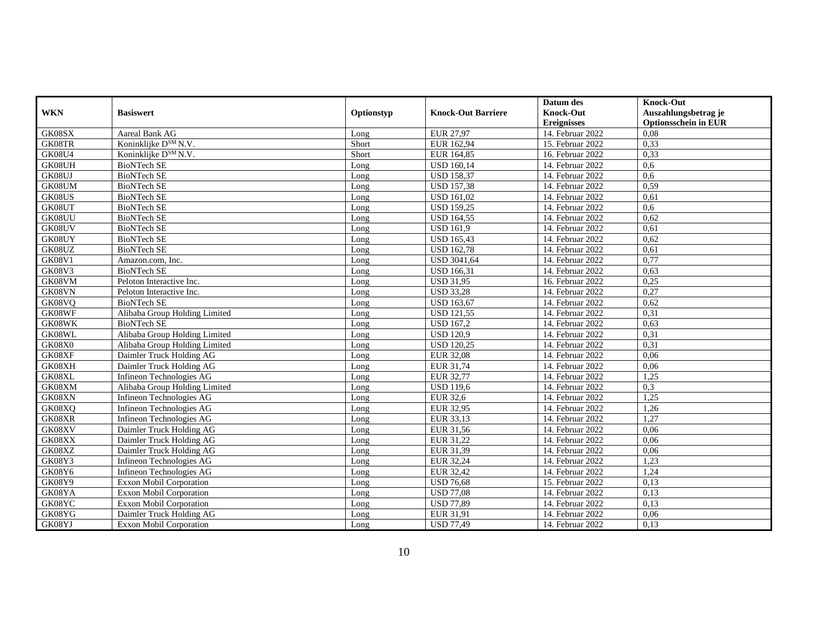|                     |                                  |            |                           | Datum des          | <b>Knock-Out</b>            |
|---------------------|----------------------------------|------------|---------------------------|--------------------|-----------------------------|
| <b>WKN</b>          | <b>Basiswert</b>                 | Optionstyp | <b>Knock-Out Barriere</b> | <b>Knock-Out</b>   | Auszahlungsbetrag je        |
|                     |                                  |            |                           | <b>Ereignisses</b> | <b>Optionsschein in EUR</b> |
| GK08SX              | Aareal Bank AG                   | Long       | <b>EUR 27,97</b>          | 14. Februar 2022   | 0,08                        |
| GK08TR              | Koninklijke D <sup>SM</sup> N.V. | Short      | EUR 162.94                | 15. Februar 2022   | 0,33                        |
| <b>GK08U4</b>       | Koninklijke D <sup>SM</sup> N.V. | Short      | EUR 164,85                | 16. Februar 2022   | 0,33                        |
| GK08UH              | <b>BioNTech SE</b>               | Long       | <b>USD 160,14</b>         | 14. Februar 2022   | 0.6                         |
| GK08UJ              | <b>BioNTech SE</b>               | Long       | <b>USD 158,37</b>         | 14. Februar 2022   | 0,6                         |
| GK08UM              | <b>BioNTech SE</b>               | Long       | <b>USD 157,38</b>         | 14. Februar 2022   | 0,59                        |
| GK08US              | <b>BioNTech SE</b>               | Long       | <b>USD 161,02</b>         | 14. Februar 2022   | 0.61                        |
| GK08UT              | <b>BioNTech SE</b>               | Long       | <b>USD 159,25</b>         | 14. Februar 2022   | 0.6                         |
| GK08UU              | <b>BioNTech SE</b>               | Long       | <b>USD 164,55</b>         | 14. Februar 2022   | 0.62                        |
| GK08UV              | <b>BioNTech SE</b>               | Long       | <b>USD 161,9</b>          | 14. Februar 2022   | 0,61                        |
| GK08UY              | <b>BioNTech SE</b>               | Long       | <b>USD 165,43</b>         | 14. Februar 2022   | 0,62                        |
| GK08UZ              | <b>BioNTech SE</b>               | Long       | <b>USD 162,78</b>         | 14. Februar 2022   | 0,61                        |
| <b>GK08V1</b>       | Amazon.com, Inc.                 | Long       | <b>USD 3041,64</b>        | 14. Februar 2022   | 0,77                        |
| <b>GK08V3</b>       | <b>BioNTech SE</b>               | Long       | <b>USD</b> 166,31         | 14. Februar 2022   | 0,63                        |
| GK08VM              | Peloton Interactive Inc.         | Long       | <b>USD 31,95</b>          | 16. Februar 2022   | 0,25                        |
| GK08VN              | Peloton Interactive Inc.         | Long       | <b>USD 33,28</b>          | 14. Februar 2022   | 0,27                        |
| GK08VQ              | <b>BioNTech SE</b>               | Long       | <b>USD 163,67</b>         | 14. Februar 2022   | 0,62                        |
| GK08WF              | Alibaba Group Holding Limited    | Long       | <b>USD 121,55</b>         | 14. Februar 2022   | 0,31                        |
| $GK08\overline{WK}$ | <b>BioNTech SE</b>               | Long       | <b>USD 167,2</b>          | 14. Februar 2022   | 0,63                        |
| GK08WL              | Alibaba Group Holding Limited    | Long       | <b>USD 120,9</b>          | 14. Februar 2022   | 0,31                        |
| GK08X0              | Alibaba Group Holding Limited    | Long       | <b>USD 120,25</b>         | 14. Februar 2022   | 0,31                        |
| GK08XF              | Daimler Truck Holding AG         | Long       | <b>EUR 32,08</b>          | 14. Februar 2022   | 0,06                        |
| GK08XH              | Daimler Truck Holding AG         | Long       | EUR 31.74                 | 14. Februar 2022   | 0.06                        |
| GK08XL              | Infineon Technologies AG         | Long       | EUR 32,77                 | 14. Februar 2022   | 1,25                        |
| GK08XM              | Alibaba Group Holding Limited    | Long       | <b>USD</b> 119,6          | 14. Februar 2022   | 0,3                         |
| GK08XN              | Infineon Technologies AG         | Long       | EUR 32,6                  | 14. Februar 2022   | 1,25                        |
| GK08XQ              | Infineon Technologies AG         | Long       | EUR 32,95                 | 14. Februar 2022   | 1,26                        |
| GK08XR              | Infineon Technologies AG         | Long       | EUR 33,13                 | 14. Februar 2022   | 1,27                        |
| GK08XV              | Daimler Truck Holding AG         | Long       | EUR 31,56                 | 14. Februar 2022   | 0.06                        |
| GK08XX              | Daimler Truck Holding AG         | Long       | EUR 31,22                 | 14. Februar 2022   | 0,06                        |
| GK08XZ              | Daimler Truck Holding AG         | Long       | EUR 31,39                 | 14. Februar 2022   | 0,06                        |
| GK08Y3              | Infineon Technologies AG         | Long       | EUR 32,24                 | 14. Februar 2022   | 1,23                        |
| <b>GK08Y6</b>       | Infineon Technologies AG         | Long       | EUR 32,42                 | 14. Februar 2022   | 1,24                        |
| GK08Y9              | <b>Exxon Mobil Corporation</b>   | Long       | <b>USD 76,68</b>          | 15. Februar 2022   | 0.13                        |
| GK08YA              | Exxon Mobil Corporation          | Long       | <b>USD 77,08</b>          | 14. Februar 2022   | 0,13                        |
| GK08YC              | Exxon Mobil Corporation          | Long       | <b>USD 77,89</b>          | 14. Februar 2022   | 0,13                        |
| GK08YG              | Daimler Truck Holding AG         | Long       | EUR 31,91                 | 14. Februar 2022   | 0,06                        |
| GK08YJ              | <b>Exxon Mobil Corporation</b>   | Long       | <b>USD 77,49</b>          | 14. Februar 2022   | 0,13                        |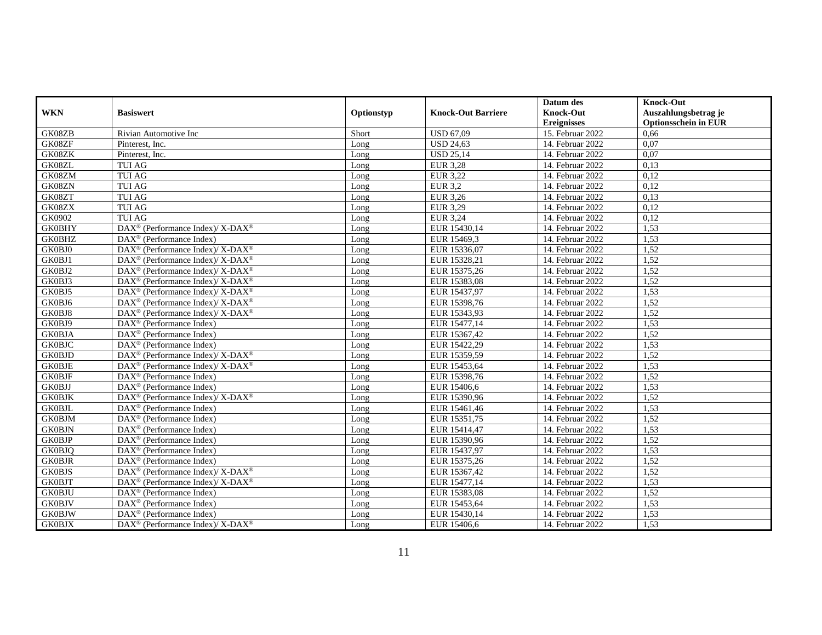|               |                                                                                     |            |                           | Datum des          | <b>Knock-Out</b>            |
|---------------|-------------------------------------------------------------------------------------|------------|---------------------------|--------------------|-----------------------------|
| <b>WKN</b>    | <b>Basiswert</b>                                                                    | Optionstyp | <b>Knock-Out Barriere</b> | <b>Knock-Out</b>   | Auszahlungsbetrag je        |
|               |                                                                                     |            |                           | <b>Ereignisses</b> | <b>Optionsschein in EUR</b> |
| GK08ZB        | Rivian Automotive Inc                                                               | Short      | <b>USD 67,09</b>          | 15. Februar 2022   | 0,66                        |
| GK08ZF        | Pinterest, Inc.                                                                     | Long       | <b>USD 24.63</b>          | 14. Februar 2022   | 0.07                        |
| GK08ZK        | Pinterest, Inc.                                                                     | Long       | <b>USD 25,14</b>          | 14. Februar 2022   | 0,07                        |
| GK08ZL        | TUI AG                                                                              | Long       | <b>EUR 3,28</b>           | 14. Februar 2022   | 0,13                        |
| GK08ZM        | <b>TUI AG</b>                                                                       | Long       | EUR 3,22                  | 14. Februar 2022   | 0,12                        |
| GK08ZN        | <b>TUI AG</b>                                                                       | Long       | EUR 3,2                   | 14. Februar 2022   | 0,12                        |
| GK08ZT        | <b>TUI AG</b>                                                                       | Long       | EUR 3,26                  | 14. Februar 2022   | 0,13                        |
| GK08ZX        | <b>TUI AG</b>                                                                       | Long       | EUR 3,29                  | 14. Februar 2022   | 0,12                        |
| GK0902        | <b>TUI AG</b>                                                                       | Long       | <b>EUR 3,24</b>           | 14. Februar 2022   | 0,12                        |
| <b>GK0BHY</b> | $\text{DAX}^{\circledR}$ (Performance Index)/ X-DAX <sup>®</sup>                    | Long       | EUR 15430,14              | 14. Februar 2022   | 1,53                        |
| <b>GK0BHZ</b> | $\text{DAX}^{\circledR}$ (Performance Index)                                        | Long       | EUR 15469,3               | 14. Februar 2022   | 1,53                        |
| GK0BJ0        | $DAX^{\circledcirc}$ (Performance Index)/ X-DAX <sup>®</sup>                        | Long       | EUR 15336,07              | 14. Februar 2022   | 1,52                        |
| GK0BJ1        | $DAX^{\circledR}$ (Performance Index)/ X-DAX <sup>®</sup>                           | Long       | EUR 15328,21              | 14. Februar 2022   | 1,52                        |
| GK0BJ2        | DAX <sup>®</sup> (Performance Index)/ X-DAX <sup>®</sup>                            | Long       | EUR 15375,26              | 14. Februar 2022   | 1,52                        |
| GK0BJ3        | $DAX^{\circledR}$ (Performance Index)/ X-DAX <sup>®</sup>                           | Long       | EUR 15383,08              | 14. Februar 2022   | 1,52                        |
| GK0BJ5        | DAX <sup>®</sup> (Performance Index)/ X-DAX <sup>®</sup>                            | Long       | EUR 15437,97              | 14. Februar 2022   | 1,53                        |
| GK0BJ6        | DAX <sup>®</sup> (Performance Index)/ X-DAX <sup>®</sup>                            | Long       | EUR 15398,76              | 14. Februar 2022   | 1,52                        |
| GK0BJ8        | $\text{DAX}^{\circledR}$ (Performance Index)/ $\overline{\text{X-DAX}^{\circledR}}$ | Long       | EUR 15343,93              | 14. Februar 2022   | 1,52                        |
| GK0BJ9        | $DAX^{\circledast}$ (Performance Index)                                             | Long       | EUR 15477,14              | 14. Februar 2022   | 1,53                        |
| <b>GK0BJA</b> | $\text{DAX}^{\otimes}$ (Performance Index)                                          | Long       | EUR 15367,42              | 14. Februar 2022   | 1,52                        |
| <b>GK0BJC</b> | DAX <sup>®</sup> (Performance Index)                                                | Long       | EUR 15422,29              | 14. Februar 2022   | 1,53                        |
| <b>GK0BJD</b> | $\text{DAX}^{\circledR}$ (Performance Index)/ $\overline{\text{X-DAX}^{\circledR}}$ | Long       | EUR 15359,59              | 14. Februar 2022   | 1,52                        |
| <b>GK0BJE</b> | $DAX^{\circledR}$ (Performance Index)/ X-DAX <sup>®</sup>                           | Long       | EUR 15453.64              | 14. Februar 2022   | 1,53                        |
| <b>GK0BJF</b> | $\text{DAX}^{\circledR}$ (Performance Index)                                        | Long       | EUR 15398,76              | 14. Februar 2022   | 1,52                        |
| <b>GK0BJJ</b> | $\text{DAX}^{\otimes}$ (Performance Index)                                          | Long       | EUR 15406,6               | 14. Februar 2022   | 1,53                        |
| <b>GK0BJK</b> | DAX <sup>®</sup> (Performance Index)/ X-DAX <sup>®</sup>                            | Long       | EUR 15390,96              | 14. Februar 2022   | 1,52                        |
| <b>GK0BJL</b> | $\text{DAX}^{\circledR}$ (Performance Index)                                        | Long       | EUR 15461,46              | 14. Februar 2022   | 1,53                        |
| <b>GK0BJM</b> | $\text{DAX}^{\circledR}$ (Performance Index)                                        | Long       | EUR 15351,75              | 14. Februar 2022   | 1,52                        |
| <b>GK0BJN</b> | $\text{DAX}^{\circledR}$ (Performance Index)                                        | Long       | EUR 15414,47              | 14. Februar 2022   | 1,53                        |
| <b>GK0BJP</b> | $\text{DAX}^{\otimes}$ (Performance Index)                                          | Long       | EUR 15390,96              | 14. Februar 2022   | 1,52                        |
| <b>GK0BJQ</b> | $\text{DAX}^{\circledR}$ (Performance Index)                                        | Long       | EUR 15437,97              | 14. Februar 2022   | 1,53                        |
| <b>GK0BJR</b> | $\text{DAX}^{\circledR}$ (Performance Index)                                        | Long       | EUR 15375,26              | 14. Februar 2022   | 1,52                        |
| <b>GK0BJS</b> | DAX <sup>®</sup> (Performance Index)/ X-DAX <sup>®</sup>                            | Long       | EUR 15367,42              | 14. Februar 2022   | 1,52                        |
| <b>GK0BJT</b> | $DAX^{\circledast}$ (Performance Index)/X-DAX <sup>®</sup>                          | Long       | EUR 15477,14              | 14. Februar 2022   | 1,53                        |
| <b>GK0BJU</b> | $DAX^{\circledast}$ (Performance Index)                                             | Long       | EUR 15383,08              | 14. Februar 2022   | 1,52                        |
| <b>GK0BJV</b> | $\text{DAX}^{\otimes}$ (Performance Index)                                          | Long       | EUR 15453,64              | 14. Februar 2022   | 1,53                        |
| <b>GK0BJW</b> | DAX <sup>®</sup> (Performance Index)                                                | Long       | EUR 15430,14              | 14. Februar 2022   | 1,53                        |
| <b>GK0BJX</b> | DAX <sup>®</sup> (Performance Index)/ X-DAX <sup>®</sup>                            | Long       | EUR 15406,6               | 14. Februar 2022   | 1,53                        |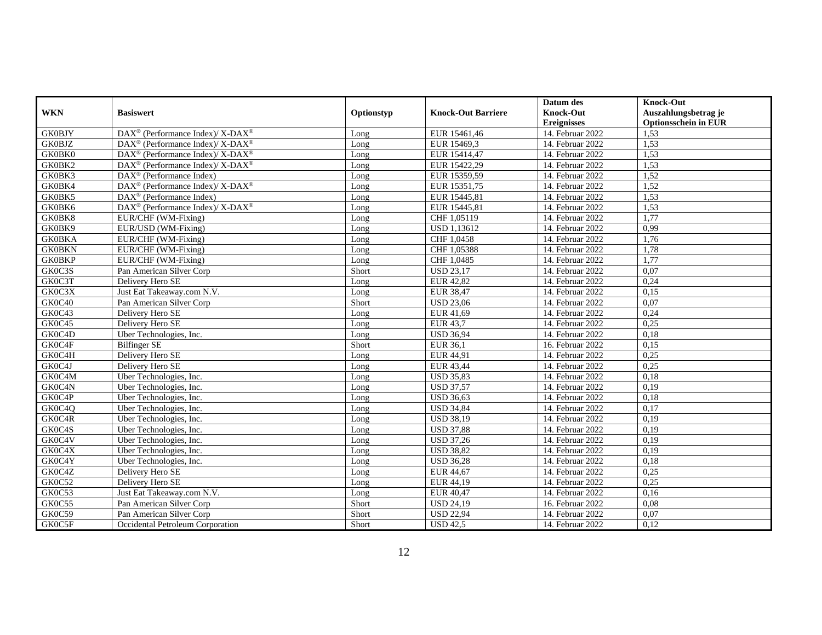|               |                                                                                     |            |                           | Datum des          | <b>Knock-Out</b>            |
|---------------|-------------------------------------------------------------------------------------|------------|---------------------------|--------------------|-----------------------------|
| <b>WKN</b>    | <b>Basiswert</b>                                                                    | Optionstyp | <b>Knock-Out Barriere</b> | <b>Knock-Out</b>   | Auszahlungsbetrag je        |
|               |                                                                                     |            |                           | <b>Ereignisses</b> | <b>Optionsschein in EUR</b> |
| <b>GK0BJY</b> | DAX <sup>®</sup> (Performance Index)/ X-DAX <sup>®</sup>                            | Long       | EUR 15461,46              | 14. Februar 2022   | 1,53                        |
| <b>GK0BJZ</b> | $DAX^{\circledcirc}$ (Performance Index)/ X-DAX <sup>®</sup>                        | Long       | EUR 15469.3               | 14. Februar 2022   | 1,53                        |
| GK0BK0        | DAX <sup>®</sup> (Performance Index)/ X-DAX <sup>®</sup>                            | Long       | EUR 15414,47              | 14. Februar 2022   | 1,53                        |
| GK0BK2        | DAX <sup>®</sup> (Performance Index)/X-DAX <sup>®</sup>                             | Long       | EUR 15422,29              | 14. Februar 2022   | 1,53                        |
| GK0BK3        | DAX <sup>®</sup> (Performance Index)                                                | Long       | EUR 15359,59              | 14. Februar 2022   | 1,52                        |
| GK0BK4        | $\text{DAX}^{\circledR}$ (Performance Index)/ $\overline{\text{X-DAX}^{\circledR}}$ | Long       | EUR 15351,75              | 14. Februar 2022   | 1,52                        |
| GK0BK5        | $\text{DAX}^{\circledR}$ (Performance Index)                                        | Long       | EUR 15445,81              | 14. Februar 2022   | 1,53                        |
| GK0BK6        | $\text{DAX}^{\circledR}$ (Performance Index)/ $\overline{\text{X-DAX}^{\circledR}}$ | Long       | EUR 15445,81              | 14. Februar 2022   | 1,53                        |
| GK0BK8        | EUR/CHF (WM-Fixing)                                                                 | Long       | CHF 1,05119               | 14. Februar 2022   | 1,77                        |
| GK0BK9        | EUR/USD (WM-Fixing)                                                                 | Long       | <b>USD 1,13612</b>        | 14. Februar 2022   | 0,99                        |
| <b>GK0BKA</b> | EUR/CHF (WM-Fixing)                                                                 | Long       | CHF 1,0458                | 14. Februar 2022   | 1,76                        |
| <b>GK0BKN</b> | EUR/CHF (WM-Fixing)                                                                 | Long       | CHF 1,05388               | 14. Februar 2022   | 1,78                        |
| <b>GK0BKP</b> | EUR/CHF (WM-Fixing)                                                                 | Long       | CHF 1,0485                | 14. Februar 2022   | 1,77                        |
| GK0C3S        | Pan American Silver Corp                                                            | Short      | <b>USD 23,17</b>          | 14. Februar 2022   | 0,07                        |
| GK0C3T        | Delivery Hero SE                                                                    | Long       | <b>EUR 42,82</b>          | 14. Februar 2022   | 0,24                        |
| GK0C3X        | Just Eat Takeaway.com N.V.                                                          | Long       | <b>EUR 38,47</b>          | 14. Februar 2022   | 0,15                        |
| GK0C40        | Pan American Silver Corp                                                            | Short      | <b>USD 23,06</b>          | 14. Februar 2022   | 0,07                        |
| GK0C43        | Delivery Hero SE                                                                    | Long       | EUR 41,69                 | 14. Februar 2022   | 0.24                        |
| GK0C45        | Delivery Hero SE                                                                    | Long       | EUR 43,7                  | 14. Februar 2022   | 0,25                        |
| GK0C4D        | Uber Technologies, Inc.                                                             | Long       | <b>USD 36,94</b>          | 14. Februar 2022   | 0,18                        |
| GK0C4F        | Bilfinger SE                                                                        | Short      | EUR 36,1                  | 16. Februar 2022   | 0,15                        |
| GK0C4H        | Delivery Hero SE                                                                    | Long       | EUR 44,91                 | 14. Februar 2022   | 0,25                        |
| GK0C4J        | Delivery Hero SE                                                                    | Long       | EUR 43.44                 | 14. Februar 2022   | 0.25                        |
| GK0C4M        | Uber Technologies, Inc.                                                             | Long       | <b>USD 35,83</b>          | 14. Februar 2022   | 0,18                        |
| GK0C4N        | Uber Technologies, Inc.                                                             | Long       | <b>USD 37,57</b>          | 14. Februar 2022   | 0,19                        |
| GK0C4P        | Uber Technologies, Inc.                                                             | Long       | <b>USD 36,63</b>          | 14. Februar 2022   | 0,18                        |
| GK0C4Q        | Uber Technologies, Inc.                                                             | Long       | <b>USD 34,84</b>          | 14. Februar 2022   | 0,17                        |
| GK0C4R        | Uber Technologies, Inc.                                                             | Long       | <b>USD 38.19</b>          | 14. Februar 2022   | 0,19                        |
| GK0C4S        | Uber Technologies, Inc.                                                             | Long       | <b>USD 37,88</b>          | 14. Februar 2022   | 0,19                        |
| GK0C4V        | Uber Technologies, Inc.                                                             | Long       | <b>USD 37,26</b>          | 14. Februar 2022   | 0,19                        |
| GK0C4X        | Uber Technologies, Inc.                                                             | Long       | <b>USD 38,82</b>          | 14. Februar 2022   | 0,19                        |
| GK0C4Y        | Uber Technologies, Inc.                                                             | Long       | <b>USD 36,28</b>          | 14. Februar 2022   | 0,18                        |
| GK0C4Z        | Delivery Hero SE                                                                    | Long       | EUR 44,67                 | 14. Februar 2022   | 0,25                        |
| GK0C52        | Delivery Hero SE                                                                    | Long       | EUR 44,19                 | 14. Februar 2022   | 0,25                        |
| GK0C53        | Just Eat Takeaway.com N.V.                                                          | Long       | EUR 40,47                 | 14. Februar 2022   | 0,16                        |
| GK0C55        | Pan American Silver Corp                                                            | Short      | <b>USD 24,19</b>          | 16. Februar 2022   | 0,08                        |
| GK0C59        | Pan American Silver Corp                                                            | Short      | <b>USD 22,94</b>          | 14. Februar 2022   | 0,07                        |
| GK0C5F        | Occidental Petroleum Corporation                                                    | Short      | <b>USD 42,5</b>           | 14. Februar 2022   | 0,12                        |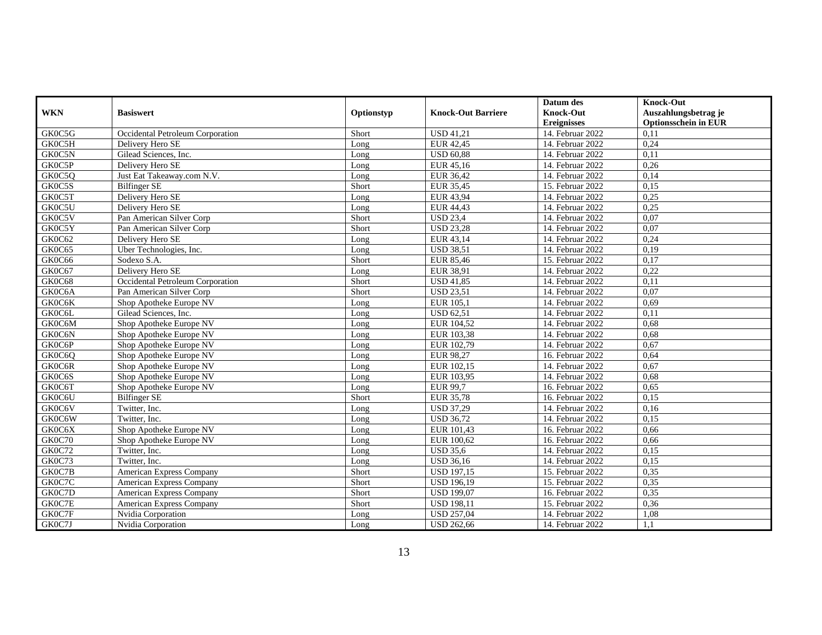|            |                                  |            |                           | Datum des          | <b>Knock-Out</b>            |
|------------|----------------------------------|------------|---------------------------|--------------------|-----------------------------|
| <b>WKN</b> | <b>Basiswert</b>                 | Optionstyp | <b>Knock-Out Barriere</b> | <b>Knock-Out</b>   | Auszahlungsbetrag je        |
|            |                                  |            |                           | <b>Ereignisses</b> | <b>Optionsschein in EUR</b> |
| GK0C5G     | Occidental Petroleum Corporation | Short      | <b>USD 41,21</b>          | 14. Februar 2022   | 0.11                        |
| GK0C5H     | Delivery Hero SE                 | Long       | EUR 42.45                 | 14. Februar 2022   | 0.24                        |
| GK0C5N     | Gilead Sciences, Inc.            | Long       | <b>USD 60,88</b>          | 14. Februar 2022   | 0,11                        |
| GK0C5P     | Delivery Hero SE                 | Long       | EUR 45,16                 | 14. Februar 2022   | 0,26                        |
| GK0C5Q     | Just Eat Takeaway.com N.V.       | Long       | EUR 36,42                 | 14. Februar 2022   | 0,14                        |
| GK0C5S     | <b>Bilfinger SE</b>              | Short      | EUR 35,45                 | 15. Februar 2022   | 0,15                        |
| GK0C5T     | Delivery Hero SE                 | Long       | EUR 43,94                 | 14. Februar 2022   | 0,25                        |
| GK0C5U     | Delivery Hero SE                 | Long       | EUR 44,43                 | 14. Februar 2022   | 0,25                        |
| GK0C5V     | Pan American Silver Corp         | Short      | <b>USD 23,4</b>           | 14. Februar 2022   | 0,07                        |
| GK0C5Y     | Pan American Silver Corp         | Short      | <b>USD 23,28</b>          | 14. Februar 2022   | 0.07                        |
| GK0C62     | Delivery Hero SE                 | Long       | EUR 43,14                 | 14. Februar 2022   | 0,24                        |
| GK0C65     | Uber Technologies, Inc.          | Long       | <b>USD 38,51</b>          | 14. Februar 2022   | 0,19                        |
| GK0C66     | Sodexo S.A.                      | Short      | EUR 85,46                 | 15. Februar 2022   | 0,17                        |
| GK0C67     | Delivery Hero SE                 | Long       | EUR 38,91                 | 14. Februar 2022   | 0,22                        |
| GK0C68     | Occidental Petroleum Corporation | Short      | <b>USD 41,85</b>          | 14. Februar 2022   | 0,11                        |
| GK0C6A     | Pan American Silver Corp         | Short      | <b>USD 23,51</b>          | 14. Februar 2022   | 0.07                        |
| GK0C6K     | Shop Apotheke Europe NV          | Long       | EUR 105,1                 | 14. Februar 2022   | 0,69                        |
| GK0C6L     | Gilead Sciences, Inc.            | Long       | <b>USD 62,51</b>          | 14. Februar 2022   | 0,11                        |
| GK0C6M     | Shop Apotheke Europe NV          | Long       | EUR 104,52                | 14. Februar 2022   | 0,68                        |
| GK0C6N     | Shop Apotheke Europe NV          | Long       | EUR 103,38                | 14. Februar 2022   | 0.68                        |
| GK0C6P     | Shop Apotheke Europe NV          | Long       | EUR 102,79                | 14. Februar 2022   | 0,67                        |
| GK0C6Q     | Shop Apotheke Europe NV          | Long       | EUR 98,27                 | 16. Februar 2022   | 0,64                        |
| GK0C6R     | Shop Apotheke Europe NV          | Long       | EUR 102.15                | 14. Februar 2022   | 0,67                        |
| GK0C6S     | Shop Apotheke Europe NV          | Long       | EUR 103,95                | 14. Februar 2022   | 0,68                        |
| GK0C6T     | Shop Apotheke Europe NV          | Long       | <b>EUR 99,7</b>           | 16. Februar 2022   | 0.65                        |
| GK0C6U     | <b>Bilfinger SE</b>              | Short      | <b>EUR 35,78</b>          | 16. Februar 2022   | 0,15                        |
| GK0C6V     | Twitter, Inc.                    | Long       | <b>USD 37,29</b>          | 14. Februar 2022   | 0,16                        |
| GK0C6W     | Twitter, Inc.                    | Long       | <b>USD 36,72</b>          | 14. Februar 2022   | 0,15                        |
| GK0C6X     | Shop Apotheke Europe NV          | Long       | EUR 101,43                | 16. Februar 2022   | 0,66                        |
| GK0C70     | Shop Apotheke Europe NV          | Long       | EUR 100.62                | 16. Februar 2022   | 0,66                        |
| GK0C72     | Twitter, Inc.                    | Long       | <b>USD 35,6</b>           | 14. Februar 2022   | 0,15                        |
| GK0C73     | Twitter, Inc.                    | Long       | <b>USD 36,16</b>          | 14. Februar 2022   | 0,15                        |
| GK0C7B     | American Express Company         | Short      | <b>USD 197,15</b>         | 15. Februar 2022   | 0,35                        |
| GK0C7C     | American Express Company         | Short      | <b>USD 196,19</b>         | 15. Februar 2022   | 0.35                        |
| GK0C7D     | American Express Company         | Short      | <b>USD 199,07</b>         | 16. Februar 2022   | 0.35                        |
| GK0C7E     | American Express Company         | Short      | <b>USD 198,11</b>         | 15. Februar 2022   | 0,36                        |
| GK0C7F     | Nvidia Corporation               | Long       | <b>USD 257,04</b>         | 14. Februar 2022   | 1,08                        |
| GK0C7J     | Nvidia Corporation               | Long       | <b>USD 262,66</b>         | 14. Februar 2022   | 1,1                         |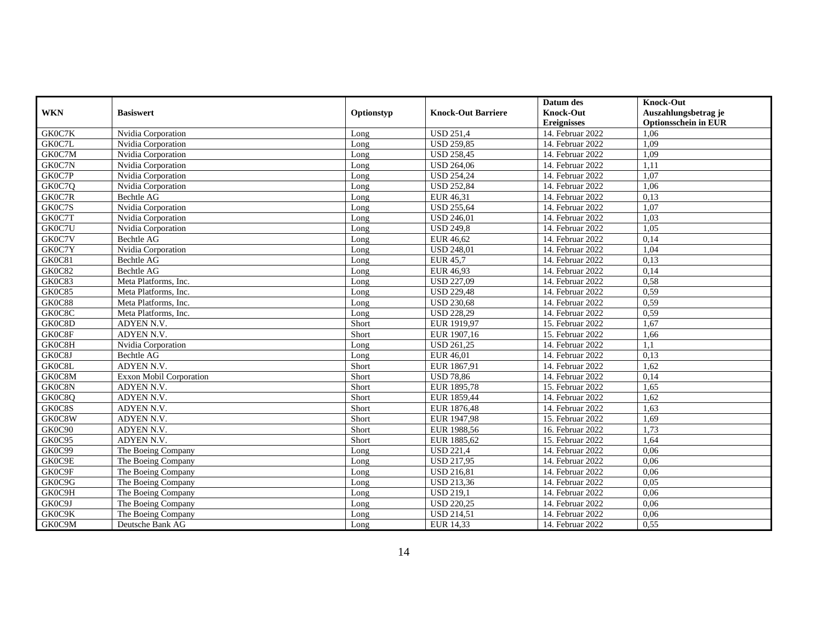|            |                                |            |                           | Datum des          | <b>Knock-Out</b>            |
|------------|--------------------------------|------------|---------------------------|--------------------|-----------------------------|
| <b>WKN</b> | <b>Basiswert</b>               | Optionstyp | <b>Knock-Out Barriere</b> | <b>Knock-Out</b>   | Auszahlungsbetrag je        |
|            |                                |            |                           | <b>Ereignisses</b> | <b>Optionsschein in EUR</b> |
| GK0C7K     | Nvidia Corporation             | Long       | <b>USD 251,4</b>          | 14. Februar 2022   | 1,06                        |
| GK0C7L     | Nvidia Corporation             | Long       | <b>USD 259.85</b>         | 14. Februar 2022   | 1,09                        |
| GK0C7M     | Nvidia Corporation             | Long       | <b>USD 258,45</b>         | 14. Februar 2022   | 1,09                        |
| GK0C7N     | Nvidia Corporation             | Long       | <b>USD 264,06</b>         | 14. Februar 2022   | 1,11                        |
| GK0C7P     | Nvidia Corporation             | Long       | <b>USD 254,24</b>         | 14. Februar 2022   | 1,07                        |
| GK0C7Q     | Nvidia Corporation             | Long       | <b>USD 252,84</b>         | 14. Februar 2022   | 1,06                        |
| GK0C7R     | Bechtle AG                     | Long       | EUR 46,31                 | 14. Februar 2022   | 0,13                        |
| GK0C7S     | Nvidia Corporation             | Long       | <b>USD 255,64</b>         | 14. Februar 2022   | 1,07                        |
| GK0C7T     | Nvidia Corporation             | Long       | <b>USD 246,01</b>         | 14. Februar 2022   | 1,03                        |
| GK0C7U     | Nvidia Corporation             | Long       | <b>USD 249,8</b>          | 14. Februar 2022   | 1,05                        |
| GK0C7V     | <b>Bechtle AG</b>              | Long       | <b>EUR 46,62</b>          | 14. Februar 2022   | 0,14                        |
| GK0C7Y     | Nvidia Corporation             | Long       | <b>USD 248,01</b>         | 14. Februar 2022   | 1.04                        |
| GK0C81     | <b>Bechtle AG</b>              | Long       | EUR 45,7                  | 14. Februar 2022   | 0,13                        |
| GK0C82     | Bechtle AG                     | Long       | EUR 46,93                 | 14. Februar 2022   | 0,14                        |
| GK0C83     | Meta Platforms, Inc.           | Long       | <b>USD 227,09</b>         | 14. Februar 2022   | 0,58                        |
| GK0C85     | Meta Platforms, Inc.           | Long       | <b>USD 229,48</b>         | 14. Februar 2022   | 0,59                        |
| GK0C88     | Meta Platforms, Inc.           | Long       | <b>USD 230,68</b>         | 14. Februar 2022   | 0,59                        |
| GK0C8C     | Meta Platforms, Inc.           | Long       | <b>USD 228,29</b>         | 14. Februar 2022   | 0.59                        |
| GK0C8D     | ADYEN N.V.                     | Short      | EUR 1919,97               | 15. Februar 2022   | 1,67                        |
| GK0C8F     | ADYEN N.V.                     | Short      | EUR 1907,16               | 15. Februar 2022   | 1,66                        |
| GK0C8H     | Nvidia Corporation             | Long       | <b>USD 261,25</b>         | 14. Februar 2022   | 1,1                         |
| GK0C8J     | Bechtle AG                     | Long       | EUR 46,01                 | 14. Februar 2022   | 0,13                        |
| GK0C8L     | ADYEN N.V.                     | Short      | EUR 1867.91               | 14. Februar 2022   | 1.62                        |
| GK0C8M     | <b>Exxon Mobil Corporation</b> | Short      | <b>USD 78,86</b>          | 14. Februar 2022   | 0,14                        |
| GK0C8N     | ADYEN N.V.                     | Short      | EUR 1895,78               | 15. Februar 2022   | 1,65                        |
| GK0C8Q     | ADYEN N.V.                     | Short      | EUR 1859,44               | 14. Februar 2022   | 1,62                        |
| GK0C8S     | ADYEN N.V.                     | Short      | EUR 1876,48               | 14. Februar 2022   | 1,63                        |
| GK0C8W     | ADYEN N.V.                     | Short      | EUR 1947.98               | 15. Februar 2022   | 1,69                        |
| GK0C90     | ADYEN N.V.                     | Short      | EUR 1988,56               | 16. Februar 2022   | 1,73                        |
| GK0C95     | ADYEN N.V.                     | Short      | EUR 1885,62               | 15. Februar 2022   | 1,64                        |
| GK0C99     | The Boeing Company             | Long       | <b>USD 221,4</b>          | 14. Februar 2022   | 0,06                        |
| GK0C9E     | The Boeing Company             | Long       | <b>USD 217,95</b>         | 14. Februar 2022   | 0,06                        |
| GK0C9F     | The Boeing Company             | Long       | <b>USD 216,81</b>         | 14. Februar 2022   | 0,06                        |
| GK0C9G     | The Boeing Company             | Long       | <b>USD 213,36</b>         | 14. Februar 2022   | 0.05                        |
| GK0C9H     | The Boeing Company             | Long       | <b>USD 219,1</b>          | 14. Februar 2022   | 0,06                        |
| GK0C9J     | The Boeing Company             | Long       | <b>USD 220,25</b>         | 14. Februar 2022   | 0,06                        |
| GK0C9K     | The Boeing Company             | Long       | <b>USD 214,51</b>         | 14. Februar 2022   | 0,06                        |
| GK0C9M     | Deutsche Bank AG               | Long       | EUR 14,33                 | 14. Februar 2022   | 0,55                        |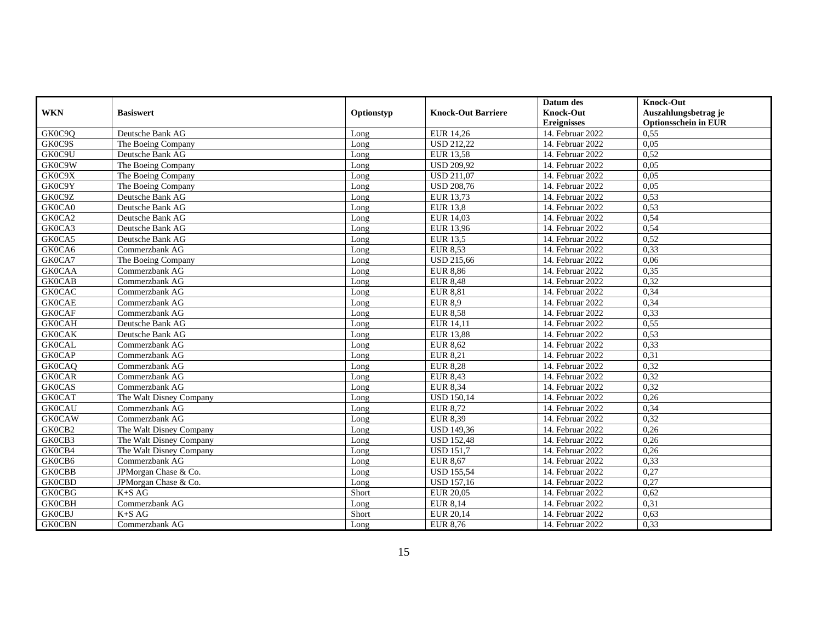|               |                         |            |                           | Datum des          | <b>Knock-Out</b>            |
|---------------|-------------------------|------------|---------------------------|--------------------|-----------------------------|
| <b>WKN</b>    | <b>Basiswert</b>        | Optionstyp | <b>Knock-Out Barriere</b> | <b>Knock-Out</b>   | Auszahlungsbetrag je        |
|               |                         |            |                           | <b>Ereignisses</b> | <b>Optionsschein in EUR</b> |
| GK0C9Q        | Deutsche Bank AG        | Long       | EUR 14,26                 | 14. Februar 2022   | 0,55                        |
| GK0C9S        | The Boeing Company      | Long       | <b>USD 212.22</b>         | 14. Februar 2022   | 0,05                        |
| GK0C9U        | Deutsche Bank AG        | Long       | <b>EUR 13,58</b>          | 14. Februar 2022   | 0,52                        |
| GK0C9W        | The Boeing Company      | Long       | <b>USD 209,92</b>         | 14. Februar 2022   | 0,05                        |
| GK0C9X        | The Boeing Company      | Long       | <b>USD 211,07</b>         | 14. Februar 2022   | 0,05                        |
| GK0C9Y        | The Boeing Company      | Long       | <b>USD 208,76</b>         | 14. Februar 2022   | 0,05                        |
| GK0C9Z        | Deutsche Bank AG        | Long       | EUR 13,73                 | 14. Februar 2022   | 0,53                        |
| GK0CA0        | Deutsche Bank AG        | Long       | <b>EUR 13,8</b>           | 14. Februar 2022   | 0.53                        |
| GK0CA2        | Deutsche Bank AG        | Long       | EUR 14,03                 | 14. Februar 2022   | 0,54                        |
| GK0CA3        | Deutsche Bank AG        | Long       | EUR 13,96                 | 14. Februar 2022   | 0,54                        |
| GK0CA5        | Deutsche Bank AG        | Long       | EUR 13,5                  | 14. Februar 2022   | 0,52                        |
| GK0CA6        | Commerzbank AG          | Long       | <b>EUR 8,53</b>           | 14. Februar 2022   | 0,33                        |
| GK0CA7        | The Boeing Company      | Long       | <b>USD 215,66</b>         | 14. Februar 2022   | 0,06                        |
| <b>GK0CAA</b> | Commerzbank AG          | Long       | <b>EUR 8,86</b>           | 14. Februar 2022   | 0,35                        |
| <b>GK0CAB</b> | Commerzbank AG          | Long       | <b>EUR 8,48</b>           | 14. Februar 2022   | 0,32                        |
| <b>GK0CAC</b> | Commerzbank AG          | Long       | <b>EUR 8,81</b>           | 14. Februar 2022   | 0,34                        |
| <b>GK0CAE</b> | Commerzbank AG          | Long       | <b>EUR 8,9</b>            | 14. Februar 2022   | 0,34                        |
| <b>GK0CAF</b> | Commerzbank AG          | Long       | <b>EUR 8,58</b>           | 14. Februar 2022   | 0,33                        |
| <b>GK0CAH</b> | Deutsche Bank AG        | Long       | EUR 14,11                 | 14. Februar 2022   | 0,55                        |
| <b>GK0CAK</b> | Deutsche Bank AG        | Long       | <b>EUR 13,88</b>          | 14. Februar 2022   | 0,53                        |
| <b>GK0CAL</b> | Commerzbank AG          | Long       | <b>EUR 8,62</b>           | 14. Februar 2022   | 0,33                        |
| <b>GK0CAP</b> | Commerzbank AG          | Long       | <b>EUR 8,21</b>           | 14. Februar 2022   | 0,31                        |
| <b>GK0CAQ</b> | Commerzbank AG          | Long       | <b>EUR 8.28</b>           | 14. Februar 2022   | 0.32                        |
| <b>GK0CAR</b> | Commerzbank AG          | Long       | EUR 8,43                  | 14. Februar 2022   | 0,32                        |
| <b>GK0CAS</b> | Commerzbank AG          | Long       | <b>EUR 8,34</b>           | 14. Februar 2022   | 0,32                        |
| <b>GK0CAT</b> | The Walt Disney Company | Long       | <b>USD 150,14</b>         | 14. Februar 2022   | 0,26                        |
| <b>GK0CAU</b> | Commerzbank AG          | Long       | EUR 8,72                  | 14. Februar 2022   | 0,34                        |
| <b>GK0CAW</b> | Commerzbank AG          | Long       | EUR 8,39                  | 14. Februar 2022   | 0,32                        |
| GK0CB2        | The Walt Disney Company | Long       | <b>USD 149,36</b>         | 14. Februar 2022   | 0,26                        |
| GK0CB3        | The Walt Disney Company | Long       | <b>USD 152,48</b>         | 14. Februar 2022   | 0,26                        |
| GK0CB4        | The Walt Disney Company | Long       | <b>USD 151,7</b>          | 14. Februar 2022   | 0,26                        |
| GK0CB6        | Commerzbank AG          | Long       | EUR 8,67                  | 14. Februar 2022   | 0,33                        |
| <b>GK0CBB</b> | JPMorgan Chase & Co.    | Long       | <b>USD</b> 155,54         | 14. Februar 2022   | 0,27                        |
| <b>GK0CBD</b> | JPM organ Chase & Co.   | Long       | <b>USD 157,16</b>         | 14. Februar 2022   | 0,27                        |
| <b>GK0CBG</b> | K+S AG                  | Short      | <b>EUR 20,05</b>          | 14. Februar 2022   | 0,62                        |
| <b>GK0CBH</b> | Commerzbank AG          | Long       | <b>EUR 8,14</b>           | 14. Februar 2022   | 0,31                        |
| <b>GK0CBJ</b> | K+S AG                  | Short      | EUR 20,14                 | 14. Februar 2022   | 0,63                        |
| <b>GK0CBN</b> | Commerzbank AG          | Long       | EUR 8,76                  | 14. Februar 2022   | 0,33                        |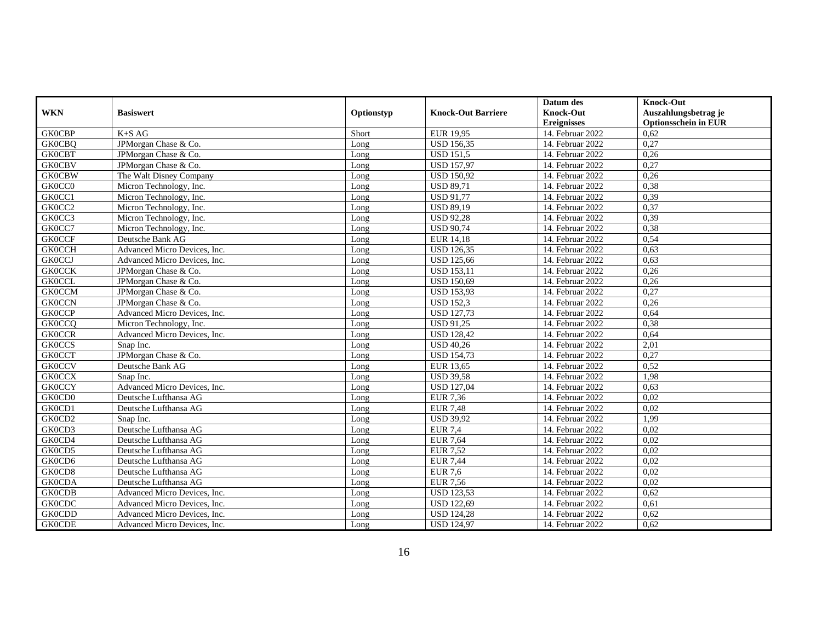|               |                              |            |                           | Datum des          | <b>Knock-Out</b>            |
|---------------|------------------------------|------------|---------------------------|--------------------|-----------------------------|
| <b>WKN</b>    | <b>Basiswert</b>             | Optionstyp | <b>Knock-Out Barriere</b> | <b>Knock-Out</b>   | Auszahlungsbetrag je        |
|               |                              |            |                           | <b>Ereignisses</b> | <b>Optionsschein in EUR</b> |
| <b>GK0CBP</b> | $K+SAG$                      | Short      | EUR 19,95                 | 14. Februar 2022   | 0,62                        |
| <b>GK0CBO</b> | JPMorgan Chase & Co.         | Long       | <b>USD 156,35</b>         | 14. Februar 2022   | 0,27                        |
| <b>GK0CBT</b> | JPMorgan Chase & Co.         | Long       | <b>USD 151,5</b>          | 14. Februar 2022   | 0,26                        |
| <b>GK0CBV</b> | JPMorgan Chase & Co.         | Long       | <b>USD 157,97</b>         | 14. Februar 2022   | 0,27                        |
| <b>GK0CBW</b> | The Walt Disney Company      | Long       | <b>USD 150,92</b>         | 14. Februar 2022   | 0,26                        |
| GK0CC0        | Micron Technology, Inc.      | Long       | <b>USD 89,71</b>          | 14. Februar 2022   | 0,38                        |
| GK0CC1        | Micron Technology, Inc.      | Long       | <b>USD 91.77</b>          | 14. Februar 2022   | 0.39                        |
| GK0CC2        | Micron Technology, Inc.      | Long       | <b>USD 89,19</b>          | 14. Februar 2022   | 0,37                        |
| GK0CC3        | Micron Technology, Inc.      | Long       | <b>USD 92,28</b>          | 14. Februar 2022   | 0,39                        |
| GK0CC7        | Micron Technology, Inc.      | Long       | <b>USD 90,74</b>          | 14. Februar 2022   | 0,38                        |
| <b>GK0CCF</b> | Deutsche Bank AG             | Long       | <b>EUR 14,18</b>          | 14. Februar 2022   | 0,54                        |
| <b>GK0CCH</b> | Advanced Micro Devices, Inc. | Long       | <b>USD 126,35</b>         | 14. Februar 2022   | 0,63                        |
| <b>GK0CCJ</b> | Advanced Micro Devices, Inc. | Long       | <b>USD 125,66</b>         | 14. Februar 2022   | 0,63                        |
| <b>GK0CCK</b> | JPMorgan Chase & Co.         | Long       | <b>USD 153,11</b>         | 14. Februar 2022   | 0,26                        |
| <b>GK0CCL</b> | JPMorgan Chase & Co.         | Long       | <b>USD 150,69</b>         | 14. Februar 2022   | 0,26                        |
| <b>GK0CCM</b> | JPMorgan Chase & Co.         | Long       | <b>USD 153,93</b>         | 14. Februar 2022   | 0,27                        |
| <b>GK0CCN</b> | JPMorgan Chase & Co.         | Long       | <b>USD 152,3</b>          | 14. Februar 2022   | 0,26                        |
| <b>GK0CCP</b> | Advanced Micro Devices, Inc. | Long       | <b>USD 127,73</b>         | 14. Februar 2022   | 0.64                        |
| <b>GK0CCQ</b> | Micron Technology, Inc.      | Long       | <b>USD 91,25</b>          | 14. Februar 2022   | 0,38                        |
| <b>GK0CCR</b> | Advanced Micro Devices, Inc. | Long       | <b>USD 128,42</b>         | 14. Februar 2022   | 0,64                        |
| <b>GK0CCS</b> | Snap Inc.                    | Long       | <b>USD 40,26</b>          | 14. Februar 2022   | 2,01                        |
| <b>GK0CCT</b> | JPMorgan Chase & Co.         | Long       | <b>USD 154,73</b>         | 14. Februar 2022   | 0,27                        |
| <b>GK0CCV</b> | Deutsche Bank AG             | Long       | EUR 13.65                 | 14. Februar 2022   | 0.52                        |
| <b>GK0CCX</b> | Snap Inc.                    | Long       | <b>USD 39,58</b>          | 14. Februar 2022   | 1,98                        |
| <b>GK0CCY</b> | Advanced Micro Devices, Inc. | Long       | <b>USD 127,04</b>         | 14. Februar 2022   | 0,63                        |
| GK0CD0        | Deutsche Lufthansa AG        | Long       | <b>EUR 7,36</b>           | 14. Februar 2022   | 0,02                        |
| GK0CD1        | Deutsche Lufthansa AG        | Long       | <b>EUR 7,48</b>           | 14. Februar 2022   | 0.02                        |
| GK0CD2        | Snap Inc.                    | Long       | <b>USD 39,92</b>          | 14. Februar 2022   | 1,99                        |
| GK0CD3        | Deutsche Lufthansa AG        | Long       | <b>EUR 7,4</b>            | 14. Februar 2022   | 0.02                        |
| GK0CD4        | Deutsche Lufthansa AG        | Long       | EUR 7,64                  | 14. Februar 2022   | 0,02                        |
| GK0CD5        | Deutsche Lufthansa AG        | Long       | <b>EUR 7,52</b>           | 14. Februar 2022   | 0,02                        |
| GK0CD6        | Deutsche Lufthansa AG        | Long       | <b>EUR 7,44</b>           | 14. Februar 2022   | 0,02                        |
| GK0CD8        | Deutsche Lufthansa AG        | Long       | <b>EUR 7,6</b>            | 14. Februar 2022   | 0,02                        |
| <b>GK0CDA</b> | Deutsche Lufthansa AG        | Long       | EUR 7,56                  | 14. Februar 2022   | 0.02                        |
| <b>GK0CDB</b> | Advanced Micro Devices, Inc. | Long       | <b>USD 123,53</b>         | 14. Februar 2022   | 0,62                        |
| <b>GK0CDC</b> | Advanced Micro Devices, Inc. | Long       | <b>USD 122,69</b>         | 14. Februar 2022   | 0,61                        |
| <b>GK0CDD</b> | Advanced Micro Devices, Inc. | Long       | <b>USD 124,28</b>         | 14. Februar 2022   | 0,62                        |
| <b>GK0CDE</b> | Advanced Micro Devices, Inc. | Long       | <b>USD 124,97</b>         | 14. Februar 2022   | 0,62                        |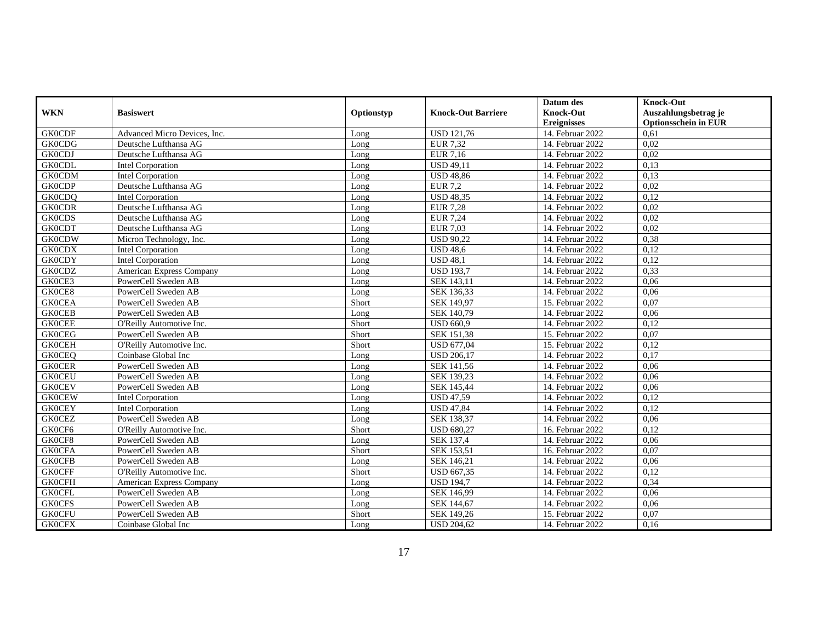|               |                              |            |                           | Datum des          | <b>Knock-Out</b>            |
|---------------|------------------------------|------------|---------------------------|--------------------|-----------------------------|
| <b>WKN</b>    | <b>Basiswert</b>             | Optionstyp | <b>Knock-Out Barriere</b> | <b>Knock-Out</b>   | Auszahlungsbetrag je        |
|               |                              |            |                           | <b>Ereignisses</b> | <b>Optionsschein in EUR</b> |
| <b>GK0CDF</b> | Advanced Micro Devices, Inc. | Long       | <b>USD 121,76</b>         | 14. Februar 2022   | 0,61                        |
| <b>GK0CDG</b> | Deutsche Lufthansa AG        | Long       | <b>EUR 7.32</b>           | 14. Februar 2022   | 0.02                        |
| <b>GK0CDJ</b> | Deutsche Lufthansa AG        | Long       | EUR 7,16                  | 14. Februar 2022   | 0,02                        |
| <b>GK0CDL</b> | Intel Corporation            | Long       | <b>USD 49,11</b>          | 14. Februar 2022   | 0,13                        |
| <b>GK0CDM</b> | Intel Corporation            | Long       | <b>USD 48,86</b>          | 14. Februar 2022   | 0,13                        |
| <b>GK0CDP</b> | Deutsche Lufthansa AG        | Long       | <b>EUR 7,2</b>            | 14. Februar 2022   | 0,02                        |
| <b>GK0CDQ</b> | <b>Intel Corporation</b>     | Long       | <b>USD 48,35</b>          | 14. Februar 2022   | 0.12                        |
| <b>GK0CDR</b> | Deutsche Lufthansa AG        | Long       | <b>EUR 7,28</b>           | 14. Februar 2022   | 0,02                        |
| <b>GK0CDS</b> | Deutsche Lufthansa AG        | Long       | <b>EUR 7,24</b>           | 14. Februar 2022   | 0,02                        |
| <b>GK0CDT</b> | Deutsche Lufthansa AG        | Long       | EUR 7,03                  | 14. Februar 2022   | 0,02                        |
| <b>GK0CDW</b> | Micron Technology, Inc.      | Long       | <b>USD 90,22</b>          | 14. Februar 2022   | 0,38                        |
| <b>GK0CDX</b> | <b>Intel Corporation</b>     | Long       | <b>USD 48.6</b>           | 14. Februar 2022   | 0,12                        |
| <b>GK0CDY</b> | <b>Intel Corporation</b>     | Long       | <b>USD 48,1</b>           | 14. Februar 2022   | 0,12                        |
| <b>GK0CDZ</b> | American Express Company     | Long       | <b>USD 193,7</b>          | 14. Februar 2022   | 0,33                        |
| GK0CE3        | PowerCell Sweden AB          | Long       | SEK 143,11                | 14. Februar 2022   | 0.06                        |
| GK0CE8        | PowerCell Sweden AB          | Long       | SEK 136,33                | 14. Februar 2022   | 0,06                        |
| <b>GK0CEA</b> | PowerCell Sweden AB          | Short      | SEK 149,97                | 15. Februar 2022   | 0,07                        |
| <b>GK0CEB</b> | PowerCell Sweden AB          | Long       | SEK 140.79                | 14. Februar 2022   | 0,06                        |
| <b>GK0CEE</b> | O'Reilly Automotive Inc.     | Short      | <b>USD 660,9</b>          | 14. Februar 2022   | 0,12                        |
| <b>GK0CEG</b> | PowerCell Sweden AB          | Short      | SEK 151,38                | 15. Februar 2022   | 0,07                        |
| <b>GK0CEH</b> | O'Reilly Automotive Inc.     | Short      | <b>USD 677,04</b>         | 15. Februar 2022   | 0,12                        |
| <b>GK0CEQ</b> | Coinbase Global Inc          | Long       | <b>USD 206,17</b>         | 14. Februar 2022   | 0,17                        |
| <b>GK0CER</b> | PowerCell Sweden AB          | Long       | SEK 141.56                | 14. Februar 2022   | 0.06                        |
| <b>GK0CEU</b> | PowerCell Sweden AB          | Long       | SEK 139,23                | 14. Februar 2022   | 0,06                        |
| <b>GK0CEV</b> | PowerCell Sweden AB          | Long       | SEK 145,44                | 14. Februar 2022   | 0,06                        |
| <b>GK0CEW</b> | Intel Corporation            | Long       | <b>USD 47,59</b>          | 14. Februar 2022   | 0,12                        |
| <b>GK0CEY</b> | Intel Corporation            | Long       | <b>USD 47,84</b>          | 14. Februar 2022   | 0,12                        |
| <b>GK0CEZ</b> | PowerCell Sweden AB          | Long       | <b>SEK 138.37</b>         | 14. Februar 2022   | 0,06                        |
| GK0CF6        | O'Reilly Automotive Inc.     | Short      | <b>USD 680,27</b>         | 16. Februar 2022   | 0,12                        |
| GK0CF8        | PowerCell Sweden AB          | Long       | SEK 137,4                 | 14. Februar 2022   | 0,06                        |
| <b>GK0CFA</b> | PowerCell Sweden AB          | Short      | SEK 153,51                | 16. Februar 2022   | 0,07                        |
| <b>GK0CFB</b> | PowerCell Sweden AB          | Long       | SEK 146,21                | 14. Februar 2022   | 0,06                        |
| <b>GK0CFF</b> | O'Reilly Automotive Inc.     | Short      | <b>USD 667,35</b>         | 14. Februar 2022   | 0,12                        |
| <b>GK0CFH</b> | American Express Company     | Long       | <b>USD 194,7</b>          | 14. Februar 2022   | 0.34                        |
| <b>GK0CFL</b> | PowerCell Sweden AB          | Long       | SEK 146,99                | 14. Februar 2022   | 0,06                        |
| <b>GK0CFS</b> | PowerCell Sweden AB          | Long       | SEK 144,67                | 14. Februar 2022   | 0,06                        |
| <b>GK0CFU</b> | PowerCell Sweden AB          | Short      | SEK 149,26                | 15. Februar 2022   | 0,07                        |
| <b>GK0CFX</b> | Coinbase Global Inc          | Long       | <b>USD 204,62</b>         | 14. Februar 2022   | 0,16                        |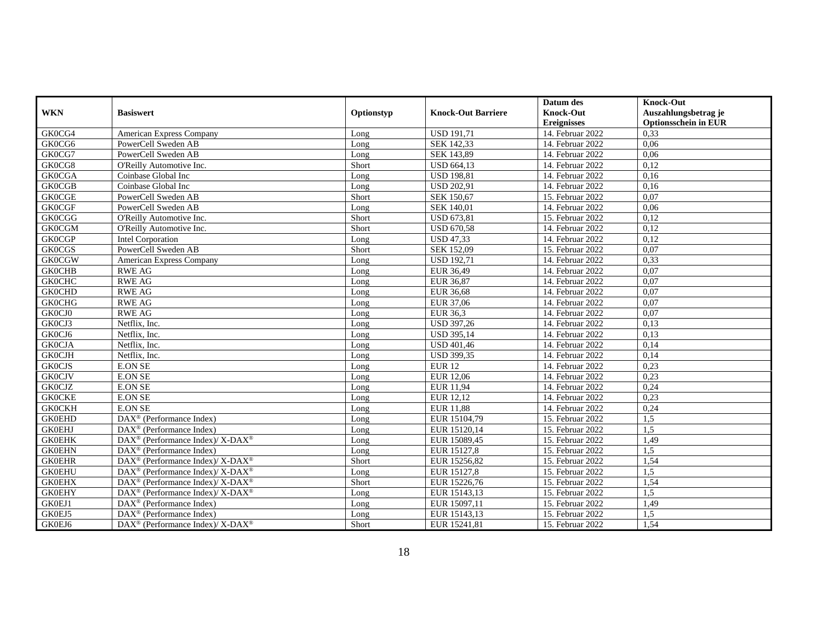|               |                                                              |            |                           | Datum des          | <b>Knock-Out</b>            |
|---------------|--------------------------------------------------------------|------------|---------------------------|--------------------|-----------------------------|
| <b>WKN</b>    | <b>Basiswert</b>                                             | Optionstyp | <b>Knock-Out Barriere</b> | <b>Knock-Out</b>   | Auszahlungsbetrag je        |
|               |                                                              |            |                           | <b>Ereignisses</b> | <b>Optionsschein in EUR</b> |
| GK0CG4        | American Express Company                                     | Long       | <b>USD 191,71</b>         | 14. Februar 2022   | 0,33                        |
| GK0CG6        | PowerCell Sweden AB                                          | Long       | SEK 142.33                | 14. Februar 2022   | 0.06                        |
| GK0CG7        | PowerCell Sweden AB                                          | Long       | SEK 143,89                | 14. Februar 2022   | 0,06                        |
| GK0CG8        | O'Reilly Automotive Inc.                                     | Short      | <b>USD 664,13</b>         | 14. Februar 2022   | 0,12                        |
| <b>GK0CGA</b> | Coinbase Global Inc                                          | Long       | <b>USD 198,81</b>         | 14. Februar 2022   | 0,16                        |
| <b>GK0CGB</b> | Coinbase Global Inc                                          | Long       | <b>USD 202,91</b>         | 14. Februar 2022   | 0,16                        |
| <b>GK0CGE</b> | PowerCell Sweden AB                                          | Short      | SEK 150,67                | 15. Februar 2022   | 0.07                        |
| <b>GK0CGF</b> | PowerCell Sweden AB                                          | Long       | SEK 140,01                | 14. Februar 2022   | 0,06                        |
| <b>GK0CGG</b> | O'Reilly Automotive Inc.                                     | Short      | <b>USD 673,81</b>         | 15. Februar 2022   | 0,12                        |
| <b>GK0CGM</b> | O'Reilly Automotive Inc.                                     | Short      | <b>USD 670,58</b>         | 14. Februar 2022   | 0,12                        |
| <b>GK0CGP</b> | <b>Intel Corporation</b>                                     | Long       | <b>USD 47,33</b>          | 14. Februar 2022   | 0,12                        |
| <b>GK0CGS</b> | PowerCell Sweden AB                                          | Short      | SEK 152,09                | 15. Februar 2022   | 0,07                        |
| <b>GK0CGW</b> | American Express Company                                     | Long       | <b>USD 192,71</b>         | 14. Februar 2022   | 0,33                        |
| <b>GK0CHB</b> | <b>RWE AG</b>                                                | Long       | EUR 36,49                 | 14. Februar 2022   | 0,07                        |
| <b>GK0CHC</b> | <b>RWE AG</b>                                                | Long       | EUR 36,87                 | 14. Februar 2022   | 0,07                        |
| <b>GK0CHD</b> | <b>RWE AG</b>                                                | Long       | EUR 36,68                 | 14. Februar 2022   | 0,07                        |
| <b>GK0CHG</b> | <b>RWE AG</b>                                                | Long       | EUR 37,06                 | 14. Februar 2022   | 0,07                        |
| GK0CJ0        | <b>RWE AG</b>                                                | Long       | EUR 36,3                  | 14. Februar 2022   | 0.07                        |
| GK0CJ3        | Netflix, Inc.                                                | Long       | <b>USD 397,26</b>         | 14. Februar 2022   | 0,13                        |
| GK0CJ6        | Netflix, Inc.                                                | Long       | <b>USD 395,14</b>         | 14. Februar 2022   | 0,13                        |
| <b>GK0CJA</b> | Netflix, Inc.                                                | Long       | <b>USD 401,46</b>         | 14. Februar 2022   | 0,14                        |
| <b>GK0CJH</b> | Netflix, Inc.                                                | Long       | <b>USD 399,35</b>         | 14. Februar 2022   | 0,14                        |
| <b>GK0CJS</b> | <b>E.ON SE</b>                                               | Long       | <b>EUR 12</b>             | 14. Februar 2022   | 0.23                        |
| <b>GK0CJV</b> | E.ON SE                                                      | Long       | EUR 12,06                 | 14. Februar 2022   | 0,23                        |
| <b>GK0CJZ</b> | <b>E.ON SE</b>                                               | Long       | <b>EUR 11,94</b>          | 14. Februar 2022   | 0,24                        |
| <b>GK0CKE</b> | <b>E.ON SE</b>                                               | Long       | EUR 12,12                 | 14. Februar 2022   | 0,23                        |
| <b>GK0CKH</b> | <b>E.ON SE</b>                                               | Long       | <b>EUR 11,88</b>          | 14. Februar 2022   | 0,24                        |
| <b>GK0EHD</b> | $\overline{\text{DAX}}^{\textcircled{}}$ (Performance Index) | Long       | EUR 15104.79              | 15. Februar 2022   | 1.5                         |
| <b>GK0EHJ</b> | $\text{DAX}^{\circledR}$ (Performance Index)                 | Long       | EUR 15120,14              | 15. Februar 2022   | 1,5                         |
| <b>GK0EHK</b> | $DAX^{\circledR}$ (Performance Index)/ X-DAX <sup>®</sup>    | Long       | EUR 15089,45              | 15. Februar 2022   | 1,49                        |
| <b>GK0EHN</b> | $\text{DAX}^{\circledR}$ (Performance Index)                 | Long       | EUR 15127,8               | 15. Februar 2022   | 1,5                         |
| <b>GK0EHR</b> | DAX <sup>®</sup> (Performance Index)/ X-DAX <sup>®</sup>     | Short      | EUR 15256,82              | 15. Februar 2022   | 1,54                        |
| <b>GK0EHU</b> | DAX <sup>®</sup> (Performance Index)/ X-DAX <sup>®</sup>     | Long       | EUR 15127,8               | 15. Februar 2022   | 1,5                         |
| <b>GK0EHX</b> | DAX <sup>®</sup> (Performance Index)/ X-DAX <sup>®</sup>     | Short      | EUR 15226,76              | 15. Februar 2022   | 1,54                        |
| <b>GK0EHY</b> | DAX <sup>®</sup> (Performance Index)/ X-DAX <sup>®</sup>     | Long       | EUR 15143,13              | 15. Februar 2022   | 1,5                         |
| GK0EJ1        | $\text{DAX}^{\otimes}$ (Performance Index)                   | Long       | EUR 15097,11              | 15. Februar 2022   | 1,49                        |
| GK0EJ5        | DAX <sup>®</sup> (Performance Index)                         | Long       | EUR 15143,13              | 15. Februar 2022   | 1,5                         |
| GK0EJ6        | DAX <sup>®</sup> (Performance Index)/ X-DAX <sup>®</sup>     | Short      | EUR 15241,81              | 15. Februar 2022   | 1,54                        |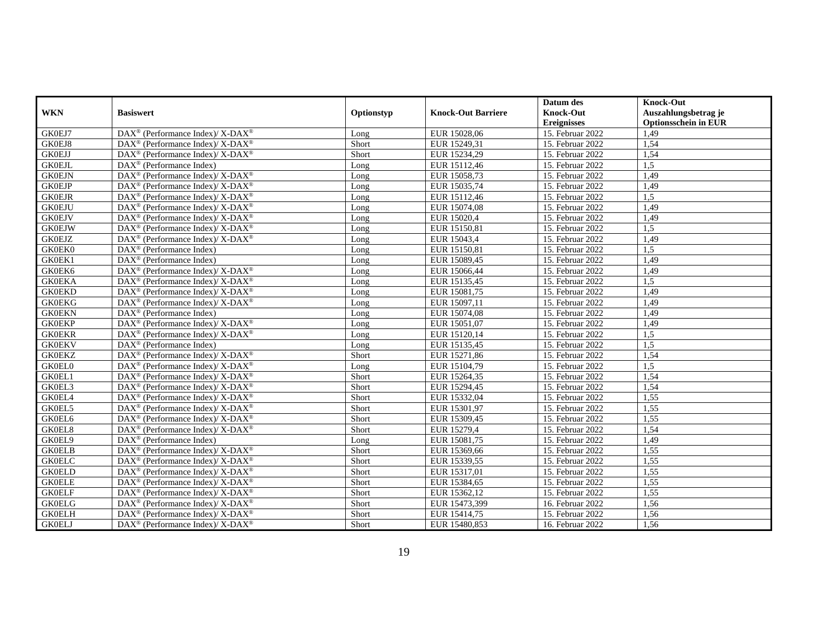|               |                                                                          |            |                           | Datum des          | <b>Knock-Out</b>            |
|---------------|--------------------------------------------------------------------------|------------|---------------------------|--------------------|-----------------------------|
| <b>WKN</b>    | <b>Basiswert</b>                                                         | Optionstyp | <b>Knock-Out Barriere</b> | <b>Knock-Out</b>   | Auszahlungsbetrag je        |
|               |                                                                          |            |                           | <b>Ereignisses</b> | <b>Optionsschein in EUR</b> |
| GK0EJ7        | DAX <sup>®</sup> (Performance Index)/ X-DAX <sup>®</sup>                 | Long       | EUR 15028,06              | 15. Februar 2022   | 1,49                        |
| GK0EJ8        | $DAX^{\circledcirc}$ (Performance Index)/ X-DAX <sup>®</sup>             | Short      | EUR 15249.31              | 15. Februar 2022   | 1,54                        |
| <b>GK0EJJ</b> | $DAX^{\circledR}$ (Performance Index)/ X-DAX <sup>®</sup>                | Short      | EUR 15234,29              | 15. Februar 2022   | 1,54                        |
| <b>GK0EJL</b> | DAX <sup>®</sup> (Performance Index)                                     | Long       | EUR 15112,46              | 15. Februar 2022   | 1,5                         |
| <b>GK0EJN</b> | DAX <sup>®</sup> (Performance Index)/ X-DAX <sup>®</sup>                 | Long       | EUR 15058,73              | 15. Februar 2022   | 1,49                        |
| <b>GK0EJP</b> | DAX <sup>®</sup> (Performance Index)/ X-DAX <sup>®</sup>                 | Long       | EUR 15035,74              | 15. Februar 2022   | 1,49                        |
| <b>GK0EJR</b> | DAX <sup>®</sup> (Performance Index)/ X-DAX <sup>®</sup>                 | Long       | EUR 15112,46              | 15. Februar 2022   | 1,5                         |
| <b>GK0EJU</b> | $DAX^{\circledR}$ (Performance Index)/ X-DAX <sup>®</sup>                | Long       | EUR 15074,08              | 15. Februar 2022   | 1,49                        |
| <b>GK0EJV</b> | DAX <sup>®</sup> (Performance Index)/X-DAX <sup>®</sup>                  | Long       | EUR 15020,4               | 15. Februar 2022   | 1,49                        |
| <b>GK0EJW</b> | $DAX^{\circledR}$ (Performance Index)/ X-DAX <sup>®</sup>                | Long       | EUR 15150,81              | 15. Februar 2022   | 1.5                         |
| <b>GK0EJZ</b> | $DAX^{\circledR}$ (Performance Index)/ X-DAX <sup>®</sup>                | Long       | EUR 15043,4               | 15. Februar 2022   | 1,49                        |
| GK0EK0        | DAX <sup>®</sup> (Performance Index)                                     | Long       | EUR 15150,81              | 15. Februar 2022   | 1,5                         |
| GK0EK1        | $\text{DAX}^{\circledR}$ (Performance Index)                             | Long       | EUR 15089,45              | 15. Februar 2022   | 1,49                        |
| GK0EK6        | DAX <sup>®</sup> (Performance Index)/ X-DAX <sup>®</sup>                 | Long       | EUR 15066,44              | 15. Februar 2022   | 1,49                        |
| <b>GK0EKA</b> | $DAX^{\circledR}$ (Performance Index)/ X-DAX <sup>®</sup>                | Long       | EUR 15135,45              | 15. Februar 2022   | 1.5                         |
| <b>GK0EKD</b> | $DAX^{\circledR}$ (Performance Index)/ X-DAX <sup>®</sup>                | Long       | EUR 15081,75              | 15. Februar 2022   | 1,49                        |
| <b>GK0EKG</b> | DAX <sup>®</sup> (Performance Index)/ X-DAX <sup>®</sup>                 | Long       | EUR 15097,11              | 15. Februar 2022   | 1,49                        |
| <b>GK0EKN</b> | $\text{DAX}^{\circledR}$ (Performance Index)                             | Long       | EUR 15074,08              | 15. Februar 2022   | 1,49                        |
| <b>GK0EKP</b> | DAX <sup>®</sup> (Performance Index)/ X-DAX <sup>®</sup>                 | Long       | EUR 15051,07              | 15. Februar 2022   | 1,49                        |
| <b>GK0EKR</b> | DAX <sup>®</sup> (Performance Index)/ X-DAX <sup>®</sup>                 | Long       | EUR 15120,14              | 15. Februar 2022   | 1,5                         |
| <b>GK0EKV</b> | $DAX^{\circledR}$ (Performance Index)                                    | Long       | EUR 15135,45              | 15. Februar 2022   | 1,5                         |
| <b>GK0EKZ</b> | DAX <sup>®</sup> (Performance Index)/ X-DAX <sup>®</sup>                 | Short      | EUR 15271,86              | 15. Februar 2022   | 1,54                        |
| <b>GK0EL0</b> | DAX <sup>®</sup> (Performance Index)/ X-DAX <sup>®</sup>                 | Long       | EUR 15104,79              | 15. Februar 2022   | 1,5                         |
| GK0EL1        | DAX <sup>®</sup> (Performance Index)/ X-DAX <sup>®</sup>                 | Short      | EUR 15264,35              | 15. Februar 2022   | 1,54                        |
| GK0EL3        | $DAX^{\circledR}$ (Performance Index)/ X-DAX <sup>®</sup>                | Short      | EUR 15294,45              | 15. Februar 2022   | 1,54                        |
| GK0EL4        | DAX <sup>®</sup> (Performance Index)/ X-DAX <sup>®</sup>                 | Short      | EUR 15332,04              | 15. Februar 2022   | 1.55                        |
| GK0EL5        | $DAX^{\circledR}$ (Performance Index)/ X-DAX <sup>®</sup>                | Short      | EUR 15301,97              | 15. Februar 2022   | 1,55                        |
| GK0EL6        | $DAX^{\circledR}$ (Performance Index)/ X-DAX <sup>®</sup>                | Short      | EUR 15309,45              | 15. Februar 2022   | 1,55                        |
| GK0EL8        | DAX <sup>®</sup> (Performance Index)/ X-DAX <sup>®</sup>                 | Short      | EUR 15279,4               | 15. Februar 2022   | 1,54                        |
| GK0EL9        | $\text{DAX}^{\circledR}$ (Performance Index)                             | Long       | EUR 15081,75              | 15. Februar 2022   | 1,49                        |
| <b>GK0ELB</b> | DAX <sup>®</sup> (Performance Index)/ X-DAX <sup>®</sup>                 | Short      | EUR 15369,66              | 15. Februar 2022   | 1,55                        |
| <b>GK0ELC</b> | DAX <sup>®</sup> (Performance Index)/ X-DAX <sup>®</sup>                 | Short      | EUR 15339,55              | 15. Februar 2022   | 1,55                        |
| <b>GK0ELD</b> | $DAX^{\circledR}$ (Performance Index)/ X-DAX <sup>®</sup>                | Short      | EUR 15317,01              | 15. Februar 2022   | 1,55                        |
| <b>GK0ELE</b> | $DAX^{\circledcirc}$ (Performance Index)/ X-DAX <sup>®</sup>             | Short      | EUR 15384,65              | 15. Februar 2022   | 1.55                        |
| <b>GK0ELF</b> | DAX <sup>®</sup> (Performance Index)/X-DAX <sup>®</sup>                  | Short      | EUR 15362,12              | 15. Februar 2022   | 1,55                        |
| <b>GK0ELG</b> | $DAX^{\circledR}$ (Performance Index)/ X-DAX <sup>®</sup>                | Short      | EUR 15473,399             | 16. Februar 2022   | 1,56                        |
| <b>GK0ELH</b> | $\overline{\text{DAX}^{\otimes}}$ (Performance Index)/X-DAX <sup>®</sup> | Short      | EUR 15414,75              | 15. Februar 2022   | 1,56                        |
| <b>GK0ELJ</b> | $DAX^{\circledR}$ (Performance Index)/ X-DAX <sup>®</sup>                | Short      | EUR 15480,853             | 16. Februar 2022   | 1,56                        |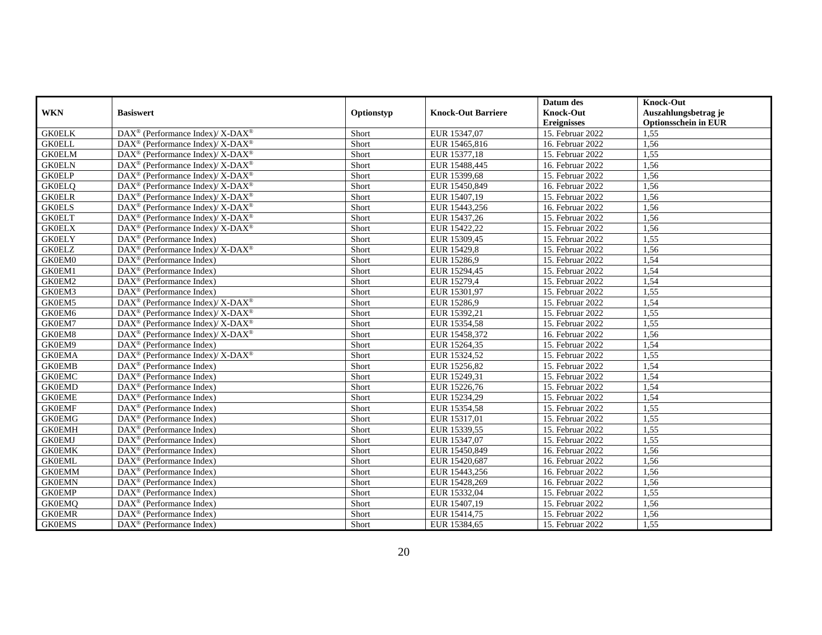|               |                                                                          |            |                           | Datum des          | <b>Knock-Out</b>            |
|---------------|--------------------------------------------------------------------------|------------|---------------------------|--------------------|-----------------------------|
| <b>WKN</b>    | <b>Basiswert</b>                                                         | Optionstyp | <b>Knock-Out Barriere</b> | <b>Knock-Out</b>   | Auszahlungsbetrag je        |
|               |                                                                          |            |                           | <b>Ereignisses</b> | <b>Optionsschein in EUR</b> |
| <b>GK0ELK</b> | $\overline{\text{DAX}^{\otimes}}$ (Performance Index)/X-DAX <sup>®</sup> | Short      | EUR 15347,07              | 15. Februar 2022   | 1.55                        |
| <b>GK0ELL</b> | $DAX^{\circledcirc}$ (Performance Index)/ X-DAX <sup>®</sup>             | Short      | EUR 15465,816             | 16. Februar 2022   | 1,56                        |
| <b>GK0ELM</b> | $DAX^{\circledR}$ (Performance Index)/ X-DAX <sup>®</sup>                | Short      | EUR 15377,18              | 15. Februar 2022   | 1,55                        |
| <b>GK0ELN</b> | DAX <sup>®</sup> (Performance Index)/ X-DAX <sup>®</sup>                 | Short      | EUR 15488,445             | 16. Februar 2022   | 1,56                        |
| <b>GK0ELP</b> | DAX <sup>®</sup> (Performance Index)/ X-DAX <sup>®</sup>                 | Short      | EUR 15399,68              | 15. Februar 2022   | 1,56                        |
| <b>GK0ELQ</b> | $DAX^{\circledR}$ (Performance Index)/ X-DAX <sup>®</sup>                | Short      | EUR 15450,849             | 16. Februar 2022   | 1,56                        |
| <b>GK0ELR</b> | $DAX^{\circledcirc}$ (Performance Index)/ X-DAX <sup>®</sup>             | Short      | EUR 15407.19              | 15. Februar 2022   | 1,56                        |
| <b>GK0ELS</b> | $DAX^{\circledR}$ (Performance Index)/ X-DAX <sup>®</sup>                | Short      | EUR 15443,256             | 16. Februar 2022   | 1,56                        |
| <b>GK0ELT</b> | DAX <sup>®</sup> (Performance Index)/ X-DAX <sup>®</sup>                 | Short      | EUR 15437,26              | 15. Februar 2022   | 1,56                        |
| <b>GK0ELX</b> | $DAX^{\circledR}$ (Performance Index)/ X-DAX <sup>®</sup>                | Short      | EUR 15422,22              | 15. Februar 2022   | 1.56                        |
| <b>GK0ELY</b> | $\text{DAX}^{\circledR}$ (Performance Index)                             | Short      | EUR 15309,45              | 15. Februar 2022   | 1,55                        |
| <b>GK0ELZ</b> | DAX <sup>®</sup> (Performance Index)/ X-DAX <sup>®</sup>                 | Short      | EUR 15429,8               | 15. Februar 2022   | 1,56                        |
| GK0EM0        | $\text{DAX}^{\circledR}$ (Performance Index)                             | Short      | EUR 15286,9               | 15. Februar 2022   | 1,54                        |
| GK0EM1        | DAX <sup>®</sup> (Performance Index)                                     | Short      | EUR 15294,45              | 15. Februar 2022   | 1,54                        |
| GK0EM2        | DAX <sup>®</sup> (Performance Index)                                     | Short      | EUR 15279,4               | 15. Februar 2022   | 1,54                        |
| GK0EM3        | $\text{DAX}^{\circledR}$ (Performance Index)                             | Short      | EUR 15301,97              | 15. Februar 2022   | 1,55                        |
| GK0EM5        | DAX <sup>®</sup> (Performance Index)/ X-DAX <sup>®</sup>                 | Short      | EUR 15286,9               | 15. Februar 2022   | 1,54                        |
| GK0EM6        | $DAX^{\circledR}$ (Performance Index)/ X-DAX <sup>®</sup>                | Short      | EUR 15392,21              | 15. Februar 2022   | 1,55                        |
| GK0EM7        | DAX <sup>®</sup> (Performance Index)/X-DAX <sup>®</sup>                  | Short      | EUR 15354,58              | 15. Februar 2022   | 1,55                        |
| GK0EM8        | $DAX^{\circledR}$ (Performance Index)/X-DAX <sup>®</sup>                 | Short      | EUR 15458,372             | 16. Februar 2022   | 1,56                        |
| GK0EM9        | DAX <sup>®</sup> (Performance Index)                                     | Short      | EUR 15264,35              | 15. Februar 2022   | 1,54                        |
| <b>GK0EMA</b> | DAX <sup>®</sup> (Performance Index)/ X-DAX <sup>®</sup>                 | Short      | EUR 15324,52              | 15. Februar 2022   | 1,55                        |
| <b>GK0EMB</b> | $\text{DAX}^{\circledR}$ (Performance Index)                             | Short      | EUR 15256,82              | 15. Februar 2022   | 1,54                        |
| <b>GK0EMC</b> | DAX <sup>®</sup> (Performance Index)                                     | Short      | EUR 15249,31              | 15. Februar 2022   | 1,54                        |
| <b>GK0EMD</b> | $\text{DAX}^{\circledR}$ (Performance Index)                             | Short      | EUR 15226,76              | 15. Februar 2022   | 1,54                        |
| <b>GK0EME</b> | DAX <sup>®</sup> (Performance Index)                                     | Short      | EUR 15234,29              | 15. Februar 2022   | 1,54                        |
| <b>GK0EMF</b> | DAX <sup>®</sup> (Performance Index)                                     | Short      | EUR 15354,58              | 15. Februar 2022   | 1,55                        |
| <b>GK0EMG</b> | DAX <sup>®</sup> (Performance Index)                                     | Short      | EUR 15317,01              | 15. Februar 2022   | 1,55                        |
| <b>GK0EMH</b> | DAX <sup>®</sup> (Performance Index)                                     | Short      | EUR 15339,55              | 15. Februar 2022   | 1,55                        |
| <b>GK0EMJ</b> | $\text{DAX}^{\circledR}$ (Performance Index)                             | Short      | EUR 15347,07              | 15. Februar 2022   | 1,55                        |
| <b>GK0EMK</b> | $\text{DAX}^{\otimes}$ (Performance Index)                               | Short      | EUR 15450,849             | 16. Februar 2022   | 1,56                        |
| <b>GK0EML</b> | $\text{DAX}^{\circledR}$ (Performance Index)                             | Short      | EUR 15420,687             | 16. Februar 2022   | 1,56                        |
| <b>GK0EMM</b> | DAX <sup>®</sup> (Performance Index)                                     | Short      | EUR 15443,256             | 16. Februar 2022   | 1,56                        |
| <b>GK0EMN</b> | $\overline{\text{DAX}}^{\textcirc}$ (Performance Index)                  | Short      | EUR 15428,269             | 16. Februar 2022   | 1,56                        |
| <b>GK0EMP</b> | $DAX^{\circledR}$ (Performance Index)                                    | Short      | EUR 15332,04              | 15. Februar 2022   | 1,55                        |
| <b>GK0EMQ</b> | $\text{DAX}^{\circledR}$ (Performance Index)                             | Short      | EUR 15407,19              | 15. Februar 2022   | 1,56                        |
| <b>GK0EMR</b> | DAX <sup>®</sup> (Performance Index)                                     | Short      | EUR 15414,75              | 15. Februar 2022   | 1,56                        |
| <b>GK0EMS</b> | DAX <sup>®</sup> (Performance Index)                                     | Short      | EUR 15384,65              | 15. Februar 2022   | 1,55                        |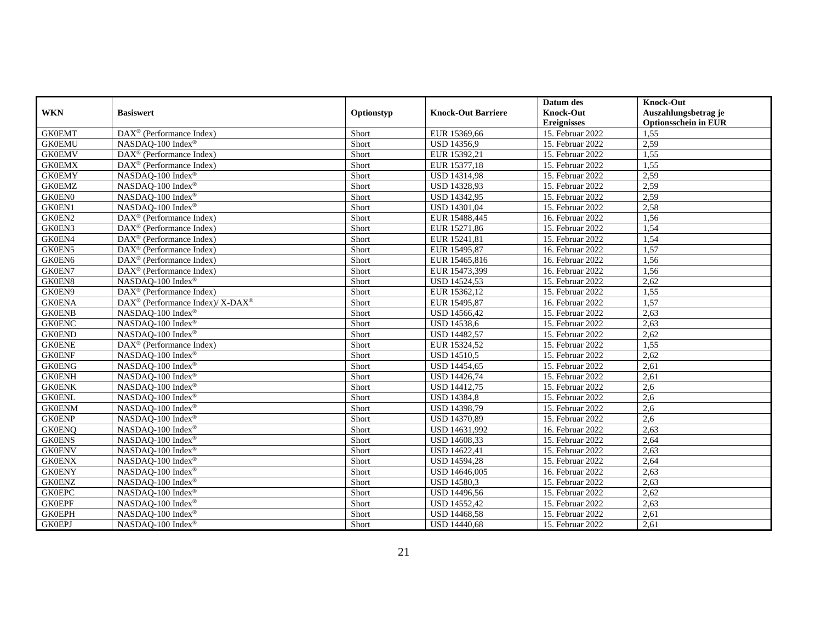|               |                                                         |            |                           | Datum des          | <b>Knock-Out</b>            |
|---------------|---------------------------------------------------------|------------|---------------------------|--------------------|-----------------------------|
| <b>WKN</b>    | <b>Basiswert</b>                                        | Optionstyp | <b>Knock-Out Barriere</b> | <b>Knock-Out</b>   | Auszahlungsbetrag je        |
|               |                                                         |            |                           | <b>Ereignisses</b> | <b>Optionsschein in EUR</b> |
| <b>GK0EMT</b> | $\text{DAX}^{\circledR}$ (Performance Index)            | Short      | EUR 15369,66              | 15. Februar 2022   | 1,55                        |
| <b>GK0EMU</b> | NASDAO-100 Index®                                       | Short      | <b>USD 14356.9</b>        | 15. Februar 2022   | 2.59                        |
| <b>GK0EMV</b> | DAX <sup>®</sup> (Performance Index)                    | Short      | EUR 15392,21              | 15. Februar 2022   | 1,55                        |
| <b>GK0EMX</b> | DAX <sup>®</sup> (Performance Index)                    | Short      | EUR 15377,18              | 15. Februar 2022   | 1,55                        |
| <b>GK0EMY</b> | NASDAQ-100 Index®                                       | Short      | USD 14314,98              | 15. Februar 2022   | 2,59                        |
| <b>GK0EMZ</b> | NASDAQ-100 Index®                                       | Short      | <b>USD 14328,93</b>       | 15. Februar 2022   | 2,59                        |
| <b>GK0EN0</b> | NASDAO-100 Index®                                       | Short      | USD 14342,95              | 15. Februar 2022   | 2,59                        |
| GK0EN1        | NASDAQ-100 Index®                                       | Short      | USD 14301,04              | 15. Februar 2022   | 2,58                        |
| GK0EN2        | DAX <sup>®</sup> (Performance Index)                    | Short      | EUR 15488,445             | 16. Februar 2022   | 1,56                        |
| GK0EN3        | $\text{DAX}^{\otimes}$ (Performance Index)              | Short      | EUR 15271,86              | 15. Februar 2022   | 1,54                        |
| GK0EN4        | DAX <sup>®</sup> (Performance Index)                    | Short      | EUR 15241,81              | 15. Februar 2022   | 1,54                        |
| GK0EN5        | $\overline{\text{DAX}}^{\textcirc}$ (Performance Index) | Short      | EUR 15495,87              | 16. Februar 2022   | 1,57                        |
| GK0EN6        | $DAX^{\circledR}$ (Performance Index)                   | Short      | EUR 15465,816             | 16. Februar 2022   | 1,56                        |
| GK0EN7        | $DAX^{\circledR}$ (Performance Index)                   | Short      | EUR 15473,399             | 16. Februar 2022   | 1,56                        |
| GK0EN8        | NASDAQ-100 Index®                                       | Short      | <b>USD 14524,53</b>       | 15. Februar 2022   | 2,62                        |
| GK0EN9        | $\text{DAX}^{\otimes}$ (Performance Index)              | Short      | EUR 15362,12              | 15. Februar 2022   | 1,55                        |
| <b>GK0ENA</b> | DAX® (Performance Index)/ X-DAX®                        | Short      | EUR 15495,87              | 16. Februar 2022   | 1,57                        |
| <b>GK0ENB</b> | NASDAO-100 Index®                                       | Short      | USD 14566,42              | 15. Februar 2022   | 2,63                        |
| <b>GK0ENC</b> | NASDAQ-100 Index®                                       | Short      | USD 14538,6               | 15. Februar 2022   | 2,63                        |
| <b>GK0END</b> | NASDAQ-100 Index®                                       | Short      | USD 14482,57              | 15. Februar 2022   | 2,62                        |
| <b>GK0ENE</b> | DAX <sup>®</sup> (Performance Index)                    | Short      | EUR 15324,52              | 15. Februar 2022   | 1,55                        |
| <b>GK0ENF</b> | NASDAQ-100 Index®                                       | Short      | <b>USD 14510,5</b>        | 15. Februar 2022   | 2,62                        |
| <b>GK0ENG</b> | NASDAO-100 Index <sup>®</sup>                           | Short      | USD 14454,65              | 15. Februar 2022   | 2,61                        |
| <b>GK0ENH</b> | NASDAQ-100 Index®                                       | Short      | <b>USD 14426,74</b>       | 15. Februar 2022   | 2,61                        |
| <b>GK0ENK</b> | NASDAQ-100 Index®                                       | Short      | USD 14412,75              | 15. Februar 2022   | 2,6                         |
| <b>GK0ENL</b> | NASDAQ-100 Index®                                       | Short      | <b>USD 14384,8</b>        | 15. Februar 2022   | 2,6                         |
| <b>GK0ENM</b> | NASDAQ-100 Index®                                       | Short      | USD 14398,79              | 15. Februar 2022   | 2,6                         |
| <b>GK0ENP</b> | NASDAQ-100 Index®                                       | Short      | USD 14370,89              | 15. Februar 2022   | 2,6                         |
| <b>GK0ENQ</b> | NASDAQ-100 Index®                                       | Short      | USD 14631,992             | 16. Februar 2022   | 2,63                        |
| <b>GK0ENS</b> | NASDAO-100 Index®                                       | Short      | USD 14608,33              | 15. Februar 2022   | 2,64                        |
| <b>GK0ENV</b> | NASDAQ-100 Index®                                       | Short      | USD 14622,41              | 15. Februar 2022   | 2,63                        |
| <b>GK0ENX</b> | NASDAQ-100 Index®                                       | Short      | <b>USD 14594,28</b>       | 15. Februar 2022   | 2,64                        |
| <b>GK0ENY</b> | NASDAQ-100 Index®                                       | Short      | USD 14646,005             | 16. Februar 2022   | 2,63                        |
| <b>GK0ENZ</b> | NASDAO-100 Index®                                       | Short      | <b>USD 14580,3</b>        | 15. Februar 2022   | 2,63                        |
| <b>GK0EPC</b> | NASDAO-100 Index®                                       | Short      | USD 14496,56              | 15. Februar 2022   | 2,62                        |
| <b>GK0EPF</b> | NASDAQ-100 Index®                                       | Short      | USD 14552,42              | 15. Februar 2022   | 2,63                        |
| <b>GK0EPH</b> | NASDAQ-100 Index®                                       | Short      | USD 14468,58              | 15. Februar 2022   | 2,61                        |
| <b>GK0EPJ</b> | NASDAQ-100 Index®                                       | Short      | <b>USD 14440,68</b>       | 15. Februar 2022   | 2,61                        |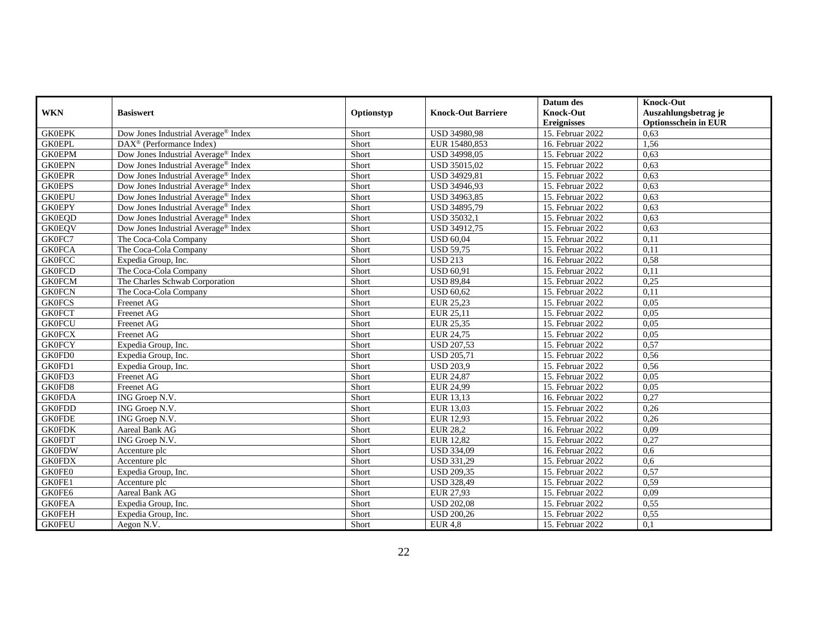|               |                                                 |            |                           | Datum des          | <b>Knock-Out</b>            |
|---------------|-------------------------------------------------|------------|---------------------------|--------------------|-----------------------------|
| <b>WKN</b>    | <b>Basiswert</b>                                | Optionstyp | <b>Knock-Out Barriere</b> | <b>Knock-Out</b>   | Auszahlungsbetrag je        |
|               |                                                 |            |                           | <b>Ereignisses</b> | <b>Optionsschein in EUR</b> |
| <b>GK0EPK</b> | Dow Jones Industrial Average <sup>®</sup> Index | Short      | USD 34980,98              | 15. Februar 2022   | 0.63                        |
| <b>GK0EPL</b> | $\text{DAX}^{\circledR}$ (Performance Index)    | Short      | EUR 15480,853             | 16. Februar 2022   | 1.56                        |
| <b>GK0EPM</b> | Dow Jones Industrial Average <sup>®</sup> Index | Short      | <b>USD 34998,05</b>       | 15. Februar 2022   | 0,63                        |
| <b>GK0EPN</b> | Dow Jones Industrial Average <sup>®</sup> Index | Short      | USD 35015,02              | 15. Februar 2022   | 0,63                        |
| <b>GK0EPR</b> | Dow Jones Industrial Average <sup>®</sup> Index | Short      | USD 34929,81              | 15. Februar 2022   | 0,63                        |
| <b>GK0EPS</b> | Dow Jones Industrial Average <sup>®</sup> Index | Short      | <b>USD 34946.93</b>       | 15. Februar 2022   | 0,63                        |
| <b>GK0EPU</b> | Dow Jones Industrial Average <sup>®</sup> Index | Short      | USD 34963,85              | 15. Februar 2022   | 0.63                        |
| <b>GK0EPY</b> | Dow Jones Industrial Average <sup>®</sup> Index | Short      | USD 34895,79              | 15. Februar 2022   | 0,63                        |
| <b>GK0EQD</b> | Dow Jones Industrial Average® Index             | Short      | USD 35032,1               | 15. Februar 2022   | 0,63                        |
| <b>GK0EQV</b> | Dow Jones Industrial Average® Index             | Short      | <b>USD 34912.75</b>       | 15. Februar 2022   | 0,63                        |
| GK0FC7        | The Coca-Cola Company                           | Short      | <b>USD 60.04</b>          | 15. Februar 2022   | 0,11                        |
| <b>GK0FCA</b> | The Coca-Cola Company                           | Short      | <b>USD 59,75</b>          | 15. Februar 2022   | 0,11                        |
| <b>GK0FCC</b> | Expedia Group, Inc.                             | Short      | <b>USD 213</b>            | 16. Februar 2022   | 0,58                        |
| <b>GK0FCD</b> | The Coca-Cola Company                           | Short      | <b>USD 60,91</b>          | 15. Februar 2022   | 0,11                        |
| <b>GK0FCM</b> | The Charles Schwab Corporation                  | Short      | <b>USD 89,84</b>          | 15. Februar 2022   | 0,25                        |
| <b>GK0FCN</b> | The Coca-Cola Company                           | Short      | <b>USD 60,62</b>          | 15. Februar 2022   | 0,11                        |
| <b>GK0FCS</b> | Freenet AG                                      | Short      | EUR 25,23                 | 15. Februar 2022   | 0,05                        |
| <b>GK0FCT</b> | Freenet AG                                      | Short      | EUR 25,11                 | 15. Februar 2022   | 0,05                        |
| <b>GK0FCU</b> | Freenet AG                                      | Short      | EUR 25,35                 | 15. Februar 2022   | 0,05                        |
| <b>GK0FCX</b> | Freenet AG                                      | Short      | EUR 24,75                 | 15. Februar 2022   | 0,05                        |
| <b>GK0FCY</b> | Expedia Group, Inc.                             | Short      | <b>USD 207,53</b>         | 15. Februar 2022   | 0,57                        |
| GK0FD0        | Expedia Group, Inc.                             | Short      | <b>USD 205,71</b>         | 15. Februar 2022   | 0,56                        |
| GK0FD1        | Expedia Group, Inc.                             | Short      | <b>USD 203.9</b>          | 15. Februar 2022   | 0,56                        |
| GK0FD3        | Freenet AG                                      | Short      | EUR 24,87                 | 15. Februar 2022   | 0,05                        |
| GK0FD8        | Freenet AG                                      | Short      | EUR 24,99                 | 15. Februar 2022   | 0.05                        |
| <b>GK0FDA</b> | ING Groep N.V.                                  | Short      | EUR 13,13                 | 16. Februar 2022   | 0,27                        |
| <b>GK0FDD</b> | ING Groep N.V.                                  | Short      | EUR 13,03                 | 15. Februar 2022   | 0,26                        |
| <b>GK0FDE</b> | ING Groep N.V.                                  | Short      | EUR 12,93                 | 15. Februar 2022   | 0,26                        |
| <b>GK0FDK</b> | Aareal Bank AG                                  | Short      | <b>EUR 28,2</b>           | 16. Februar 2022   | 0,09                        |
| <b>GK0FDT</b> | ING Groep N.V.                                  | Short      | <b>EUR 12,82</b>          | 15. Februar 2022   | 0,27                        |
| <b>GK0FDW</b> | Accenture plc                                   | Short      | <b>USD 334,09</b>         | 16. Februar 2022   | 0,6                         |
| <b>GK0FDX</b> | Accenture plc                                   | Short      | <b>USD 331,29</b>         | 15. Februar 2022   | 0,6                         |
| GK0FE0        | Expedia Group, Inc.                             | Short      | <b>USD 209,35</b>         | 15. Februar 2022   | 0,57                        |
| GK0FE1        | Accenture plc                                   | Short      | <b>USD 328,49</b>         | 15. Februar 2022   | 0.59                        |
| GK0FE6        | Aareal Bank AG                                  | Short      | EUR 27,93                 | 15. Februar 2022   | 0,09                        |
| <b>GK0FEA</b> | Expedia Group, Inc.                             | Short      | <b>USD 202,08</b>         | 15. Februar 2022   | 0,55                        |
| <b>GK0FEH</b> | Expedia Group, Inc.                             | Short      | <b>USD 200,26</b>         | 15. Februar 2022   | 0,55                        |
| <b>GK0FEU</b> | Aegon N.V.                                      | Short      | $EUR$ 4,8                 | 15. Februar 2022   | 0,1                         |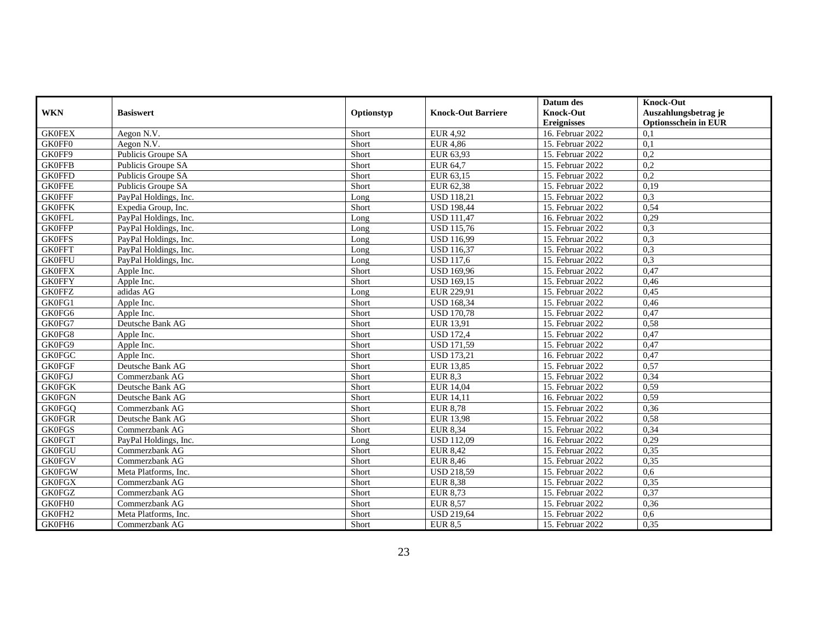|               |                       |            |                           | Datum des          | <b>Knock-Out</b>            |
|---------------|-----------------------|------------|---------------------------|--------------------|-----------------------------|
| <b>WKN</b>    | <b>Basiswert</b>      | Optionstyp | <b>Knock-Out Barriere</b> | <b>Knock-Out</b>   | Auszahlungsbetrag je        |
|               |                       |            |                           | <b>Ereignisses</b> | <b>Optionsschein in EUR</b> |
| <b>GK0FEX</b> | Aegon N.V.            | Short      | EUR 4,92                  | 16. Februar 2022   | 0,1                         |
| GK0FF0        | Aegon N.V.            | Short      | <b>EUR 4.86</b>           | 15. Februar 2022   | $\overline{0,1}$            |
| GK0FF9        | Publicis Groupe SA    | Short      | EUR 63,93                 | 15. Februar 2022   | 0,2                         |
| <b>GK0FFB</b> | Publicis Groupe SA    | Short      | EUR 64,7                  | 15. Februar 2022   | 0,2                         |
| <b>GK0FFD</b> | Publicis Groupe SA    | Short      | EUR 63,15                 | 15. Februar 2022   | 0,2                         |
| <b>GK0FFE</b> | Publicis Groupe SA    | Short      | EUR 62,38                 | 15. Februar 2022   | 0,19                        |
| <b>GK0FFF</b> | PayPal Holdings, Inc. | Long       | <b>USD 118.21</b>         | 15. Februar 2022   | 0.3                         |
| <b>GK0FFK</b> | Expedia Group, Inc.   | Short      | <b>USD 198,44</b>         | 15. Februar 2022   | 0.54                        |
| <b>GK0FFL</b> | PayPal Holdings, Inc. | Long       | <b>USD 111,47</b>         | 16. Februar 2022   | 0,29                        |
| <b>GK0FFP</b> | PayPal Holdings, Inc. | Long       | <b>USD 115,76</b>         | 15. Februar 2022   | 0,3                         |
| <b>GK0FFS</b> | PayPal Holdings, Inc. | Long       | <b>USD 116,99</b>         | 15. Februar 2022   | 0,3                         |
| <b>GK0FFT</b> | PayPal Holdings, Inc. | Long       | <b>USD</b> 116,37         | 15. Februar 2022   | 0,3                         |
| <b>GK0FFU</b> | PayPal Holdings, Inc. | Long       | <b>USD 117.6</b>          | 15. Februar 2022   | 0,3                         |
| <b>GK0FFX</b> | Apple Inc.            | Short      | <b>USD 169,96</b>         | 15. Februar 2022   | 0,47                        |
| <b>GK0FFY</b> | Apple Inc.            | Short      | <b>USD 169,15</b>         | 15. Februar 2022   | 0,46                        |
| <b>GK0FFZ</b> | adidas AG             | Long       | EUR 229,91                | 15. Februar 2022   | 0,45                        |
| GK0FG1        | Apple Inc.            | Short      | <b>USD 168,34</b>         | 15. Februar 2022   | 0,46                        |
| GK0FG6        | Apple Inc.            | Short      | <b>USD 170,78</b>         | 15. Februar 2022   | 0,47                        |
| GK0FG7        | Deutsche Bank AG      | Short      | EUR 13,91                 | 15. Februar 2022   | 0,58                        |
| GK0FG8        | Apple Inc.            | Short      | <b>USD 172,4</b>          | 15. Februar 2022   | 0,47                        |
| GK0FG9        | Apple Inc.            | Short      | <b>USD 171,59</b>         | 15. Februar 2022   | 0,47                        |
| <b>GK0FGC</b> | Apple Inc.            | Short      | <b>USD 173,21</b>         | 16. Februar 2022   | 0,47                        |
| <b>GK0FGF</b> | Deutsche Bank AG      | Short      | EUR 13.85                 | 15. Februar 2022   | 0.57                        |
| <b>GK0FGJ</b> | Commerzbank AG        | Short      | EUR 8.3                   | 15. Februar 2022   | 0,34                        |
| <b>GK0FGK</b> | Deutsche Bank AG      | Short      | <b>EUR 14,04</b>          | 15. Februar 2022   | 0,59                        |
| <b>GK0FGN</b> | Deutsche Bank AG      | Short      | EUR 14,11                 | 16. Februar 2022   | 0,59                        |
| <b>GK0FGQ</b> | Commerzbank AG        | Short      | <b>EUR 8,78</b>           | 15. Februar 2022   | 0,36                        |
| <b>GK0FGR</b> | Deutsche Bank AG      | Short      | <b>EUR 13.98</b>          | 15. Februar 2022   | 0,58                        |
| <b>GK0FGS</b> | Commerzbank AG        | Short      | <b>EUR 8,34</b>           | 15. Februar 2022   | 0,34                        |
| <b>GK0FGT</b> | PayPal Holdings, Inc. | Long       | <b>USD 112,09</b>         | 16. Februar 2022   | 0,29                        |
| <b>GK0FGU</b> | Commerzbank AG        | Short      | <b>EUR 8,42</b>           | 15. Februar 2022   | 0,35                        |
| <b>GK0FGV</b> | Commerzbank AG        | Short      | <b>EUR 8,46</b>           | 15. Februar 2022   | 0,35                        |
| <b>GK0FGW</b> | Meta Platforms, Inc.  | Short      | <b>USD 218,59</b>         | 15. Februar 2022   | 0,6                         |
| <b>GK0FGX</b> | Commerzbank AG        | Short      | <b>EUR 8,38</b>           | 15. Februar 2022   | 0.35                        |
| <b>GK0FGZ</b> | Commerzbank AG        | Short      | EUR 8,73                  | 15. Februar 2022   | 0,37                        |
| GK0FH0        | Commerzbank AG        | Short      | <b>EUR 8,57</b>           | 15. Februar 2022   | 0,36                        |
| GK0FH2        | Meta Platforms, Inc.  | Short      | <b>USD 219,64</b>         | 15. Februar 2022   | 0,6                         |
| GK0FH6        | Commerzbank AG        | Short      | <b>EUR 8,5</b>            | 15. Februar 2022   | 0,35                        |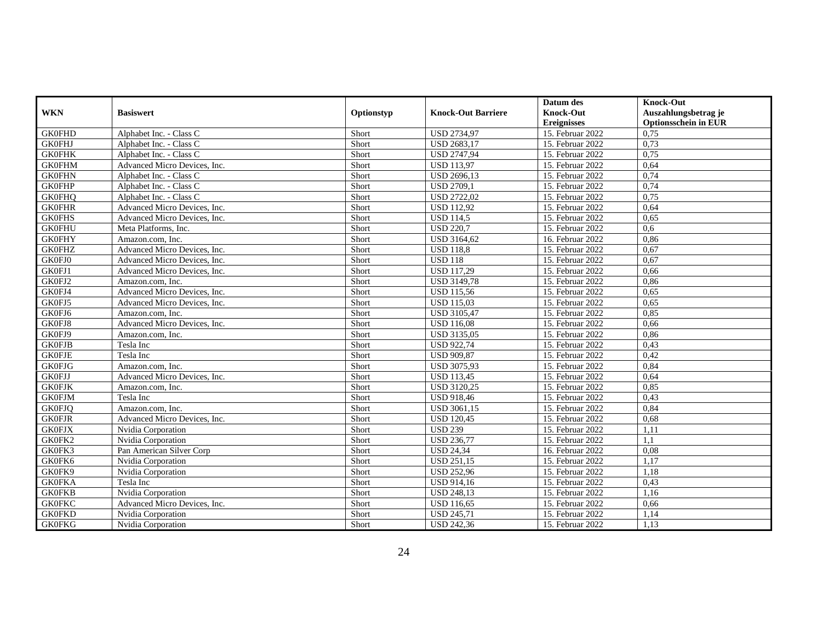|               |                              |            |                           | Datum des          | <b>Knock-Out</b>            |
|---------------|------------------------------|------------|---------------------------|--------------------|-----------------------------|
| <b>WKN</b>    | <b>Basiswert</b>             | Optionstyp | <b>Knock-Out Barriere</b> | <b>Knock-Out</b>   | Auszahlungsbetrag je        |
|               |                              |            |                           | <b>Ereignisses</b> | <b>Optionsschein in EUR</b> |
| <b>GK0FHD</b> | Alphabet Inc. - Class C      | Short      | <b>USD 2734,97</b>        | 15. Februar 2022   | 0.75                        |
| <b>GK0FHJ</b> | Alphabet Inc. - Class C      | Short      | <b>USD 2683.17</b>        | 15. Februar 2022   | 0.73                        |
| <b>GK0FHK</b> | Alphabet Inc. - Class C      | Short      | <b>USD 2747,94</b>        | 15. Februar 2022   | 0,75                        |
| <b>GK0FHM</b> | Advanced Micro Devices, Inc. | Short      | <b>USD 113,97</b>         | 15. Februar 2022   | 0,64                        |
| <b>GK0FHN</b> | Alphabet Inc. - Class C      | Short      | USD 2696,13               | 15. Februar 2022   | 0,74                        |
| <b>GK0FHP</b> | Alphabet Inc. - Class C      | Short      | <b>USD 2709.1</b>         | 15. Februar 2022   | 0,74                        |
| <b>GK0FHO</b> | Alphabet Inc. - Class C      | Short      | <b>USD 2722.02</b>        | 15. Februar 2022   | 0.75                        |
| <b>GK0FHR</b> | Advanced Micro Devices, Inc. | Short      | <b>USD 112,92</b>         | 15. Februar 2022   | 0,64                        |
| <b>GK0FHS</b> | Advanced Micro Devices, Inc. | Short      | <b>USD 114,5</b>          | 15. Februar 2022   | 0.65                        |
| <b>GK0FHU</b> | Meta Platforms, Inc.         | Short      | <b>USD 220.7</b>          | 15. Februar 2022   | 0.6                         |
| <b>GK0FHY</b> | Amazon.com. Inc.             | Short      | USD 3164,62               | 16. Februar 2022   | 0,86                        |
| <b>GK0FHZ</b> | Advanced Micro Devices, Inc. | Short      | <b>USD 118,8</b>          | 15. Februar 2022   | 0,67                        |
| GK0FJ0        | Advanced Micro Devices, Inc. | Short      | <b>USD 118</b>            | 15. Februar 2022   | 0,67                        |
| GK0FJ1        | Advanced Micro Devices, Inc. | Short      | <b>USD 117,29</b>         | 15. Februar 2022   | 0,66                        |
| GK0FJ2        | Amazon.com, Inc.             | Short      | USD 3149,78               | 15. Februar 2022   | 0,86                        |
| GK0FJ4        | Advanced Micro Devices, Inc. | Short      | <b>USD 115.56</b>         | 15. Februar 2022   | 0.65                        |
| GK0FJ5        | Advanced Micro Devices, Inc. | Short      | <b>USD 115,03</b>         | 15. Februar 2022   | 0,65                        |
| GK0FJ6        | Amazon.com, Inc.             | Short      | <b>USD 3105,47</b>        | 15. Februar 2022   | 0.85                        |
| GK0FJ8        | Advanced Micro Devices, Inc. | Short      | <b>USD</b> 116,08         | 15. Februar 2022   | 0,66                        |
| GK0FJ9        | Amazon.com, Inc.             | Short      | USD 3135,05               | 15. Februar 2022   | 0,86                        |
| <b>GK0FJB</b> | Tesla Inc                    | Short      | <b>USD 922,74</b>         | 15. Februar 2022   | 0,43                        |
| <b>GK0FJE</b> | Tesla Inc                    | Short      | <b>USD 909,87</b>         | 15. Februar 2022   | 0,42                        |
| <b>GK0FJG</b> | Amazon.com. Inc.             | Short      | USD 3075,93               | 15. Februar 2022   | 0.84                        |
| <b>GK0FJJ</b> | Advanced Micro Devices, Inc. | Short      | <b>USD 113,45</b>         | 15. Februar 2022   | 0,64                        |
| <b>GK0FJK</b> | Amazon.com. Inc.             | Short      | <b>USD 3120,25</b>        | 15. Februar 2022   | 0.85                        |
| <b>GK0FJM</b> | Tesla Inc                    | Short      | <b>USD 918,46</b>         | 15. Februar 2022   | 0,43                        |
| <b>GK0FJQ</b> | Amazon.com, Inc.             | Short      | <b>USD 3061.15</b>        | 15. Februar 2022   | 0,84                        |
| <b>GK0FJR</b> | Advanced Micro Devices, Inc. | Short      | <b>USD</b> 120,45         | 15. Februar 2022   | 0,68                        |
| <b>GK0FJX</b> | Nvidia Corporation           | Short      | <b>USD 239</b>            | 15. Februar 2022   | 1,11                        |
| GK0FK2        | Nvidia Corporation           | Short      | <b>USD 236.77</b>         | 15. Februar 2022   | 1.1                         |
| GK0FK3        | Pan American Silver Corp     | Short      | <b>USD 24,34</b>          | 16. Februar 2022   | 0,08                        |
| GK0FK6        | Nvidia Corporation           | Short      | <b>USD 251,15</b>         | 15. Februar 2022   | 1,17                        |
| GK0FK9        | Nvidia Corporation           | Short      | <b>USD 252,96</b>         | 15. Februar 2022   | 1,18                        |
| <b>GK0FKA</b> | Tesla Inc                    | Short      | <b>USD 914,16</b>         | 15. Februar 2022   | 0,43                        |
| <b>GK0FKB</b> | Nvidia Corporation           | Short      | <b>USD 248,13</b>         | 15. Februar 2022   | 1,16                        |
| <b>GK0FKC</b> | Advanced Micro Devices, Inc. | Short      | USD 116,65                | 15. Februar 2022   | 0,66                        |
| <b>GK0FKD</b> | Nvidia Corporation           | Short      | <b>USD 245,71</b>         | 15. Februar 2022   | 1,14                        |
| <b>GK0FKG</b> | Nvidia Corporation           | Short      | <b>USD 242,36</b>         | 15. Februar 2022   | 1,13                        |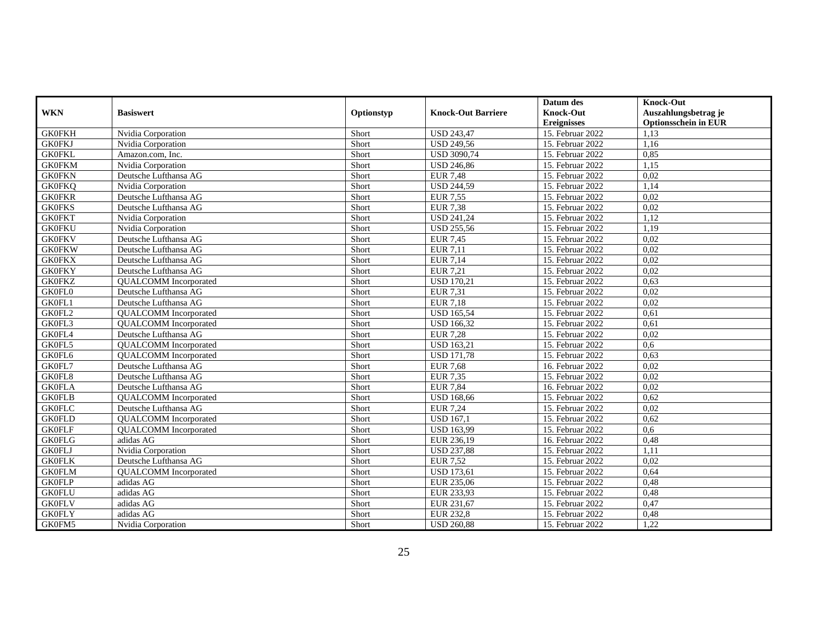|               |                              |            |                               | Datum des          | <b>Knock-Out</b>     |
|---------------|------------------------------|------------|-------------------------------|--------------------|----------------------|
| <b>WKN</b>    | <b>Basiswert</b>             | Optionstyp | <b>Knock-Out Barriere</b>     | <b>Knock-Out</b>   | Auszahlungsbetrag je |
|               |                              |            |                               | <b>Ereignisses</b> | Optionsschein in EUR |
| <b>GK0FKH</b> | Nvidia Corporation           | Short      | <b>USD 243,47</b>             | 15. Februar 2022   | 1.13                 |
| <b>GK0FKJ</b> | Nvidia Corporation           | Short      | <b>USD 249.56</b>             | 15. Februar 2022   | 1.16                 |
| <b>GK0FKL</b> | Amazon.com, Inc.             | Short      | <b>USD 3090,74</b>            | 15. Februar 2022   | 0,85                 |
| <b>GK0FKM</b> | Nvidia Corporation           | Short      | <b>USD 246,86</b>             | 15. Februar 2022   | 1,15                 |
| <b>GK0FKN</b> | Deutsche Lufthansa AG        | Short      | <b>EUR 7,48</b>               | 15. Februar 2022   | 0.02                 |
| <b>GK0FKQ</b> | Nvidia Corporation           | Short      | <b>USD 244.59</b>             | 15. Februar 2022   | 1,14                 |
| <b>GK0FKR</b> | Deutsche Lufthansa AG        | Short      | <b>EUR 7.55</b>               | 15. Februar 2022   | 0.02                 |
| <b>GK0FKS</b> | Deutsche Lufthansa AG        | Short      | <b>EUR 7,38</b>               | 15. Februar 2022   | 0,02                 |
| <b>GK0FKT</b> | Nvidia Corporation           | Short      | <b>USD 241,24</b>             | 15. Februar 2022   | 1,12                 |
| <b>GK0FKU</b> | Nvidia Corporation           | Short      | <b>USD 255,56</b>             | 15. Februar 2022   | 1,19                 |
| <b>GK0FKV</b> | Deutsche Lufthansa AG        | Short      | <b>EUR 7,45</b>               | 15. Februar 2022   | 0,02                 |
| <b>GK0FKW</b> | Deutsche Lufthansa AG        | Short      | EUR 7,11                      | 15. Februar 2022   | 0,02                 |
| <b>GK0FKX</b> | Deutsche Lufthansa AG        | Short      | EUR 7,14                      | 15. Februar 2022   | 0,02                 |
| <b>GK0FKY</b> | Deutsche Lufthansa AG        | Short      | EUR 7,21                      | 15. Februar 2022   | 0,02                 |
| <b>GK0FKZ</b> | <b>QUALCOMM</b> Incorporated | Short      | <b>USD 170,21</b>             | 15. Februar 2022   | 0,63                 |
| <b>GK0FL0</b> | Deutsche Lufthansa AG        | Short      | EUR 7,31                      | 15. Februar 2022   | 0,02                 |
| GK0FL1        | Deutsche Lufthansa AG        | Short      | EUR 7,18                      | 15. Februar 2022   | 0,02                 |
| GK0FL2        | <b>QUALCOMM</b> Incorporated | Short      | <b>USD 165,54</b>             | 15. Februar 2022   | 0,61                 |
| GK0FL3        | <b>QUALCOMM</b> Incorporated | Short      | <b>USD 166,32</b>             | 15. Februar 2022   | 0,61                 |
| GK0FL4        | Deutsche Lufthansa AG        | Short      | <b>EUR 7,28</b>               | 15. Februar 2022   | 0,02                 |
| GK0FL5        | <b>QUALCOMM</b> Incorporated | Short      | <b>USD 163,21</b>             | 15. Februar 2022   | 0,6                  |
| GK0FL6        | <b>QUALCOMM</b> Incorporated | Short      | <b>USD 171,78</b>             | 15. Februar 2022   | 0,63                 |
| GK0FL7        | Deutsche Lufthansa AG        | Short      | <b>EUR 7.68</b>               | 16. Februar 2022   | 0,02                 |
| GK0FL8        | Deutsche Lufthansa AG        | Short      | EUR 7,35                      | 15. Februar 2022   | 0,02                 |
| <b>GK0FLA</b> | Deutsche Lufthansa AG        | Short      | <b>EUR 7,84</b>               | 16. Februar 2022   | 0,02                 |
| <b>GK0FLB</b> | <b>QUALCOMM</b> Incorporated | Short      | <b>USD 168,66</b>             | 15. Februar 2022   | 0,62                 |
| <b>GK0FLC</b> | Deutsche Lufthansa AG        | Short      | EUR 7,24                      | 15. Februar 2022   | 0,02                 |
| <b>GK0FLD</b> | <b>QUALCOMM</b> Incorporated | Short      | $\overline{\text{USD}}$ 167,1 | 15. Februar 2022   | 0,62                 |
| <b>GK0FLF</b> | <b>QUALCOMM</b> Incorporated | Short      | <b>USD 163,99</b>             | 15. Februar 2022   | 0,6                  |
| <b>GK0FLG</b> | adidas AG                    | Short      | EUR 236,19                    | 16. Februar 2022   | 0,48                 |
| <b>GK0FLJ</b> | Nvidia Corporation           | Short      | <b>USD 237,88</b>             | 15. Februar 2022   | 1,11                 |
| <b>GK0FLK</b> | Deutsche Lufthansa AG        | Short      | <b>EUR 7,52</b>               | 15. Februar 2022   | 0,02                 |
| <b>GK0FLM</b> | <b>QUALCOMM</b> Incorporated | Short      | <b>USD 173,61</b>             | 15. Februar 2022   | 0,64                 |
| <b>GK0FLP</b> | adidas AG                    | Short      | EUR 235,06                    | 15. Februar 2022   | 0,48                 |
| <b>GK0FLU</b> | adidas AG                    | Short      | EUR 233,93                    | 15. Februar 2022   | 0,48                 |
| <b>GK0FLV</b> | adidas AG                    | Short      | EUR 231,67                    | 15. Februar 2022   | 0,47                 |
| <b>GK0FLY</b> | adidas $AG$                  | Short      | <b>EUR 232,8</b>              | 15. Februar 2022   | 0,48                 |
| GK0FM5        | Nvidia Corporation           | Short      | <b>USD 260,88</b>             | 15. Februar 2022   | 1,22                 |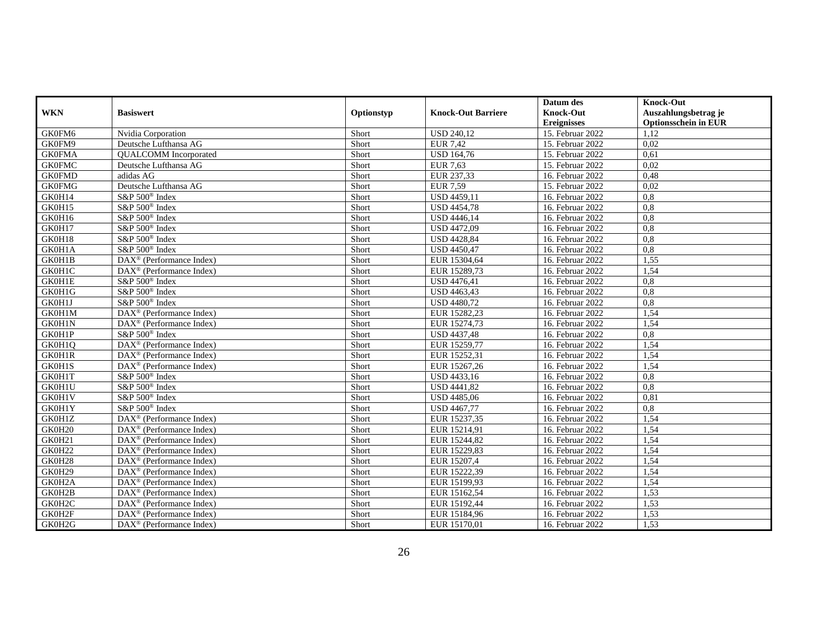|               |                                              |            |                           | Datum des          | <b>Knock-Out</b>            |
|---------------|----------------------------------------------|------------|---------------------------|--------------------|-----------------------------|
| <b>WKN</b>    | <b>Basiswert</b>                             | Optionstyp | <b>Knock-Out Barriere</b> | <b>Knock-Out</b>   | Auszahlungsbetrag je        |
|               |                                              |            |                           | <b>Ereignisses</b> | <b>Optionsschein in EUR</b> |
| GK0FM6        | Nvidia Corporation                           | Short      | <b>USD 240,12</b>         | 15. Februar 2022   | 1.12                        |
| GK0FM9        | Deutsche Lufthansa AG                        | Short      | $EUR$ 7,42                | 15. Februar 2022   | 0,02                        |
| <b>GK0FMA</b> | <b>QUALCOMM</b> Incorporated                 | Short      | <b>USD 164,76</b>         | 15. Februar 2022   | 0,61                        |
| <b>GK0FMC</b> | Deutsche Lufthansa AG                        | Short      | <b>EUR 7,63</b>           | 15. Februar 2022   | 0,02                        |
| <b>GK0FMD</b> | adidas AG                                    | Short      | EUR 237.33                | 16. Februar 2022   | 0.48                        |
| <b>GK0FMG</b> | Deutsche Lufthansa AG                        | Short      | <b>EUR 7,59</b>           | 15. Februar 2022   | 0,02                        |
| GK0H14        | S&P 500 <sup>®</sup> Index                   | Short      | $\overline{USD}$ 4459,11  | 16. Februar 2022   | 0,8                         |
| GK0H15        | S&P 500 <sup>®</sup> Index                   | Short      | <b>USD 4454,78</b>        | 16. Februar 2022   | 0,8                         |
| GK0H16        | S&P 500 <sup>®</sup> Index                   | Short      | <b>USD 4446,14</b>        | 16. Februar 2022   | 0,8                         |
| GK0H17        | $S\&P 500^{\circ}$ Index                     | Short      | <b>USD 4472.09</b>        | 16. Februar 2022   | 0.8                         |
| GK0H18        | S&P 500 <sup>®</sup> Index                   | Short      | <b>USD 4428,84</b>        | 16. Februar 2022   | 0,8                         |
| GK0H1A        | S&P 500 <sup>®</sup> Index                   | Short      | <b>USD 4450,47</b>        | 16. Februar 2022   | 0,8                         |
| GK0H1B        | DAX <sup>®</sup> (Performance Index)         | Short      | EUR 15304,64              | 16. Februar 2022   | 1,55                        |
| GK0H1C        | $DAX^{\circledR}$ (Performance Index)        | Short      | EUR 15289,73              | 16. Februar 2022   | 1,54                        |
| GK0H1E        | S&P 500 <sup>®</sup> Index                   | Short      | <b>USD 4476,41</b>        | 16. Februar 2022   | 0,8                         |
| GK0H1G        | S&P 500 <sup>®</sup> Index                   | Short      | USD 4463,43               | 16. Februar 2022   | 0,8                         |
| GK0H1J        | S&P 500 <sup>®</sup> Index                   | Short      | <b>USD 4480,72</b>        | 16. Februar 2022   | 0,8                         |
| GK0H1M        | $\text{DAX}^{\circledR}$ (Performance Index) | Short      | EUR 15282,23              | 16. Februar 2022   | 1,54                        |
| GK0H1N        | $DAX^{\circledR}$ (Performance Index)        | Short      | EUR 15274,73              | 16. Februar 2022   | 1,54                        |
| GK0H1P        | S&P 500 <sup>®</sup> Index                   | Short      | USD 4437,48               | 16. Februar 2022   | 0,8                         |
| GK0H1Q        | DAX <sup>®</sup> (Performance Index)         | Short      | EUR 15259,77              | 16. Februar 2022   | 1,54                        |
| GK0H1R        | $\text{DAX}^{\otimes}$ (Performance Index)   | Short      | EUR 15252,31              | 16. Februar 2022   | 1,54                        |
| GK0H1S        | $\text{DAX}^{\otimes}$ (Performance Index)   | Short      | EUR 15267,26              | 16. Februar 2022   | 1,54                        |
| GK0H1T        | S&P 500 <sup>®</sup> Index                   | Short      | USD 4433,16               | 16. Februar 2022   | 0,8                         |
| GK0H1U        | S&P 500 <sup>®</sup> Index                   | Short      | <b>USD 4441,82</b>        | 16. Februar 2022   | 0,8                         |
| GK0H1V        | S&P 500 <sup>®</sup> Index                   | Short      | <b>USD 4485,06</b>        | 16. Februar 2022   | 0.81                        |
| GK0H1Y        | S&P 500 <sup>®</sup> Index                   | Short      | <b>USD 4467,77</b>        | 16. Februar 2022   | 0,8                         |
| GK0H1Z        | DAX <sup>®</sup> (Performance Index)         | Short      | EUR 15237,35              | 16. Februar 2022   | 1,54                        |
| GK0H20        | DAX <sup>®</sup> (Performance Index)         | Short      | EUR 15214,91              | 16. Februar 2022   | 1,54                        |
| GK0H21        | $\text{DAX}^{\circledR}$ (Performance Index) | Short      | EUR 15244,82              | 16. Februar 2022   | 1,54                        |
| GK0H22        | $\text{DAX}^{\circledR}$ (Performance Index) | Short      | EUR 15229,83              | 16. Februar 2022   | 1.54                        |
| GK0H28        | DAX <sup>®</sup> (Performance Index)         | Short      | EUR 15207,4               | 16. Februar 2022   | 1,54                        |
| GK0H29        | DAX <sup>®</sup> (Performance Index)         | Short      | EUR 15222,39              | 16. Februar 2022   | 1,54                        |
| GK0H2A        | $\text{DAX}^{\circledR}$ (Performance Index) | Short      | EUR 15199,93              | 16. Februar 2022   | 1,54                        |
| GK0H2B        | $\text{DAX}^{\circledR}$ (Performance Index) | Short      | EUR 15162,54              | 16. Februar 2022   | 1,53                        |
| GK0H2C        | $\text{DAX}^{\otimes}$ (Performance Index)   | Short      | EUR 15192,44              | 16. Februar 2022   | 1,53                        |
| GK0H2F        | DAX <sup>®</sup> (Performance Index)         | Short      | EUR 15184,96              | 16. Februar 2022   | 1,53                        |
| GK0H2G        | DAX <sup>®</sup> (Performance Index)         | Short      | EUR 15170,01              | 16. Februar 2022   | 1,53                        |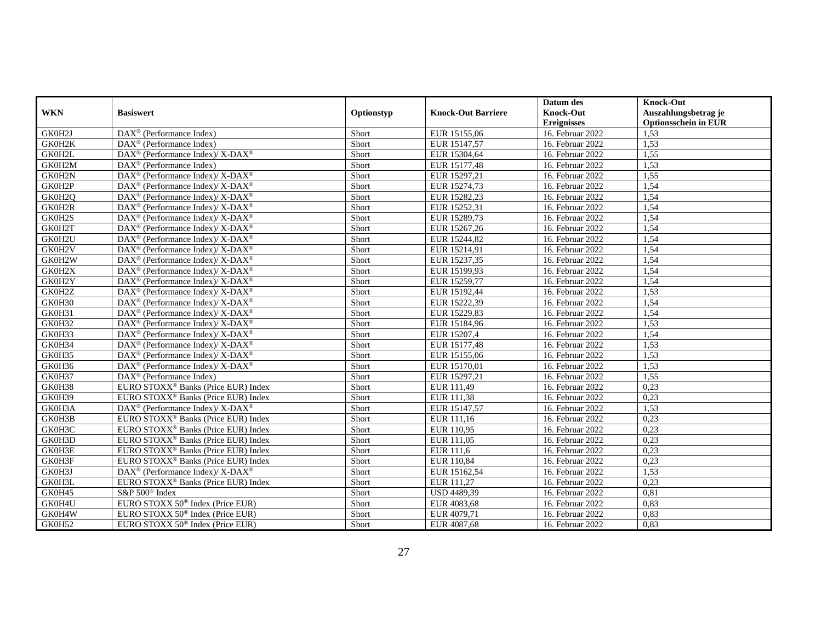|            |                                                           |            |                           | Datum des          | <b>Knock-Out</b>            |
|------------|-----------------------------------------------------------|------------|---------------------------|--------------------|-----------------------------|
| <b>WKN</b> | <b>Basiswert</b>                                          | Optionstyp | <b>Knock-Out Barriere</b> | <b>Knock-Out</b>   | Auszahlungsbetrag je        |
|            |                                                           |            |                           | <b>Ereignisses</b> | <b>Optionsschein in EUR</b> |
| GK0H2J     | DAX <sup>®</sup> (Performance Index)                      | Short      | EUR 15155,06              | 16. Februar 2022   | 1,53                        |
| GK0H2K     | DAX <sup>®</sup> (Performance Index)                      | Short      | EUR 15147.57              | 16. Februar 2022   | 1,53                        |
| GK0H2L     | DAX <sup>®</sup> (Performance Index)/ X-DAX <sup>®</sup>  | Short      | EUR 15304,64              | 16. Februar 2022   | 1,55                        |
| GK0H2M     | DAX <sup>®</sup> (Performance Index)                      | Short      | EUR 15177,48              | 16. Februar 2022   | 1,53                        |
| GK0H2N     | DAX <sup>®</sup> (Performance Index)/ X-DAX <sup>®</sup>  | Short      | EUR 15297,21              | 16. Februar 2022   | 1,55                        |
| GK0H2P     | DAX <sup>®</sup> (Performance Index)/ X-DAX <sup>®</sup>  | Short      | EUR 15274,73              | 16. Februar 2022   | 1,54                        |
| GK0H2O     | DAX <sup>®</sup> (Performance Index)/ X-DAX <sup>®</sup>  | Short      | EUR 15282,23              | 16. Februar 2022   | 1,54                        |
| GK0H2R     | DAX <sup>®</sup> (Performance Index)/ X-DAX <sup>®</sup>  | Short      | EUR 15252,31              | 16. Februar 2022   | 1,54                        |
| GK0H2S     | DAX <sup>®</sup> (Performance Index)/ X-DAX <sup>®</sup>  | Short      | EUR 15289,73              | 16. Februar 2022   | 1,54                        |
| GK0H2T     | $DAX^{\circledR}$ (Performance Index)/ X-DAX <sup>®</sup> | Short      | EUR 15267,26              | 16. Februar 2022   | 1,54                        |
| GK0H2U     | DAX <sup>®</sup> (Performance Index)/ X-DAX <sup>®</sup>  | Short      | EUR 15244,82              | 16. Februar 2022   | 1,54                        |
| GK0H2V     | DAX <sup>®</sup> (Performance Index)/ X-DAX <sup>®</sup>  | Short      | EUR 15214,91              | 16. Februar 2022   | 1,54                        |
| GK0H2W     | DAX <sup>®</sup> (Performance Index)/ X-DAX <sup>®</sup>  | Short      | EUR 15237.35              | 16. Februar 2022   | 1,54                        |
| GK0H2X     | DAX <sup>®</sup> (Performance Index)/ X-DAX <sup>®</sup>  | Short      | EUR 15199,93              | 16. Februar 2022   | 1,54                        |
| GK0H2Y     | DAX <sup>®</sup> (Performance Index)/ X-DAX <sup>®</sup>  | Short      | EUR 15259,77              | 16. Februar 2022   | 1,54                        |
| GK0H2Z     | DAX <sup>®</sup> (Performance Index)/ X-DAX <sup>®</sup>  | Short      | EUR 15192,44              | 16. Februar 2022   | 1,53                        |
| GK0H30     | DAX <sup>®</sup> (Performance Index)/ X-DAX <sup>®</sup>  | Short      | EUR 15222,39              | 16. Februar 2022   | 1,54                        |
| GK0H31     | $DAX^{\circledR}$ (Performance Index)/ X-DAX <sup>®</sup> | Short      | EUR 15229,83              | 16. Februar 2022   | 1.54                        |
| GK0H32     | $DAX^{\circledR}$ (Performance Index)/ X-DAX <sup>®</sup> | Short      | EUR 15184,96              | 16. Februar 2022   | 1,53                        |
| GK0H33     | $DAX^{\circledR}$ (Performance Index)/ X-DAX <sup>®</sup> | Short      | EUR 15207,4               | 16. Februar 2022   | 1,54                        |
| GK0H34     | DAX <sup>®</sup> (Performance Index)/ X-DAX <sup>®</sup>  | Short      | EUR 15177,48              | 16. Februar 2022   | 1,53                        |
| GK0H35     | $DAX^{\circledR}$ (Performance Index)/ X-DAX <sup>®</sup> | Short      | EUR 15155,06              | 16. Februar 2022   | 1,53                        |
| GK0H36     | $DAX^{\circledR}$ (Performance Index)/ X-DAX <sup>®</sup> | Short      | EUR 15170,01              | 16. Februar 2022   | 1,53                        |
| GK0H37     | DAX <sup>®</sup> (Performance Index)                      | Short      | EUR 15297,21              | 16. Februar 2022   | 1,55                        |
| GK0H38     | EURO STOXX <sup>®</sup> Banks (Price EUR) Index           | Short      | EUR 111,49                | 16. Februar 2022   | 0,23                        |
| GK0H39     | EURO STOXX <sup>®</sup> Banks (Price EUR) Index           | Short      | EUR 111,38                | 16. Februar 2022   | 0,23                        |
| GK0H3A     | $DAX^{\circledR}$ (Performance Index)/ X-DAX <sup>®</sup> | Short      | EUR 15147,57              | 16. Februar 2022   | 1,53                        |
| GK0H3B     | EURO STOXX <sup>®</sup> Banks (Price EUR) Index           | Short      | EUR 111,16                | 16. Februar 2022   | 0,23                        |
| GK0H3C     | EURO STOXX <sup>®</sup> Banks (Price EUR) Index           | Short      | EUR 110,95                | 16. Februar 2022   | 0.23                        |
| GK0H3D     | EURO STOXX <sup>®</sup> Banks (Price EUR) Index           | Short      | EUR 111,05                | 16. Februar 2022   | 0,23                        |
| GK0H3E     | EURO STOXX <sup>®</sup> Banks (Price EUR) Index           | Short      | EUR 111,6                 | 16. Februar 2022   | 0,23                        |
| GK0H3F     | EURO STOXX <sup>®</sup> Banks (Price EUR) Index           | Short      | EUR 110,84                | 16. Februar 2022   | 0,23                        |
| GK0H3J     | DAX <sup>®</sup> (Performance Index)/ X-DAX <sup>®</sup>  | Short      | EUR 15162,54              | 16. Februar 2022   | 1,53                        |
| GK0H3L     | EURO STOXX <sup>®</sup> Banks (Price EUR) Index           | Short      | EUR 111.27                | 16. Februar 2022   | 0.23                        |
| GK0H45     | S&P 500 <sup>®</sup> Index                                | Short      | USD 4489,39               | 16. Februar 2022   | 0.81                        |
| GK0H4U     | EURO STOXX 50 <sup>®</sup> Index (Price EUR)              | Short      | EUR 4083,68               | 16. Februar 2022   | 0,83                        |
| GK0H4W     | EURO STOXX $50^{\circ}$ Index (Price EUR)                 | Short      | EUR 4079,71               | 16. Februar 2022   | 0,83                        |
| GK0H52     | EURO STOXX 50 <sup>®</sup> Index (Price EUR)              | Short      | EUR 4087,68               | 16. Februar 2022   | 0,83                        |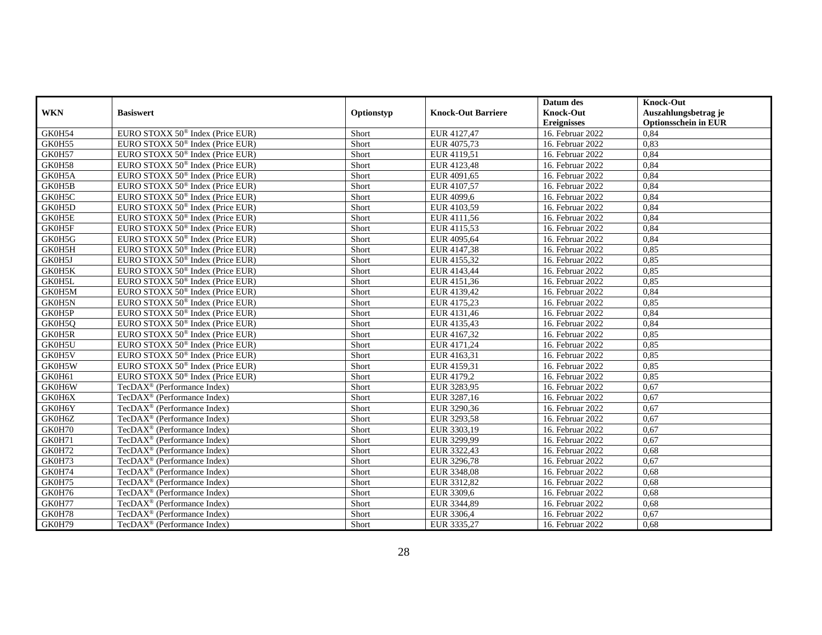|            |                                              |            |                           | Datum des          | <b>Knock-Out</b>            |
|------------|----------------------------------------------|------------|---------------------------|--------------------|-----------------------------|
| <b>WKN</b> | <b>Basiswert</b>                             | Optionstyp | <b>Knock-Out Barriere</b> | <b>Knock-Out</b>   | Auszahlungsbetrag je        |
|            |                                              |            |                           | <b>Ereignisses</b> | <b>Optionsschein in EUR</b> |
| GK0H54     | EURO STOXX 50 <sup>®</sup> Index (Price EUR) | Short      | EUR 4127,47               | 16. Februar 2022   | 0,84                        |
| GK0H55     | EURO STOXX 50 <sup>®</sup> Index (Price EUR) | Short      | EUR 4075,73               | 16. Februar 2022   | 0,83                        |
| GK0H57     | EURO STOXX 50 <sup>®</sup> Index (Price EUR) | Short      | EUR 4119,51               | 16. Februar 2022   | 0,84                        |
| GK0H58     | EURO STOXX 50 <sup>®</sup> Index (Price EUR) | Short      | EUR 4123,48               | 16. Februar 2022   | 0,84                        |
| GK0H5A     | EURO STOXX 50 <sup>®</sup> Index (Price EUR) | Short      | EUR 4091,65               | 16. Februar 2022   | 0,84                        |
| GK0H5B     | EURO STOXX 50 <sup>®</sup> Index (Price EUR) | Short      | EUR 4107,57               | 16. Februar 2022   | 0,84                        |
| GK0H5C     | EURO STOXX 50 <sup>®</sup> Index (Price EUR) | Short      | EUR 4099,6                | 16. Februar 2022   | 0.84                        |
| GK0H5D     | EURO STOXX $50^{\circ}$ Index (Price EUR)    | Short      | EUR 4103,59               | 16. Februar 2022   | 0,84                        |
| GK0H5E     | EURO STOXX 50 <sup>®</sup> Index (Price EUR) | Short      | EUR 4111,56               | 16. Februar 2022   | 0,84                        |
| GK0H5F     | EURO STOXX 50 <sup>®</sup> Index (Price EUR) | Short      | EUR 4115,53               | 16. Februar 2022   | 0,84                        |
| GK0H5G     | EURO STOXX 50 <sup>®</sup> Index (Price EUR) | Short      | EUR 4095,64               | 16. Februar 2022   | 0,84                        |
| GK0H5H     | EURO STOXX 50 <sup>®</sup> Index (Price EUR) | Short      | EUR 4147,38               | 16. Februar 2022   | 0,85                        |
| GK0H5J     | EURO STOXX $50^{\circ}$ Index (Price EUR)    | Short      | EUR 4155,32               | 16. Februar 2022   | 0.85                        |
| GK0H5K     | EURO STOXX 50 <sup>®</sup> Index (Price EUR) | Short      | EUR 4143,44               | 16. Februar 2022   | 0,85                        |
| GK0H5L     | EURO STOXX $50^{\circ}$ Index (Price EUR)    | Short      | EUR 4151,36               | 16. Februar 2022   | 0,85                        |
| GK0H5M     | EURO STOXX 50 <sup>®</sup> Index (Price EUR) | Short      | EUR 4139,42               | 16. Februar 2022   | 0,84                        |
| GK0H5N     | EURO STOXX 50 <sup>®</sup> Index (Price EUR) | Short      | EUR 4175,23               | 16. Februar 2022   | 0,85                        |
| GK0H5P     | EURO STOXX $50^{\circ}$ Index (Price EUR)    | Short      | EUR 4131,46               | 16. Februar 2022   | 0.84                        |
| GK0H5Q     | EURO STOXX 50 <sup>®</sup> Index (Price EUR) | Short      | EUR 4135,43               | 16. Februar 2022   | 0,84                        |
| GK0H5R     | EURO STOXX $50^{\circ}$ Index (Price EUR)    | Short      | EUR 4167,32               | 16. Februar 2022   | 0,85                        |
| GK0H5U     | EURO STOXX 50 <sup>®</sup> Index (Price EUR) | Short      | EUR 4171,24               | 16. Februar 2022   | 0,85                        |
| GK0H5V     | EURO STOXX 50 <sup>®</sup> Index (Price EUR) | Short      | EUR 4163,31               | 16. Februar 2022   | 0,85                        |
| GK0H5W     | EURO STOXX $50^{\circ}$ Index (Price EUR)    | Short      | EUR 4159.31               | 16. Februar 2022   | 0.85                        |
| GK0H61     | EURO STOXX 50 <sup>®</sup> Index (Price EUR) | Short      | EUR 4179,2                | 16. Februar 2022   | 0.85                        |
| GK0H6W     | TecDA $X^{\circledR}$ (Performance Index)    | Short      | EUR 3283,95               | 16. Februar 2022   | 0.67                        |
| GK0H6X     | TecDAX <sup>®</sup> (Performance Index)      | Short      | EUR 3287,16               | 16. Februar 2022   | 0,67                        |
| GK0H6Y     | $TecDAX^{\circledR}$ (Performance Index)     | Short      | EUR 3290,36               | 16. Februar 2022   | 0,67                        |
| GK0H6Z     | $TecDAX^{\circledR}$ (Performance Index)     | Short      | EUR 3293,58               | 16. Februar 2022   | 0.67                        |
| GK0H70     | $TecDAX^{\circledR}$ (Performance Index)     | Short      | EUR 3303,19               | 16. Februar 2022   | 0.67                        |
| GK0H71     | TecDA $X^{\circledR}$ (Performance Index)    | Short      | EUR 3299,99               | 16. Februar 2022   | 0,67                        |
| GK0H72     | TecDAX <sup>®</sup> (Performance Index)      | Short      | EUR 3322,43               | 16. Februar 2022   | 0,68                        |
| GK0H73     | TecDA $X^{\circledR}$ (Performance Index)    | Short      | EUR 3296,78               | 16. Februar 2022   | 0,67                        |
| GK0H74     | TecDAX <sup>®</sup> (Performance Index)      | Short      | EUR 3348,08               | 16. Februar 2022   | 0,68                        |
| GK0H75     | TecDAX <sup>®</sup> (Performance Index)      | Short      | EUR 3312,82               | 16. Februar 2022   | 0.68                        |
| GK0H76     | TecDAX <sup>®</sup> (Performance Index)      | Short      | EUR 3309,6                | 16. Februar 2022   | 0,68                        |
| GK0H77     | TecDA $X^{\circledR}$ (Performance Index)    | Short      | EUR 3344,89               | 16. Februar 2022   | 0,68                        |
| GK0H78     | TecDAX <sup>®</sup> (Performance Index)      | Short      | EUR 3306,4                | 16. Februar 2022   | 0,67                        |
| GK0H79     | TecDAX <sup>®</sup> (Performance Index)      | Short      | EUR 3335,27               | 16. Februar 2022   | 0.68                        |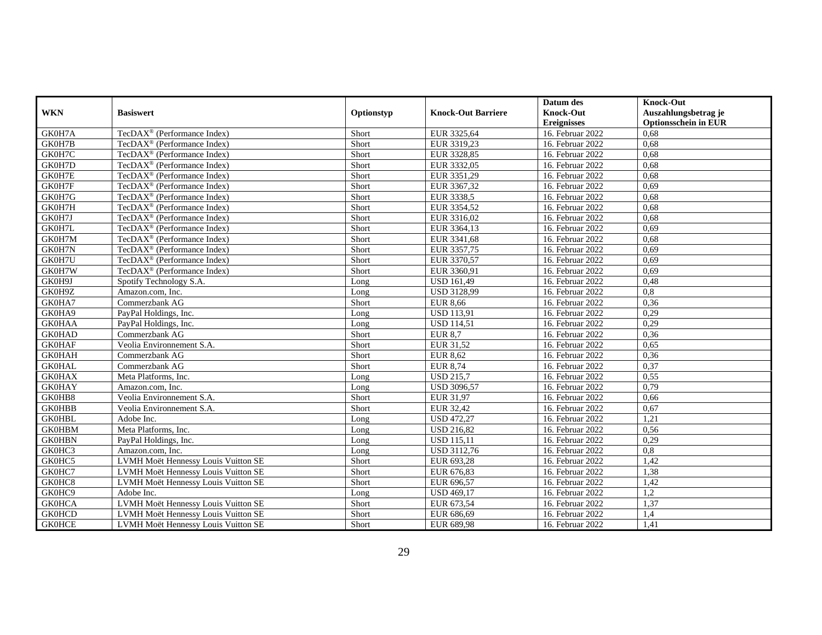|               |                                           |            |                           | Datum des          | <b>Knock-Out</b>            |
|---------------|-------------------------------------------|------------|---------------------------|--------------------|-----------------------------|
| <b>WKN</b>    | <b>Basiswert</b>                          | Optionstyp | <b>Knock-Out Barriere</b> | <b>Knock-Out</b>   | Auszahlungsbetrag je        |
|               |                                           |            |                           | <b>Ereignisses</b> | <b>Optionsschein in EUR</b> |
| GK0H7A        | TecDAX <sup>®</sup> (Performance Index)   | Short      | EUR 3325,64               | 16. Februar 2022   | 0.68                        |
| GK0H7B        | $TecDAX^{\circledR}$ (Performance Index)  | Short      | EUR 3319.23               | 16. Februar 2022   | 0.68                        |
| GK0H7C        | TecDAX <sup>®</sup> (Performance Index)   | Short      | EUR 3328,85               | 16. Februar 2022   | 0,68                        |
| GK0H7D        | TecDAX <sup>®</sup> (Performance Index)   | Short      | EUR 3332,05               | 16. Februar 2022   | 0,68                        |
| GK0H7E        | TecDAX <sup>®</sup> (Performance Index)   | Short      | EUR 3351,29               | 16. Februar 2022   | 0.68                        |
| GK0H7F        | $TecDAX^{\circledR}$ (Performance Index)  | Short      | EUR 3367,32               | 16. Februar 2022   | 0.69                        |
| GK0H7G        | $TecDAX^{\circledR}$ (Performance Index)  | Short      | EUR 3338.5                | 16. Februar 2022   | 0.68                        |
| GK0H7H        | TecDA $X^{\circledR}$ (Performance Index) | Short      | EUR 3354,52               | 16. Februar 2022   | 0,68                        |
| GK0H7J        | TecDAX <sup>®</sup> (Performance Index)   | Short      | EUR 3316,02               | 16. Februar 2022   | 0,68                        |
| GK0H7L        | TecDAX <sup>®</sup> (Performance Index)   | Short      | EUR 3364,13               | 16. Februar 2022   | 0.69                        |
| GK0H7M        | $TecDAX^{\otimes}$ (Performance Index)    | Short      | EUR 3341,68               | 16. Februar 2022   | 0,68                        |
| GK0H7N        | TecDAX <sup>®</sup> (Performance Index)   | Short      | EUR 3357,75               | 16. Februar 2022   | 0,69                        |
| GK0H7U        | TecDA $X^{\circledR}$ (Performance Index) | Short      | EUR 3370,57               | 16. Februar 2022   | 0,69                        |
| GK0H7W        | TecDAX <sup>®</sup> (Performance Index)   | Short      | EUR 3360,91               | 16. Februar 2022   | 0,69                        |
| GK0H9J        | Spotify Technology S.A.                   | Long       | <b>USD 161,49</b>         | 16. Februar 2022   | 0,48                        |
| GK0H9Z        | Amazon.com, Inc.                          | Long       | <b>USD 3128.99</b>        | 16. Februar 2022   | 0,8                         |
| GK0HA7        | Commerzbank AG                            | Short      | <b>EUR 8,66</b>           | 16. Februar 2022   | 0,36                        |
| GK0HA9        | PayPal Holdings, Inc.                     | Long       | <b>USD 113,91</b>         | 16. Februar 2022   | 0,29                        |
| <b>GK0HAA</b> | PayPal Holdings, Inc.                     | Long       | <b>USD 114,51</b>         | 16. Februar 2022   | 0,29                        |
| <b>GK0HAD</b> | Commerzbank AG                            | Short      | <b>EUR 8,7</b>            | 16. Februar 2022   | 0,36                        |
| <b>GK0HAF</b> | Veolia Environnement S.A.                 | Short      | EUR 31,52                 | 16. Februar 2022   | 0,65                        |
| <b>GK0HAH</b> | Commerzbank AG                            | Short      | <b>EUR 8,62</b>           | 16. Februar 2022   | 0,36                        |
| <b>GK0HAL</b> | Commerzbank AG                            | Short      | <b>EUR 8,74</b>           | 16. Februar 2022   | 0,37                        |
| <b>GK0HAX</b> | Meta Platforms, Inc.                      | Long       | <b>USD 215,7</b>          | 16. Februar 2022   | 0,55                        |
| <b>GK0HAY</b> | Amazon.com. Inc.                          | Long       | <b>USD 3096,57</b>        | 16. Februar 2022   | 0,79                        |
| GK0HB8        | Veolia Environnement S.A.                 | Short      | EUR 31,97                 | 16. Februar 2022   | 0,66                        |
| <b>GK0HBB</b> | Veolia Environnement S.A.                 | Short      | EUR 32,42                 | 16. Februar 2022   | 0,67                        |
| <b>GK0HBL</b> | Adobe Inc.                                | Long       | <b>USD 472,27</b>         | 16. Februar 2022   | 1,21                        |
| <b>GK0HBM</b> | Meta Platforms, Inc.                      | Long       | <b>USD 216,82</b>         | 16. Februar 2022   | 0,56                        |
| <b>GK0HBN</b> | PayPal Holdings, Inc.                     | Long       | <b>USD 115,11</b>         | 16. Februar 2022   | 0,29                        |
| GK0HC3        | Amazon.com, Inc.                          | Long       | USD 3112,76               | 16. Februar 2022   | 0,8                         |
| GK0HC5        | LVMH Moët Hennessy Louis Vuitton SE       | Short      | EUR 693,28                | 16. Februar 2022   | 1,42                        |
| GK0HC7        | LVMH Moët Hennessy Louis Vuitton SE       | Short      | EUR 676,83                | 16. Februar 2022   | 1,38                        |
| GK0HC8        | LVMH Moët Hennessy Louis Vuitton SE       | Short      | EUR 696,57                | 16. Februar 2022   | 1,42                        |
| GK0HC9        | Adobe Inc.                                | Long       | <b>USD 469,17</b>         | 16. Februar 2022   | 1,2                         |
| <b>GK0HCA</b> | LVMH Moët Hennessy Louis Vuitton SE       | Short      | EUR 673,54                | 16. Februar 2022   | 1,37                        |
| <b>GK0HCD</b> | LVMH Moët Hennessy Louis Vuitton SE       | Short      | EUR 686,69                | 16. Februar 2022   | 1,4                         |
| <b>GK0HCE</b> | LVMH Moët Hennessy Louis Vuitton SE       | Short      | EUR 689,98                | 16. Februar 2022   | 1,41                        |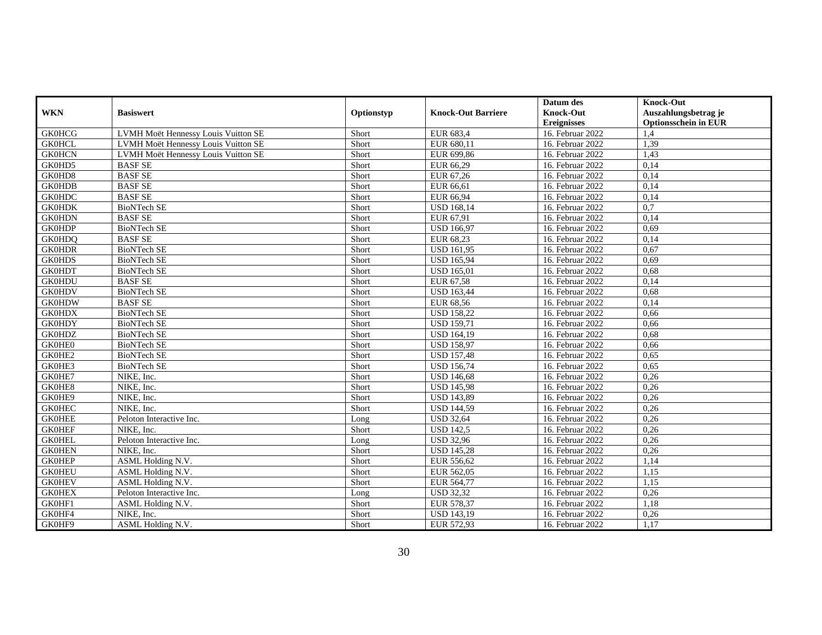|               |                                     |            |                           | Datum des          | <b>Knock-Out</b>            |
|---------------|-------------------------------------|------------|---------------------------|--------------------|-----------------------------|
| <b>WKN</b>    | <b>Basiswert</b>                    | Optionstyp | <b>Knock-Out Barriere</b> | <b>Knock-Out</b>   | Auszahlungsbetrag je        |
|               |                                     |            |                           | <b>Ereignisses</b> | <b>Optionsschein in EUR</b> |
| <b>GK0HCG</b> | LVMH Moët Hennessy Louis Vuitton SE | Short      | EUR 683,4                 | 16. Februar 2022   | 1.4                         |
| <b>GK0HCL</b> | LVMH Moët Hennessy Louis Vuitton SE | Short      | EUR 680.11                | 16. Februar 2022   | 1,39                        |
| <b>GK0HCN</b> | LVMH Moët Hennessy Louis Vuitton SE | Short      | EUR 699,86                | 16. Februar 2022   | 1,43                        |
| GK0HD5        | <b>BASF SE</b>                      | Short      | EUR 66,29                 | 16. Februar 2022   | 0,14                        |
| GK0HD8        | <b>BASF SE</b>                      | Short      | EUR 67,26                 | 16. Februar 2022   | 0,14                        |
| <b>GK0HDB</b> | <b>BASF SE</b>                      | Short      | EUR 66,61                 | 16. Februar 2022   | 0,14                        |
| <b>GK0HDC</b> | <b>BASF SE</b>                      | Short      | EUR 66,94                 | 16. Februar 2022   | 0,14                        |
| <b>GK0HDK</b> | <b>BioNTech SE</b>                  | Short      | <b>USD 168,14</b>         | 16. Februar 2022   | 0,7                         |
| <b>GK0HDN</b> | <b>BASF SE</b>                      | Short      | EUR 67,91                 | 16. Februar 2022   | 0,14                        |
| <b>GK0HDP</b> | <b>BioNTech SE</b>                  | Short      | <b>USD 166,97</b>         | 16. Februar 2022   | 0,69                        |
| <b>GK0HDQ</b> | <b>BASF SE</b>                      | Short      | EUR 68,23                 | 16. Februar 2022   | 0,14                        |
| <b>GK0HDR</b> | <b>BioNTech SE</b>                  | Short      | <b>USD 161,95</b>         | 16. Februar 2022   | 0,67                        |
| <b>GK0HDS</b> | <b>BioNTech SE</b>                  | Short      | <b>USD 165,94</b>         | 16. Februar 2022   | 0.69                        |
| <b>GK0HDT</b> | <b>BioNTech SE</b>                  | Short      | <b>USD 165,01</b>         | 16. Februar 2022   | 0,68                        |
| <b>GK0HDU</b> | <b>BASF SE</b>                      | Short      | EUR 67,58                 | 16. Februar 2022   | 0,14                        |
| <b>GK0HDV</b> | <b>BioNTech SE</b>                  | Short      | <b>USD 163.44</b>         | 16. Februar 2022   | 0.68                        |
| <b>GK0HDW</b> | <b>BASF SE</b>                      | Short      | EUR 68,56                 | 16. Februar 2022   | 0,14                        |
| <b>GK0HDX</b> | <b>BioNTech SE</b>                  | Short      | <b>USD 158,22</b>         | 16. Februar 2022   | 0,66                        |
| <b>GK0HDY</b> | <b>BioNTech SE</b>                  | Short      | <b>USD 159,71</b>         | 16. Februar 2022   | 0,66                        |
| <b>GK0HDZ</b> | <b>BioNTech SE</b>                  | Short      | <b>USD 164,19</b>         | 16. Februar 2022   | 0,68                        |
| GK0HE0        | <b>BioNTech SE</b>                  | Short      | <b>USD 158,97</b>         | 16. Februar 2022   | 0,66                        |
| GK0HE2        | <b>BioNTech SE</b>                  | Short      | <b>USD 157,48</b>         | 16. Februar 2022   | 0,65                        |
| GK0HE3        | <b>BioNTech SE</b>                  | Short      | <b>USD 156,74</b>         | 16. Februar 2022   | 0,65                        |
| GK0HE7        | NIKE, Inc.                          | Short      | <b>USD 146,68</b>         | 16. Februar 2022   | 0,26                        |
| GK0HE8        | NIKE, Inc.                          | Short      | <b>USD 145,98</b>         | 16. Februar 2022   | 0,26                        |
| GK0HE9        | NIKE, Inc.                          | Short      | <b>USD 143,89</b>         | 16. Februar 2022   | 0,26                        |
| <b>GK0HEC</b> | NIKE, Inc.                          | Short      | <b>USD 144,59</b>         | 16. Februar 2022   | 0,26                        |
| <b>GK0HEE</b> | Peloton Interactive Inc.            | Long       | <b>USD 32,64</b>          | 16. Februar 2022   | 0,26                        |
| <b>GK0HEF</b> | NIKE, Inc.                          | Short      | <b>USD 142.5</b>          | 16. Februar 2022   | 0,26                        |
| <b>GK0HEL</b> | Peloton Interactive Inc.            | Long       | <b>USD 32,96</b>          | 16. Februar 2022   | 0,26                        |
| <b>GK0HEN</b> | NIKE, Inc.                          | Short      | <b>USD 145,28</b>         | 16. Februar 2022   | 0,26                        |
| <b>GK0HEP</b> | ASML Holding N.V.                   | Short      | EUR 556,62                | 16. Februar 2022   | 1,14                        |
| <b>GK0HEU</b> | ASML Holding N.V.                   | Short      | EUR 562,05                | 16. Februar 2022   | 1,15                        |
| <b>GK0HEV</b> | ASML Holding N.V.                   | Short      | EUR 564,77                | 16. Februar 2022   | 1,15                        |
| <b>GK0HEX</b> | Peloton Interactive Inc.            | Long       | <b>USD 32,32</b>          | 16. Februar 2022   | 0,26                        |
| GK0HF1        | ASML Holding N.V.                   | Short      | EUR 578,37                | 16. Februar 2022   | 1,18                        |
| GK0HF4        | NIKE, Inc.                          | Short      | <b>USD 143,19</b>         | 16. Februar 2022   | 0,26                        |
| GK0HF9        | ASML Holding N.V.                   | Short      | EUR 572,93                | 16. Februar 2022   | 1,17                        |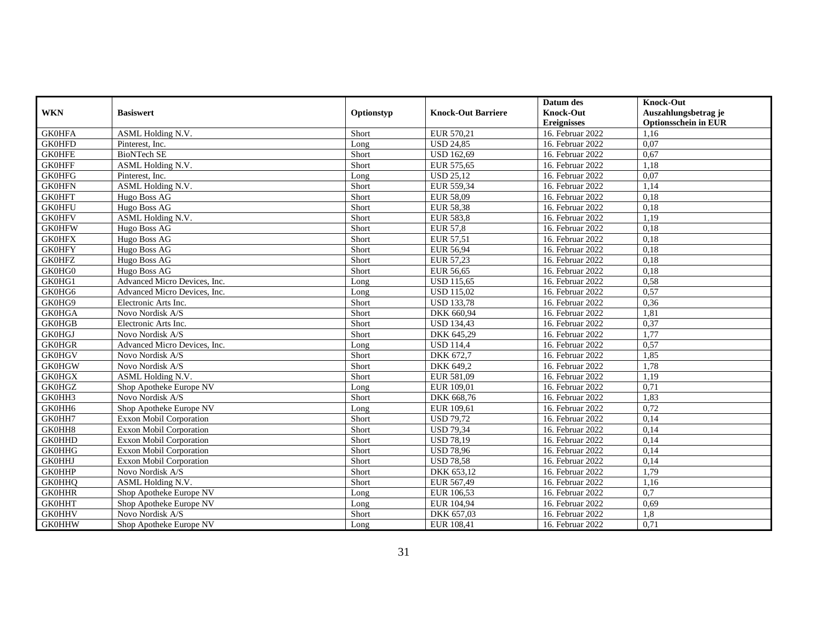|               |                                |            |                           | Datum des          | <b>Knock-Out</b>            |
|---------------|--------------------------------|------------|---------------------------|--------------------|-----------------------------|
| <b>WKN</b>    | <b>Basiswert</b>               | Optionstyp | <b>Knock-Out Barriere</b> | <b>Knock-Out</b>   | Auszahlungsbetrag je        |
|               |                                |            |                           | <b>Ereignisses</b> | <b>Optionsschein in EUR</b> |
| <b>GK0HFA</b> | ASML Holding N.V.              | Short      | EUR 570,21                | 16. Februar 2022   | 1,16                        |
| <b>GK0HFD</b> | Pinterest, Inc.                | Long       | <b>USD 24.85</b>          | 16. Februar 2022   | 0,07                        |
| <b>GK0HFE</b> | <b>BioNTech SE</b>             | Short      | <b>USD 162,69</b>         | 16. Februar 2022   | 0,67                        |
| <b>GK0HFF</b> | ASML Holding N.V.              | Short      | EUR 575,65                | 16. Februar 2022   | 1,18                        |
| <b>GK0HFG</b> | Pinterest, Inc.                | Long       | <b>USD 25,12</b>          | 16. Februar 2022   | 0,07                        |
| <b>GK0HFN</b> | <b>ASML Holding N.V.</b>       | Short      | EUR 559,34                | 16. Februar 2022   | 1,14                        |
| <b>GK0HFT</b> | Hugo Boss AG                   | Short      | EUR 58,09                 | 16. Februar 2022   | 0,18                        |
| <b>GK0HFU</b> | Hugo Boss AG                   | Short      | EUR 58,38                 | 16. Februar 2022   | 0.18                        |
| <b>GK0HFV</b> | ASML Holding N.V.              | Short      | <b>EUR 583,8</b>          | 16. Februar 2022   | 1,19                        |
| <b>GK0HFW</b> | Hugo Boss AG                   | Short      | <b>EUR 57,8</b>           | 16. Februar 2022   | 0,18                        |
| <b>GK0HFX</b> | Hugo Boss AG                   | Short      | EUR 57,51                 | 16. Februar 2022   | 0,18                        |
| <b>GK0HFY</b> | Hugo Boss AG                   | Short      | EUR 56,94                 | 16. Februar 2022   | 0,18                        |
| <b>GK0HFZ</b> | Hugo Boss AG                   | Short      | EUR 57,23                 | 16. Februar 2022   | 0,18                        |
| GK0HG0        | Hugo Boss AG                   | Short      | <b>EUR 56,65</b>          | 16. Februar 2022   | 0,18                        |
| GK0HG1        | Advanced Micro Devices, Inc.   | Long       | <b>USD 115,65</b>         | 16. Februar 2022   | 0,58                        |
| GK0HG6        | Advanced Micro Devices, Inc.   | Long       | <b>USD 115,02</b>         | 16. Februar 2022   | 0,57                        |
| GK0HG9        | Electronic Arts Inc.           | Short      | <b>USD 133,78</b>         | 16. Februar 2022   | 0,36                        |
| <b>GK0HGA</b> | Novo Nordisk A/S               | Short      | DKK 660,94                | 16. Februar 2022   | 1,81                        |
| <b>GK0HGB</b> | Electronic Arts Inc.           | Short      | <b>USD 134,43</b>         | 16. Februar 2022   | 0,37                        |
| <b>GK0HGJ</b> | Novo Nordisk A/S               | Short      | DKK 645,29                | 16. Februar 2022   | 1,77                        |
| <b>GK0HGR</b> | Advanced Micro Devices, Inc.   | Long       | <b>USD 114,4</b>          | 16. Februar 2022   | 0,57                        |
| <b>GK0HGV</b> | Novo Nordisk A/S               | Short      | DKK 672,7                 | 16. Februar 2022   | 1,85                        |
| <b>GK0HGW</b> | Novo Nordisk A/S               | Short      | DKK 649.2                 | 16. Februar 2022   | 1,78                        |
| <b>GK0HGX</b> | ASML Holding N.V.              | Short      | EUR 581,09                | 16. Februar 2022   | 1,19                        |
| <b>GK0HGZ</b> | Shop Apotheke Europe NV        | Long       | EUR 109,01                | 16. Februar 2022   | 0,71                        |
| GK0HH3        | Novo Nordisk A/S               | Short      | DKK 668,76                | 16. Februar 2022   | 1,83                        |
| GK0HH6        | Shop Apotheke Europe NV        | Long       | EUR 109,61                | 16. Februar 2022   | 0,72                        |
| GK0HH7        | <b>Exxon Mobil Corporation</b> | Short      | <b>USD 79.72</b>          | 16. Februar 2022   | 0,14                        |
| GK0HH8        | <b>Exxon Mobil Corporation</b> | Short      | <b>USD 79,34</b>          | 16. Februar 2022   | 0,14                        |
| <b>GK0HHD</b> | <b>Exxon Mobil Corporation</b> | Short      | <b>USD 78,19</b>          | 16. Februar 2022   | 0,14                        |
| <b>GK0HHG</b> | Exxon Mobil Corporation        | Short      | <b>USD 78,96</b>          | 16. Februar 2022   | 0,14                        |
| <b>GK0HHJ</b> | Exxon Mobil Corporation        | Short      | <b>USD 78,58</b>          | 16. Februar 2022   | 0,14                        |
| <b>GK0HHP</b> | Novo Nordisk A/S               | Short      | DKK 653,12                | 16. Februar 2022   | 1,79                        |
| <b>GK0HHQ</b> | ASML Holding N.V.              | Short      | EUR 567,49                | 16. Februar 2022   | 1,16                        |
| <b>GK0HHR</b> | Shop Apotheke Europe NV        | Long       | EUR 106,53                | 16. Februar 2022   | 0,7                         |
| <b>GK0HHT</b> | Shop Apotheke Europe NV        | Long       | EUR 104,94                | 16. Februar 2022   | 0,69                        |
| <b>GK0HHV</b> | Novo Nordisk A/S               | Short      | DKK 657,03                | 16. Februar 2022   | 1,8                         |
| <b>GK0HHW</b> | Shop Apotheke Europe NV        | Long       | EUR 108,41                | 16. Februar 2022   | 0,71                        |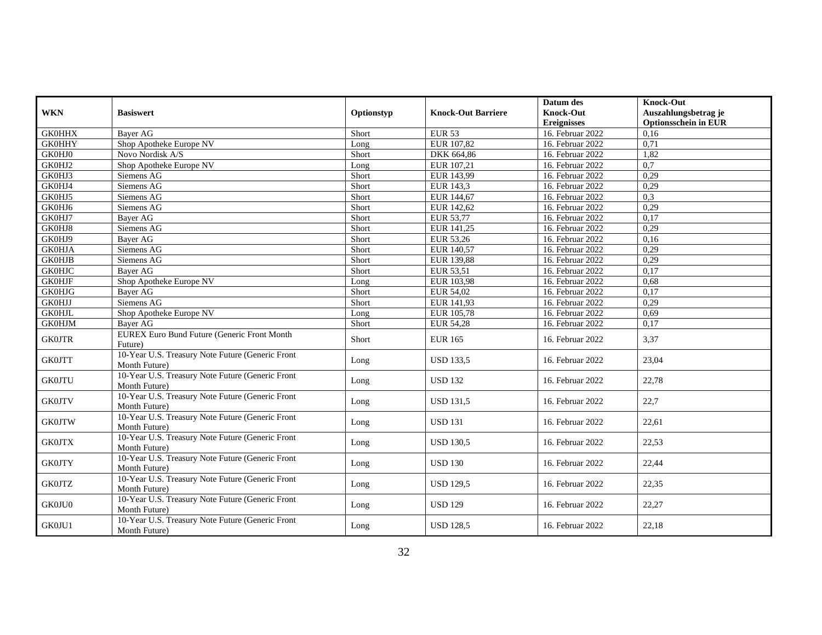|               |                                                                   |            |                           | Datum des          | <b>Knock-Out</b>            |
|---------------|-------------------------------------------------------------------|------------|---------------------------|--------------------|-----------------------------|
| <b>WKN</b>    | <b>Basiswert</b>                                                  | Optionstyp | <b>Knock-Out Barriere</b> | <b>Knock-Out</b>   | Auszahlungsbetrag je        |
|               |                                                                   |            |                           | <b>Ereignisses</b> | <b>Optionsschein in EUR</b> |
| <b>GK0HHX</b> | Bayer AG                                                          | Short      | <b>EUR 53</b>             | 16. Februar 2022   | 0.16                        |
| <b>GK0HHY</b> | Shop Apotheke Europe NV                                           | Long       | EUR 107,82                | 16. Februar 2022   | 0,71                        |
| <b>GK0HJ0</b> | Novo Nordisk A/S                                                  | Short      | DKK 664,86                | 16. Februar 2022   | 1,82                        |
| GK0HJ2        | Shop Apotheke Europe NV                                           | Long       | EUR 107,21                | 16. Februar 2022   | 0,7                         |
| GK0HJ3        | Siemens AG                                                        | Short      | EUR 143,99                | 16. Februar 2022   | 0,29                        |
| GK0HJ4        | Siemens AG                                                        | Short      | EUR 143,3                 | 16. Februar 2022   | 0,29                        |
| GK0HJ5        | Siemens AG                                                        | Short      | EUR 144,67                | 16. Februar 2022   | 0,3                         |
| GK0HJ6        | Siemens AG                                                        | Short      | EUR 142,62                | 16. Februar 2022   | 0,29                        |
| GK0HJ7        | Bayer AG                                                          | Short      | EUR 53,77                 | 16. Februar 2022   | 0,17                        |
| GK0HJ8        | Siemens AG                                                        | Short      | EUR 141,25                | 16. Februar 2022   | 0,29                        |
| GK0HJ9        | <b>Bayer AG</b>                                                   | Short      | EUR 53,26                 | 16. Februar 2022   | 0,16                        |
| <b>GK0HJA</b> | Siemens AG                                                        | Short      | EUR 140,57                | 16. Februar 2022   | 0,29                        |
| <b>GK0HJB</b> | Siemens AG                                                        | Short      | EUR 139,88                | 16. Februar 2022   | 0,29                        |
| <b>GK0HJC</b> | <b>Bayer AG</b>                                                   | Short      | EUR 53,51                 | 16. Februar 2022   | 0,17                        |
| <b>GK0HJF</b> | Shop Apotheke Europe NV                                           | Long       | EUR 103,98                | 16. Februar 2022   | 0,68                        |
| <b>GK0HJG</b> | <b>Baver AG</b>                                                   | Short      | EUR 54,02                 | 16. Februar 2022   | 0,17                        |
| <b>GK0HJJ</b> | Siemens AG                                                        | Short      | EUR 141,93                | 16. Februar 2022   | 0,29                        |
| <b>GK0HJL</b> | Shop Apotheke Europe NV                                           | Long       | EUR 105,78                | 16. Februar 2022   | 0,69                        |
| <b>GK0HJM</b> | Bayer AG                                                          | Short      | <b>EUR 54,28</b>          | 16. Februar 2022   | 0,17                        |
| <b>GK0JTR</b> | <b>EUREX Euro Bund Future (Generic Front Month</b><br>Future)     | Short      | <b>EUR 165</b>            | 16. Februar 2022   | 3,37                        |
| <b>GK0JTT</b> | 10-Year U.S. Treasury Note Future (Generic Front<br>Month Future) | Long       | <b>USD 133,5</b>          | 16. Februar 2022   | 23,04                       |
| <b>GK0JTU</b> | 10-Year U.S. Treasury Note Future (Generic Front<br>Month Future) | Long       | <b>USD 132</b>            | 16. Februar 2022   | 22,78                       |
| <b>GK0JTV</b> | 10-Year U.S. Treasury Note Future (Generic Front<br>Month Future) | Long       | <b>USD 131.5</b>          | 16. Februar 2022   | 22,7                        |
| <b>GK0JTW</b> | 10-Year U.S. Treasury Note Future (Generic Front<br>Month Future) | Long       | <b>USD 131</b>            | 16. Februar 2022   | 22,61                       |
| <b>GK0JTX</b> | 10-Year U.S. Treasury Note Future (Generic Front<br>Month Future) | Long       | <b>USD 130.5</b>          | 16. Februar 2022   | 22,53                       |
| <b>GK0JTY</b> | 10-Year U.S. Treasury Note Future (Generic Front<br>Month Future) | Long       | <b>USD 130</b>            | 16. Februar 2022   | 22,44                       |
| <b>GK0JTZ</b> | 10-Year U.S. Treasury Note Future (Generic Front<br>Month Future) | Long       | <b>USD 129.5</b>          | 16. Februar 2022   | 22,35                       |
| GK0JU0        | 10-Year U.S. Treasury Note Future (Generic Front<br>Month Future) | Long       | <b>USD 129</b>            | 16. Februar 2022   | 22,27                       |
| GK0JU1        | 10-Year U.S. Treasury Note Future (Generic Front<br>Month Future) | Long       | <b>USD 128.5</b>          | 16. Februar 2022   | 22,18                       |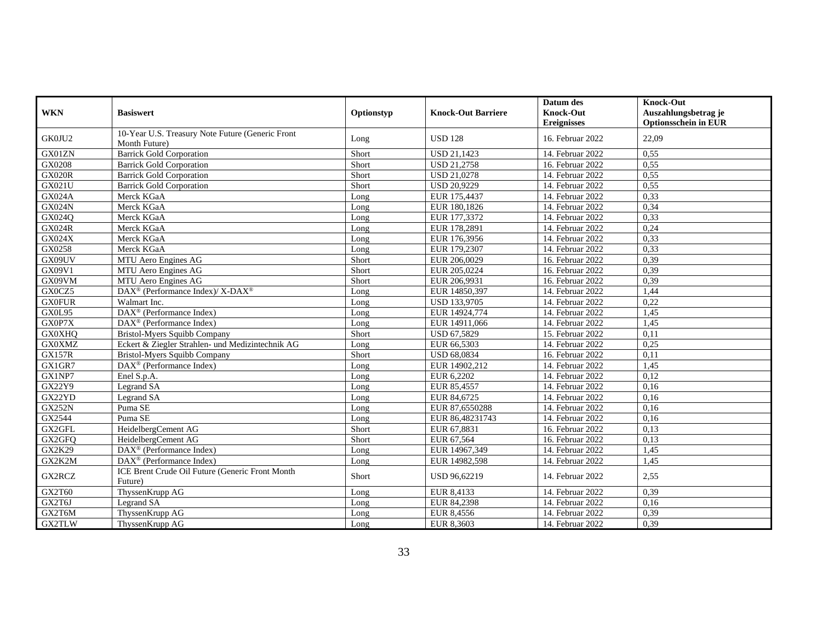| <b>WKN</b>    | <b>Basiswert</b>                                                  | Optionstyp | <b>Knock-Out Barriere</b> | Datum des<br><b>Knock-Out</b> | <b>Knock-Out</b><br>Auszahlungsbetrag je |
|---------------|-------------------------------------------------------------------|------------|---------------------------|-------------------------------|------------------------------------------|
|               |                                                                   |            |                           | <b>Ereignisses</b>            | <b>Optionsschein in EUR</b>              |
| GK0JU2        | 10-Year U.S. Treasury Note Future (Generic Front<br>Month Future) | Long       | <b>USD 128</b>            | 16. Februar 2022              | 22,09                                    |
| GX01ZN        | <b>Barrick Gold Corporation</b>                                   | Short      | USD 21,1423               | 14. Februar 2022              | 0,55                                     |
| GX0208        | <b>Barrick Gold Corporation</b>                                   | Short      | <b>USD 21,2758</b>        | 16. Februar 2022              | 0,55                                     |
| <b>GX020R</b> | <b>Barrick Gold Corporation</b>                                   | Short      | <b>USD 21,0278</b>        | 14. Februar 2022              | 0,55                                     |
| GX021U        | <b>Barrick Gold Corporation</b>                                   | Short      | <b>USD 20,9229</b>        | 14. Februar 2022              | 0,55                                     |
| <b>GX024A</b> | Merck KGaA                                                        | Long       | EUR 175,4437              | 14. Februar 2022              | 0,33                                     |
| <b>GX024N</b> | Merck KGaA                                                        | Long       | EUR 180,1826              | 14. Februar 2022              | 0.34                                     |
| GX024Q        | Merck KGaA                                                        | Long       | EUR 177,3372              | 14. Februar 2022              | 0,33                                     |
| <b>GX024R</b> | Merck KGaA                                                        | Long       | EUR 178,2891              | 14. Februar 2022              | 0,24                                     |
| GX024X        | Merck KGaA                                                        | Long       | EUR 176,3956              | 14. Februar 2022              | 0,33                                     |
| GX0258        | Merck KGaA                                                        | Long       | EUR 179,2307              | 14. Februar 2022              | 0,33                                     |
| GX09UV        | MTU Aero Engines AG                                               | Short      | EUR 206,0029              | 16. Februar 2022              | 0,39                                     |
| GX09V1        | MTU Aero Engines AG                                               | Short      | EUR 205,0224              | 16. Februar 2022              | 0,39                                     |
| GX09VM        | MTU Aero Engines AG                                               | Short      | EUR 206,9931              | 16. Februar 2022              | 0,39                                     |
| GX0CZ5        | DAX <sup>®</sup> (Performance Index)/ X-DAX <sup>®</sup>          | Long       | EUR 14850,397             | 14. Februar 2022              | 1,44                                     |
| <b>GX0FUR</b> | Walmart Inc.                                                      | Long       | USD 133,9705              | 14. Februar 2022              | 0,22                                     |
| GX0L95        | $\text{DAX}^{\circledR}$ (Performance Index)                      | Long       | EUR 14924,774             | 14. Februar 2022              | 1,45                                     |
| GX0P7X        | $DAX^{\circledR}$ (Performance Index)                             | Long       | EUR 14911,066             | 14. Februar 2022              | 1,45                                     |
| <b>GX0XHQ</b> | Bristol-Myers Squibb Company                                      | Short      | USD 67,5829               | 15. Februar 2022              | 0,11                                     |
| <b>GX0XMZ</b> | Eckert & Ziegler Strahlen- und Medizintechnik AG                  | Long       | EUR 66,5303               | 14. Februar 2022              | 0,25                                     |
| <b>GX157R</b> | Bristol-Myers Squibb Company                                      | Short      | <b>USD 68,0834</b>        | 16. Februar 2022              | 0,11                                     |
| GX1GR7        | $DAX^{\circledR}$ (Performance Index)                             | Long       | EUR 14902,212             | 14. Februar 2022              | 1.45                                     |
| GX1NP7        | Enel S.p.A.                                                       | Long       | EUR 6,2202                | 14. Februar 2022              | 0,12                                     |
| GX22Y9        | Legrand SA                                                        | Long       | EUR 85,4557               | 14. Februar 2022              | 0,16                                     |
| GX22YD        | Legrand SA                                                        | Long       | EUR 84,6725               | 14. Februar 2022              | 0,16                                     |
| GX252N        | Puma SE                                                           | Long       | EUR 87,6550288            | 14. Februar 2022              | 0,16                                     |
| GX2544        | Puma SE                                                           | Long       | EUR 86,48231743           | 14. Februar 2022              | 0,16                                     |
| GX2GFL        | HeidelbergCement AG                                               | Short      | EUR 67,8831               | 16. Februar 2022              | 0,13                                     |
| GX2GFQ        | HeidelbergCement AG                                               | Short      | EUR 67,564                | 16. Februar 2022              | 0.13                                     |
| GX2K29        | DAX <sup>®</sup> (Performance Index)                              | Long       | EUR 14967,349             | 14. Februar 2022              | 1,45                                     |
| GX2K2M        | DAX <sup>®</sup> (Performance Index)                              | Long       | EUR 14982,598             | 14. Februar 2022              | 1,45                                     |
| GX2RCZ        | ICE Brent Crude Oil Future (Generic Front Month<br>Future)        | Short      | USD 96,62219              | 14. Februar 2022              | 2,55                                     |
| GX2T60        | ThyssenKrupp AG                                                   | Long       | EUR 8,4133                | 14. Februar 2022              | 0,39                                     |
| GX2T6J        | Legrand SA                                                        | Long       | EUR 84,2398               | 14. Februar 2022              | 0,16                                     |
| GX2T6M        | ThyssenKrupp AG                                                   | Long       | EUR 8,4556                | 14. Februar 2022              | 0,39                                     |
| GX2TLW        | ThyssenKrupp AG                                                   | Long       | EUR 8,3603                | 14. Februar 2022              | 0,39                                     |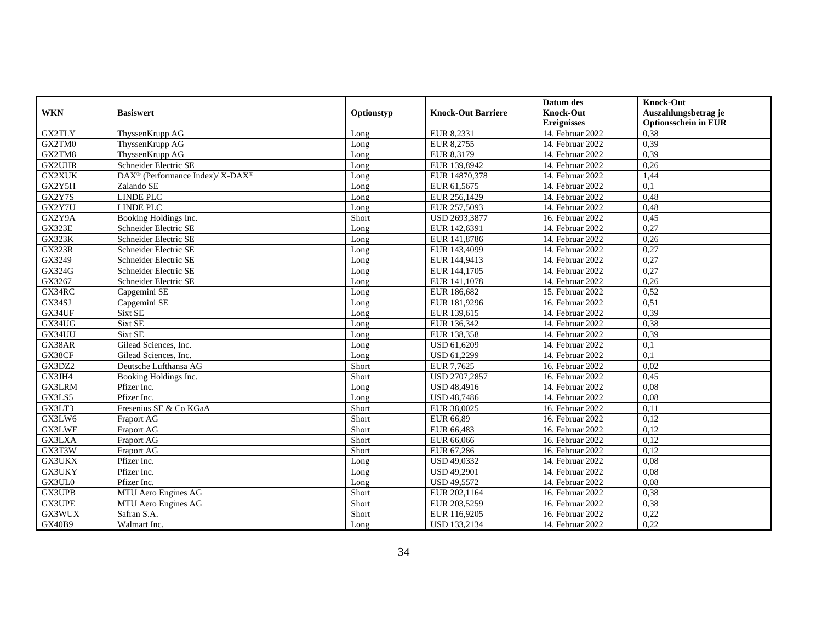|               |                                                          |            |                           | Datum des          | <b>Knock-Out</b>            |
|---------------|----------------------------------------------------------|------------|---------------------------|--------------------|-----------------------------|
| <b>WKN</b>    | <b>Basiswert</b>                                         | Optionstyp | <b>Knock-Out Barriere</b> | <b>Knock-Out</b>   | Auszahlungsbetrag je        |
|               |                                                          |            |                           | <b>Ereignisses</b> | <b>Optionsschein in EUR</b> |
| GX2TLY        | ThyssenKrupp AG                                          | Long       | EUR 8,2331                | 14. Februar 2022   | 0,38                        |
| GX2TM0        | ThyssenKrupp AG                                          | Long       | EUR 8.2755                | 14. Februar 2022   | 0,39                        |
| GX2TM8        | ThyssenKrupp AG                                          | Long       | EUR 8,3179                | 14. Februar 2022   | 0,39                        |
| <b>GX2UHR</b> | Schneider Electric SE                                    | Long       | EUR 139,8942              | 14. Februar 2022   | 0,26                        |
| GX2XUK        | DAX <sup>®</sup> (Performance Index)/ X-DAX <sup>®</sup> | Long       | EUR 14870,378             | 14. Februar 2022   | 1,44                        |
| GX2Y5H        | Zalando SE                                               | Long       | EUR 61,5675               | 14. Februar 2022   | $\overline{0,1}$            |
| GX2Y7S        | <b>LINDE PLC</b>                                         | Long       | EUR 256,1429              | 14. Februar 2022   | 0.48                        |
| GX2Y7U        | LINDE PLC                                                | Long       | EUR 257,5093              | 14. Februar 2022   | 0,48                        |
| GX2Y9A        | Booking Holdings Inc.                                    | Short      | USD 2693,3877             | 16. Februar 2022   | 0,45                        |
| <b>GX323E</b> | Schneider Electric SE                                    | Long       | EUR 142,6391              | 14. Februar 2022   | 0,27                        |
| <b>GX323K</b> | Schneider Electric SE                                    | Long       | EUR 141,8786              | 14. Februar 2022   | 0,26                        |
| <b>GX323R</b> | Schneider Electric SE                                    | Long       | EUR 143,4099              | 14. Februar 2022   | 0,27                        |
| GX3249        | Schneider Electric SE                                    | Long       | EUR 144,9413              | 14. Februar 2022   | 0,27                        |
| GX324G        | Schneider Electric SE                                    | Long       | EUR 144,1705              | 14. Februar 2022   | 0,27                        |
| GX3267        | Schneider Electric SE                                    | Long       | EUR 141,1078              | 14. Februar 2022   | 0,26                        |
| GX34RC        | Capgemini SE                                             | Long       | EUR 186,682               | 15. Februar 2022   | 0,52                        |
| GX34SJ        | Capgemini SE                                             | Long       | EUR 181,9296              | 16. Februar 2022   | 0,51                        |
| GX34UF        | Sixt SE                                                  | Long       | EUR 139,615               | 14. Februar 2022   | 0.39                        |
| GX34UG        | Sixt SE                                                  | Long       | EUR 136,342               | 14. Februar 2022   | 0,38                        |
| GX34UU        | Sixt SE                                                  | Long       | EUR 138,358               | 14. Februar 2022   | 0,39                        |
| GX38AR        | Gilead Sciences, Inc.                                    | Long       | USD 61,6209               | 14. Februar 2022   | 0,1                         |
| GX38CF        | Gilead Sciences, Inc.                                    | Long       | USD 61,2299               | 14. Februar 2022   | $\overline{0,1}$            |
| GX3DZ2        | Deutsche Lufthansa AG                                    | Short      | EUR 7.7625                | 16. Februar 2022   | 0.02                        |
| GX3JH4        | Booking Holdings Inc.                                    | Short      | USD 2707,2857             | 16. Februar 2022   | 0,45                        |
| GX3LRM        | Pfizer Inc.                                              | Long       | USD 48,4916               | 14. Februar 2022   | 0.08                        |
| GX3LS5        | Pfizer Inc.                                              | Long       | <b>USD 48,7486</b>        | 14. Februar 2022   | 0,08                        |
| GX3LT3        | Fresenius SE & Co KGaA                                   | Short      | EUR 38,0025               | 16. Februar 2022   | 0,11                        |
| GX3LW6        | <b>Fraport AG</b>                                        | Short      | EUR 66,89                 | 16. Februar 2022   | 0,12                        |
| GX3LWF        | Fraport AG                                               | Short      | EUR 66,483                | 16. Februar 2022   | 0,12                        |
| GX3LXA        | Fraport AG                                               | Short      | EUR 66,066                | 16. Februar 2022   | 0,12                        |
| GX3T3W        | Fraport AG                                               | Short      | EUR 67,286                | 16. Februar 2022   | 0,12                        |
| GX3UKX        | Pfizer Inc.                                              | Long       | <b>USD 49,0332</b>        | 14. Februar 2022   | 0,08                        |
| GX3UKY        | Pfizer Inc.                                              | Long       | <b>USD 49,2901</b>        | 14. Februar 2022   | 0,08                        |
| GX3UL0        | Pfizer Inc.                                              | Long       | USD 49,5572               | 14. Februar 2022   | 0.08                        |
| GX3UPB        | MTU Aero Engines AG                                      | Short      | EUR 202,1164              | 16. Februar 2022   | 0,38                        |
| GX3UPE        | MTU Aero Engines AG                                      | Short      | EUR 203,5259              | 16. Februar 2022   | 0,38                        |
| GX3WUX        | Safran S.A.                                              | Short      | EUR 116,9205              | 16. Februar 2022   | 0,22                        |
| <b>GX40B9</b> | Walmart Inc.                                             | Long       | <b>USD 133,2134</b>       | 14. Februar 2022   | 0,22                        |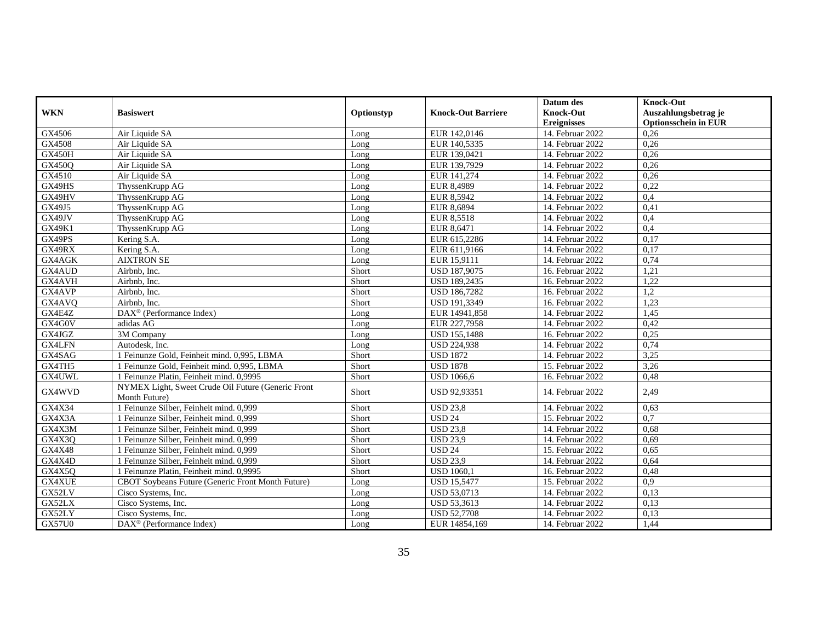|               |                                                                     |            |                           | Datum des          | <b>Knock-Out</b>            |
|---------------|---------------------------------------------------------------------|------------|---------------------------|--------------------|-----------------------------|
| <b>WKN</b>    | <b>Basiswert</b>                                                    | Optionstyp | <b>Knock-Out Barriere</b> | <b>Knock-Out</b>   | Auszahlungsbetrag je        |
|               |                                                                     |            |                           | <b>Ereignisses</b> | <b>Optionsschein in EUR</b> |
| GX4506        | Air Liquide SA                                                      | Long       | EUR 142,0146              | 14. Februar 2022   | 0,26                        |
| GX4508        | Air Liquide SA                                                      | Long       | EUR 140,5335              | 14. Februar 2022   | 0,26                        |
| <b>GX450H</b> | Air Liquide SA                                                      | Long       | EUR 139,0421              | 14. Februar 2022   | 0,26                        |
| <b>GX450Q</b> | Air Liquide SA                                                      | Long       | EUR 139,7929              | 14. Februar 2022   | 0,26                        |
| GX4510        | Air Liquide SA                                                      | Long       | EUR 141,274               | 14. Februar 2022   | 0,26                        |
| GX49HS        | ThyssenKrupp AG                                                     | Long       | EUR 8,4989                | 14. Februar 2022   | 0,22                        |
| GX49HV        | ThyssenKrupp AG                                                     | Long       | EUR 8,5942                | 14. Februar 2022   | 0,4                         |
| GX49J5        | ThyssenKrupp AG                                                     | Long       | EUR 8,6894                | 14. Februar 2022   | 0,41                        |
| GX49JV        | ThyssenKrupp AG                                                     | Long       | EUR 8,5518                | 14. Februar 2022   | 0,4                         |
| GX49K1        | ThyssenKrupp AG                                                     | Long       | EUR 8,6471                | 14. Februar 2022   | 0,4                         |
| GX49PS        | Kering S.A.                                                         | Long       | EUR 615,2286              | 14. Februar 2022   | 0,17                        |
| GX49RX        | Kering S.A.                                                         | Long       | EUR 611,9166              | 14. Februar 2022   | 0,17                        |
| GX4AGK        | <b>AIXTRON SE</b>                                                   | Long       | EUR 15.9111               | 14. Februar 2022   | 0,74                        |
| GX4AUD        | Airbnb, Inc.                                                        | Short      | <b>USD 187,9075</b>       | 16. Februar 2022   | 1,21                        |
| GX4AVH        | Airbnb, Inc.                                                        | Short      | <b>USD 189,2435</b>       | 16. Februar 2022   | 1,22                        |
| GX4AVP        | Airbnb, Inc.                                                        | Short      | <b>USD 186,7282</b>       | 16. Februar 2022   | 1.2                         |
| GX4AVQ        | Airbnb, Inc.                                                        | Short      | USD 191,3349              | 16. Februar 2022   | 1,23                        |
| GX4E4Z        | DAX <sup>®</sup> (Performance Index)                                | Long       | EUR 14941,858             | $14.$ Februar 2022 | 1,45                        |
| GX4G0V        | adidas AG                                                           | Long       | EUR 227,7958              | 14. Februar 2022   | 0,42                        |
| GX4JGZ        | 3M Company                                                          | Long       | <b>USD 155,1488</b>       | 16. Februar 2022   | 0,25                        |
| GX4LFN        | Autodesk, Inc.                                                      | Long       | <b>USD 224,938</b>        | 14. Februar 2022   | 0,74                        |
| GX4SAG        | 1 Feinunze Gold, Feinheit mind. 0,995, LBMA                         | Short      | <b>USD 1872</b>           | 14. Februar 2022   | 3,25                        |
| GX4TH5        | 1 Feinunze Gold, Feinheit mind. 0,995, LBMA                         | Short      | <b>USD 1878</b>           | 15. Februar 2022   | 3,26                        |
| GX4UWL        | 1 Feinunze Platin, Feinheit mind. 0,9995                            | Short      | <b>USD 1066.6</b>         | 16. Februar 2022   | 0,48                        |
| GX4WVD        | NYMEX Light, Sweet Crude Oil Future (Generic Front<br>Month Future) | Short      | USD 92,93351              | 14. Februar 2022   | 2,49                        |
| GX4X34        | 1 Feinunze Silber, Feinheit mind. 0,999                             | Short      | <b>USD 23,8</b>           | 14. Februar 2022   | 0,63                        |
| GX4X3A        | 1 Feinunze Silber, Feinheit mind. 0,999                             | Short      | <b>USD 24</b>             | 15. Februar 2022   | 0.7                         |
| GX4X3M        | 1 Feinunze Silber, Feinheit mind, 0.999                             | Short      | <b>USD 23,8</b>           | 14. Februar 2022   | 0.68                        |
| GX4X3Q        | 1 Feinunze Silber, Feinheit mind. 0,999                             | Short      | <b>USD 23,9</b>           | 14. Februar 2022   | 0,69                        |
| <b>GX4X48</b> | 1 Feinunze Silber, Feinheit mind. 0,999                             | Short      | <b>USD 24</b>             | 15. Februar 2022   | 0.65                        |
| GX4X4D        | 1 Feinunze Silber, Feinheit mind. 0,999                             | Short      | <b>USD 23.9</b>           | 14. Februar 2022   | 0.64                        |
| GX4X5Q        | 1 Feinunze Platin, Feinheit mind, 0.9995                            | Short      | <b>USD 1060.1</b>         | 16. Februar 2022   | 0,48                        |
| <b>GX4XUE</b> | CBOT Soybeans Future (Generic Front Month Future)                   | Long       | <b>USD 15,5477</b>        | 15. Februar 2022   | 0,9                         |
| GX52LV        | Cisco Systems, Inc.                                                 | Long       | USD 53,0713               | 14. Februar 2022   | 0,13                        |
| GX52LX        | Cisco Systems, Inc.                                                 | Long       | USD 53,3613               | 14. Februar 2022   | 0,13                        |
| GX52LY        | Cisco Systems, Inc.                                                 | Long       | <b>USD 52,7708</b>        | 14. Februar 2022   | 0,13                        |
| <b>GX57U0</b> | DAX <sup>®</sup> (Performance Index)                                | Long       | EUR 14854,169             | 14. Februar 2022   | 1,44                        |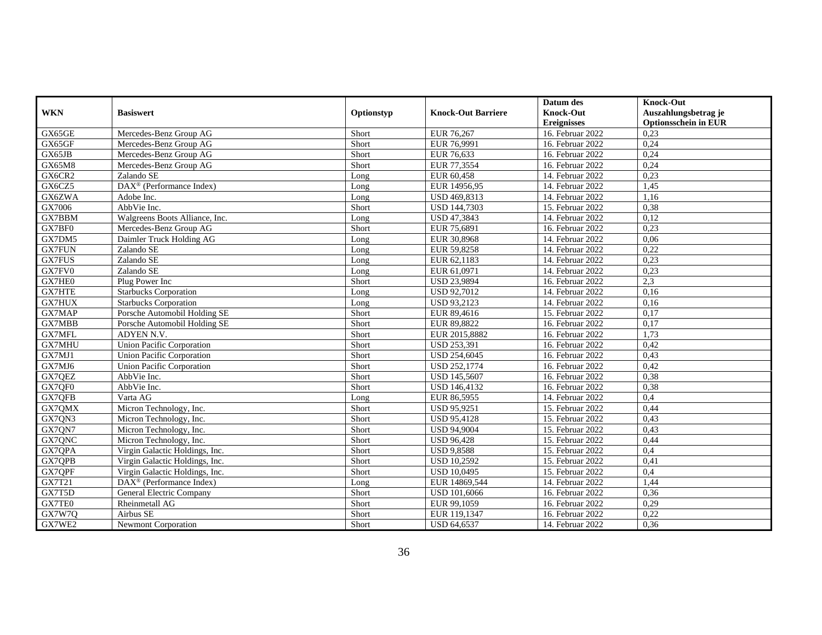|               |                                      |            |                           | Datum des          | <b>Knock-Out</b>            |
|---------------|--------------------------------------|------------|---------------------------|--------------------|-----------------------------|
| <b>WKN</b>    | <b>Basiswert</b>                     | Optionstyp | <b>Knock-Out Barriere</b> | <b>Knock-Out</b>   | Auszahlungsbetrag je        |
|               |                                      |            |                           | <b>Ereignisses</b> | <b>Optionsschein in EUR</b> |
| GX65GE        | Mercedes-Benz Group AG               | Short      | EUR 76,267                | 16. Februar 2022   | 0.23                        |
| GX65GF        | Mercedes-Benz Group AG               | Short      | EUR 76,9991               | 16. Februar 2022   | 0.24                        |
| GX65JB        | Mercedes-Benz Group AG               | Short      | EUR 76,633                | 16. Februar 2022   | 0,24                        |
| GX65M8        | Mercedes-Benz Group AG               | Short      | EUR 77,3554               | 16. Februar 2022   | 0,24                        |
| GX6CR2        | Zalando SE                           | Long       | EUR 60,458                | 14. Februar 2022   | 0.23                        |
| GX6CZ5        | DAX <sup>®</sup> (Performance Index) | Long       | EUR 14956,95              | 14. Februar 2022   | 1,45                        |
| GX6ZWA        | Adobe Inc.                           | Long       | <b>USD 469.8313</b>       | 14. Februar 2022   | 1,16                        |
| GX7006        | AbbVie Inc.                          | Short      | <b>USD 144,7303</b>       | 15. Februar 2022   | 0,38                        |
| GX7BBM        | Walgreens Boots Alliance, Inc.       | Long       | USD 47,3843               | 14. Februar 2022   | 0,12                        |
| GX7BF0        | Mercedes-Benz Group AG               | Short      | EUR 75,6891               | 16. Februar 2022   | 0,23                        |
| GX7DM5        | Daimler Truck Holding AG             | Long       | EUR 30,8968               | 14. Februar 2022   | 0,06                        |
| <b>GX7FUN</b> | Zalando SE                           | Long       | EUR 59,8258               | 14. Februar 2022   | 0,22                        |
| <b>GX7FUS</b> | Zalando SE                           | Long       | EUR 62,1183               | 14. Februar 2022   | 0,23                        |
| GX7FV0        | Zalando SE                           | Long       | EUR 61,0971               | 14. Februar 2022   | 0,23                        |
| GX7HE0        | Plug Power Inc                       | Short      | USD 23,9894               | 16. Februar 2022   | 2,3                         |
| <b>GX7HTE</b> | <b>Starbucks Corporation</b>         | Long       | USD 92,7012               | 14. Februar 2022   | 0,16                        |
| GX7HUX        | <b>Starbucks Corporation</b>         | Long       | USD 93,2123               | 14. Februar 2022   | 0,16                        |
| GX7MAP        | Porsche Automobil Holding SE         | Short      | EUR 89,4616               | 15. Februar 2022   | 0,17                        |
| GX7MBB        | Porsche Automobil Holding SE         | Short      | EUR 89,8822               | 16. Februar 2022   | 0,17                        |
| <b>GX7MFL</b> | ADYEN N.V.                           | Short      | EUR 2015,8882             | 16. Februar 2022   | 1,73                        |
| <b>GX7MHU</b> | <b>Union Pacific Corporation</b>     | Short      | <b>USD 253,391</b>        | 16. Februar 2022   | 0,42                        |
| GX7MJ1        | Union Pacific Corporation            | Short      | <b>USD 254,6045</b>       | 16. Februar 2022   | 0,43                        |
| GX7MJ6        | <b>Union Pacific Corporation</b>     | Short      | <b>USD 252,1774</b>       | 16. Februar 2022   | 0,42                        |
| GX7QEZ        | AbbVie Inc.                          | Short      | <b>USD 145,5607</b>       | 16. Februar 2022   | 0,38                        |
| GX7QF0        | AbbVie Inc.                          | Short      | <b>USD 146,4132</b>       | 16. Februar 2022   | 0,38                        |
| GX7QFB        | Varta AG                             | Long       | EUR 86,5955               | 14. Februar 2022   | 0,4                         |
| GX7QMX        | Micron Technology, Inc.              | Short      | <b>USD 95,9251</b>        | 15. Februar 2022   | 0,44                        |
| GX7QN3        | Micron Technology, Inc.              | Short      | <b>USD 95,4128</b>        | 15. Februar 2022   | 0,43                        |
| GX7QN7        | Micron Technology, Inc.              | Short      | <b>USD 94,9004</b>        | 15. Februar 2022   | 0,43                        |
| GX7QNC        | Micron Technology, Inc.              | Short      | <b>USD 96,428</b>         | 15. Februar 2022   | 0,44                        |
| GX7QPA        | Virgin Galactic Holdings, Inc.       | Short      | <b>USD 9,8588</b>         | 15. Februar 2022   | 0,4                         |
| GX7QPB        | Virgin Galactic Holdings, Inc.       | Short      | <b>USD 10,2592</b>        | 15. Februar 2022   | 0,41                        |
| GX7QPF        | Virgin Galactic Holdings, Inc.       | Short      | <b>USD 10,0495</b>        | 15. Februar 2022   | 0,4                         |
| GX7T21        | DAX <sup>®</sup> (Performance Index) | Long       | EUR 14869,544             | 14. Februar 2022   | 1,44                        |
| GX7T5D        | General Electric Company             | Short      | USD 101,6066              | 16. Februar 2022   | 0,36                        |
| GX7TE0        | Rheinmetall AG                       | Short      | EUR 99,1059               | 16. Februar 2022   | 0,29                        |
| GX7W7Q        | Airbus SE                            | Short      | EUR 119,1347              | 16. Februar 2022   | 0,22                        |
| GX7WE2        | <b>Newmont Corporation</b>           | Short      | <b>USD 64,6537</b>        | 14. Februar 2022   | 0,36                        |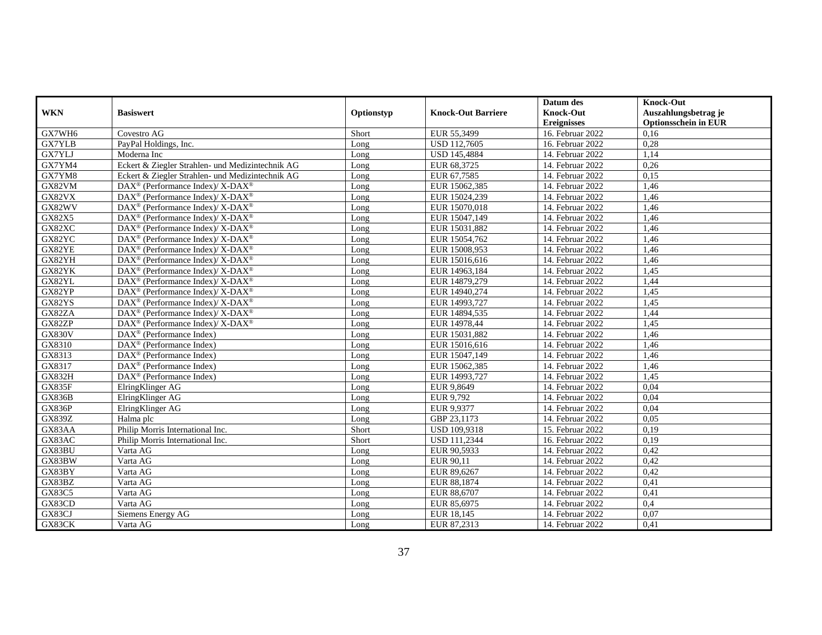|               |                                                           |            |                           | Datum des          | Knock-Out                   |
|---------------|-----------------------------------------------------------|------------|---------------------------|--------------------|-----------------------------|
| <b>WKN</b>    | <b>Basiswert</b>                                          | Optionstyp | <b>Knock-Out Barriere</b> | <b>Knock-Out</b>   | Auszahlungsbetrag je        |
|               |                                                           |            |                           | <b>Ereignisses</b> | <b>Optionsschein in EUR</b> |
| GX7WH6        | Covestro AG                                               | Short      | EUR 55,3499               | 16. Februar 2022   | 0,16                        |
| GX7YLB        | PayPal Holdings, Inc.                                     | Long       | <b>USD 112.7605</b>       | 16. Februar 2022   | 0,28                        |
| GX7YLJ        | Moderna Inc                                               | Long       | <b>USD 145,4884</b>       | 14. Februar 2022   | 1,14                        |
| GX7YM4        | Eckert & Ziegler Strahlen- und Medizintechnik AG          | Long       | EUR 68,3725               | 14. Februar 2022   | 0,26                        |
| GX7YM8        | Eckert & Ziegler Strahlen- und Medizintechnik AG          | Long       | EUR 67,7585               | 14. Februar 2022   | 0,15                        |
| GX82VM        | DAX <sup>®</sup> (Performance Index)/ X-DAX <sup>®</sup>  | Long       | EUR 15062,385             | 14. Februar 2022   | 1,46                        |
| GX82VX        | DAX <sup>®</sup> (Performance Index)/ X-DAX <sup>®</sup>  | Long       | EUR 15024,239             | 14. Februar 2022   | 1.46                        |
| GX82WV        | $DAX^{\circledR}$ (Performance Index)/ X-DAX <sup>®</sup> | Long       | EUR 15070,018             | 14. Februar 2022   | 1,46                        |
| GX82X5        | DAX <sup>®</sup> (Performance Index)/ X-DAX <sup>®</sup>  | Long       | EUR 15047,149             | 14. Februar 2022   | 1,46                        |
| GX82XC        | DAX <sup>®</sup> (Performance Index)/ X-DAX <sup>®</sup>  | Long       | EUR 15031,882             | 14. Februar 2022   | 1,46                        |
| GX82YC        | DAX <sup>®</sup> (Performance Index)/ X-DAX <sup>®</sup>  | Long       | EUR 15054,762             | 14. Februar 2022   | 1,46                        |
| GX82YE        | DAX <sup>®</sup> (Performance Index)/ X-DAX <sup>®</sup>  | Long       | EUR 15008,953             | 14. Februar 2022   | 1,46                        |
| GX82YH        | $DAX^{\circledR}$ (Performance Index)/ X-DAX <sup>®</sup> | Long       | EUR 15016,616             | 14. Februar 2022   | 1,46                        |
| GX82YK        | DAX <sup>®</sup> (Performance Index)/ X-DAX <sup>®</sup>  | Long       | EUR 14963,184             | 14. Februar 2022   | 1,45                        |
| GX82YL        | DAX <sup>®</sup> (Performance Index)/ X-DAX <sup>®</sup>  | Long       | EUR 14879,279             | 14. Februar 2022   | 1,44                        |
| GX82YP        | DAX <sup>®</sup> (Performance Index)/ X-DAX <sup>®</sup>  | Long       | EUR 14940,274             | 14. Februar 2022   | 1,45                        |
| GX82YS        | DAX <sup>®</sup> (Performance Index)/ X-DAX <sup>®</sup>  | Long       | EUR 14993,727             | 14. Februar 2022   | 1,45                        |
| GX82ZA        | $DAX^{\circledR}$ (Performance Index)/X-DAX <sup>®</sup>  | Long       | EUR 14894,535             | 14. Februar 2022   | 1,44                        |
| GX82ZP        | DAX <sup>®</sup> (Performance Index)/ X-DAX <sup>®</sup>  | Long       | EUR 14978,44              | 14. Februar 2022   | 1,45                        |
| <b>GX830V</b> | $DAX^{\circledR}$ (Performance Index)                     | Long       | EUR 15031,882             | 14. Februar 2022   | 1,46                        |
| GX8310        | DAX <sup>®</sup> (Performance Index)                      | Long       | EUR 15016,616             | 14. Februar 2022   | 1,46                        |
| GX8313        | DAX <sup>®</sup> (Performance Index)                      | Long       | EUR 15047,149             | 14. Februar 2022   | 1,46                        |
| GX8317        | $\text{DAX}^{\circledR}$ (Performance Index)              | Long       | EUR 15062.385             | 14. Februar 2022   | 1,46                        |
| <b>GX832H</b> | $DAX^{\circledast}$ (Performance Index)                   | Long       | EUR 14993,727             | 14. Februar 2022   | 1,45                        |
| <b>GX835F</b> | ElringKlinger AG                                          | Long       | EUR 9,8649                | 14. Februar 2022   | 0,04                        |
| <b>GX836B</b> | ElringKlinger AG                                          | Long       | EUR 9,792                 | 14. Februar 2022   | 0,04                        |
| <b>GX836P</b> | ElringKlinger AG                                          | Long       | EUR 9,9377                | 14. Februar 2022   | 0,04                        |
| <b>GX839Z</b> | Halma plc                                                 | Long       | GBP 23.1173               | 14. Februar 2022   | 0,05                        |
| GX83AA        | Philip Morris International Inc.                          | Short      | USD 109,9318              | 15. Februar 2022   | 0,19                        |
| GX83AC        | Philip Morris International Inc.                          | Short      | USD 111,2344              | 16. Februar 2022   | 0,19                        |
| GX83BU        | Varta AG                                                  | Long       | EUR 90,5933               | 14. Februar 2022   | 0,42                        |
| GX83BW        | Varta AG                                                  | Long       | EUR 90,11                 | 14. Februar 2022   | 0,42                        |
| GX83BY        | Varta AG                                                  | Long       | EUR 89,6267               | 14. Februar 2022   | 0,42                        |
| GX83BZ        | Varta AG                                                  | Long       | EUR 88,1874               | 14. Februar 2022   | 0,41                        |
| GX83C5        | Varta AG                                                  | Long       | EUR 88,6707               | 14. Februar 2022   | 0,41                        |
| GX83CD        | Varta AG                                                  | Long       | EUR 85,6975               | 14. Februar 2022   | 0,4                         |
| GX83CJ        | Siemens Energy AG                                         | Long       | EUR 18,145                | 14. Februar 2022   | 0,07                        |
| GX83CK        | Varta AG                                                  | Long       | EUR 87,2313               | 14. Februar 2022   | 0,41                        |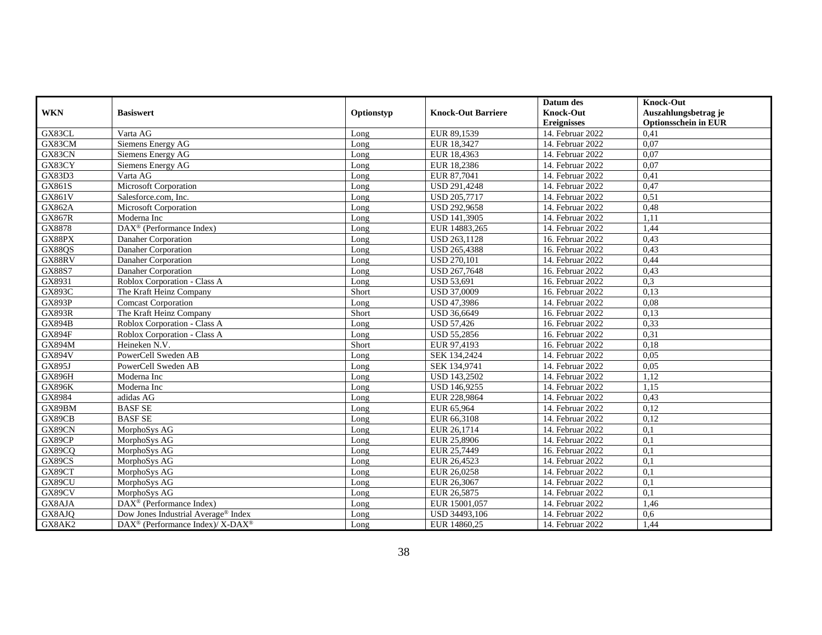|               |                                                          |            |                           | Datum des          | <b>Knock-Out</b>            |
|---------------|----------------------------------------------------------|------------|---------------------------|--------------------|-----------------------------|
| <b>WKN</b>    | <b>Basiswert</b>                                         | Optionstyp | <b>Knock-Out Barriere</b> | Knock-Out          | Auszahlungsbetrag je        |
|               |                                                          |            |                           | <b>Ereignisses</b> | <b>Optionsschein in EUR</b> |
| GX83CL        | Varta AG                                                 | Long       | EUR 89,1539               | 14. Februar 2022   | 0,41                        |
| GX83CM        | Siemens Energy AG                                        | Long       | EUR 18,3427               | 14. Februar 2022   | 0,07                        |
| GX83CN        | Siemens Energy AG                                        | Long       | EUR 18,4363               | 14. Februar 2022   | 0,07                        |
| GX83CY        | <b>Siemens Energy AG</b>                                 | Long       | EUR 18,2386               | 14. Februar 2022   | 0,07                        |
| <b>GX83D3</b> | Varta AG                                                 | Long       | EUR 87,7041               | 14. Februar 2022   | 0,41                        |
| GX861S        | Microsoft Corporation                                    | Long       | USD 291,4248              | 14. Februar 2022   | 0,47                        |
| GX861V        | Salesforce.com, Inc.                                     | Long       | USD 205,7717              | 14. Februar 2022   | 0,51                        |
| GX862A        | Microsoft Corporation                                    | Long       | USD 292,9658              | 14. Februar 2022   | 0,48                        |
| <b>GX867R</b> | Moderna Inc                                              | Long       | <b>USD 141,3905</b>       | 14. Februar 2022   | 1,11                        |
| GX8878        | $\text{DAX}^{\circledR}$ (Performance Index)             | Long       | EUR 14883,265             | 14. Februar 2022   | 1,44                        |
| GX88PX        | Danaher Corporation                                      | Long       | USD 263,1128              | 16. Februar 2022   | 0,43                        |
| GX88QS        | Danaher Corporation                                      | Long       | USD 265,4388              | 16. Februar 2022   | 0,43                        |
| GX88RV        | Danaher Corporation                                      | Long       | <b>USD 270,101</b>        | 14. Februar 2022   | 0,44                        |
| GX88S7        | Danaher Corporation                                      | Long       | USD 267,7648              | 16. Februar 2022   | 0,43                        |
| GX8931        | Roblox Corporation - Class A                             | Long       | <b>USD 53,691</b>         | 16. Februar 2022   | 0,3                         |
| <b>GX893C</b> | The Kraft Heinz Company                                  | Short      | <b>USD 37,0009</b>        | 16. Februar 2022   | 0,13                        |
| <b>GX893P</b> | <b>Comcast Corporation</b>                               | Long       | <b>USD 47.3986</b>        | 14. Februar 2022   | 0,08                        |
| <b>GX893R</b> | The Kraft Heinz Company                                  | Short      | USD 36,6649               | 16. Februar 2022   | 0,13                        |
| <b>GX894B</b> | Roblox Corporation - Class A                             | Long       | <b>USD 57,426</b>         | 16. Februar 2022   | 0,33                        |
| <b>GX894F</b> | Roblox Corporation - Class A                             | Long       | USD 55,2856               | 16. Februar 2022   | 0,31                        |
| <b>GX894M</b> | Heineken N.V.                                            | Short      | EUR 97,4193               | 16. Februar 2022   | 0,18                        |
| <b>GX894V</b> | PowerCell Sweden AB                                      | Long       | SEK 134,2424              | 14. Februar 2022   | 0,05                        |
| GX895J        | PowerCell Sweden AB                                      | Long       | SEK 134,9741              | 14. Februar 2022   | 0,05                        |
| <b>GX896H</b> | Moderna Inc                                              | Long       | USD 143,2502              | 14. Februar 2022   | 1,12                        |
| <b>GX896K</b> | Moderna Inc                                              | Long       | USD 146,9255              | 14. Februar 2022   | 1,15                        |
| GX8984        | adidas AG                                                | Long       | EUR 228,9864              | 14. Februar 2022   | 0,43                        |
| GX89BM        | <b>BASF SE</b>                                           | Long       | EUR 65,964                | 14. Februar 2022   | 0,12                        |
| GX89CB        | <b>BASF SE</b>                                           | Long       | EUR 66,3108               | 14. Februar 2022   | 0,12                        |
| GX89CN        | MorphoSys AG                                             | Long       | EUR 26,1714               | 14. Februar 2022   | 0,1                         |
| GX89CP        | MorphoSys AG                                             | Long       | EUR 25,8906               | 14. Februar 2022   | 0,1                         |
| GX89CQ        | MorphoSys AG                                             | Long       | EUR 25,7449               | 16. Februar 2022   | 0,1                         |
| GX89CS        | MorphoSys AG                                             | Long       | EUR 26,4523               | 14. Februar 2022   | 0,1                         |
| GX89CT        | MorphoSys AG                                             | Long       | EUR 26,0258               | 14. Februar 2022   | $\overline{0,1}$            |
| GX89CU        | MorphoSys AG                                             | Long       | EUR 26,3067               | 14. Februar 2022   | 0,1                         |
| GX89CV        | MorphoSys AG                                             | Long       | EUR 26,5875               | 14. Februar 2022   | 0,1                         |
| GX8AJA        | $\text{DAX}^{\circledR}$ (Performance Index)             | Long       | EUR 15001,057             | 14. Februar 2022   | 1,46                        |
| GX8AJQ        | Dow Jones Industrial Average® Index                      | Long       | USD 34493,106             | 14. Februar 2022   | 0,6                         |
| GX8AK2        | DAX <sup>®</sup> (Performance Index)/ X-DAX <sup>®</sup> | Long       | EUR 14860,25              | 14. Februar 2022   | 1,44                        |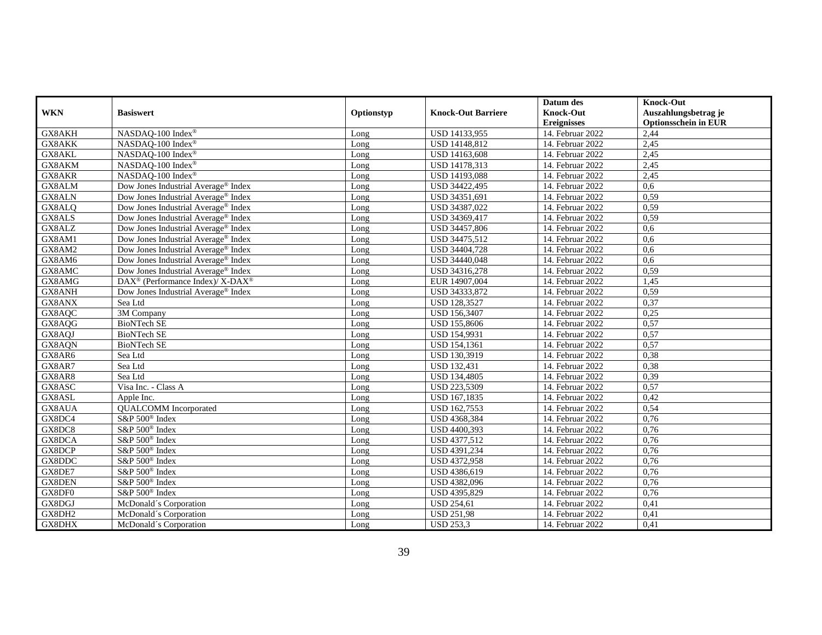|            |                                                          |            |                           | Datum des          | <b>Knock-Out</b>            |
|------------|----------------------------------------------------------|------------|---------------------------|--------------------|-----------------------------|
| <b>WKN</b> | <b>Basiswert</b>                                         | Optionstyp | <b>Knock-Out Barriere</b> | <b>Knock-Out</b>   | Auszahlungsbetrag je        |
|            |                                                          |            |                           | <b>Ereignisses</b> | <b>Optionsschein in EUR</b> |
| GX8AKH     | NASDAQ-100 Index®                                        | Long       | USD 14133,955             | 14. Februar 2022   | 2,44                        |
| GX8AKK     | NASDAO-100 Index®                                        | Long       | USD 14148,812             | 14. Februar 2022   | 2,45                        |
| GX8AKL     | NASDAQ-100 Index®                                        | Long       | USD 14163,608             | 14. Februar 2022   | 2,45                        |
| GX8AKM     | NASDAQ-100 Index®                                        | Long       | USD 14178,313             | 14. Februar 2022   | 2,45                        |
| GX8AKR     | NASDAQ-100 Index®                                        | Long       | USD 14193,088             | 14. Februar 2022   | 2,45                        |
| GX8ALM     | Dow Jones Industrial Average® Index                      | Long       | USD 34422,495             | 14. Februar 2022   | 0,6                         |
| GX8ALN     | Dow Jones Industrial Average® Index                      | Long       | USD 34351,691             | 14. Februar 2022   | 0,59                        |
| GX8ALQ     | Dow Jones Industrial Average <sup>®</sup> Index          | Long       | USD 34387,022             | 14. Februar 2022   | 0,59                        |
| GX8ALS     | Dow Jones Industrial Average <sup>®</sup> Index          | Long       | USD 34369,417             | 14. Februar 2022   | 0,59                        |
| GX8ALZ     | Dow Jones Industrial Average <sup>®</sup> Index          | Long       | USD 34457,806             | 14. Februar 2022   | 0.6                         |
| GX8AM1     | Dow Jones Industrial Average® Index                      | Long       | USD 34475,512             | 14. Februar 2022   | 0,6                         |
| GX8AM2     | Dow Jones Industrial Average® Index                      | Long       | USD 34404,728             | 14. Februar 2022   | 0,6                         |
| GX8AM6     | Dow Jones Industrial Average® Index                      | Long       | USD 34440,048             | 14. Februar 2022   | 0,6                         |
| GX8AMC     | Dow Jones Industrial Average <sup>®</sup> Index          | Long       | USD 34316,278             | 14. Februar 2022   | 0.59                        |
| GX8AMG     | DAX <sup>®</sup> (Performance Index)/ X-DAX <sup>®</sup> | Long       | EUR 14907,004             | 14. Februar 2022   | 1,45                        |
| GX8ANH     | Dow Jones Industrial Average <sup>®</sup> Index          | Long       | USD 34333,872             | 14. Februar 2022   | 0,59                        |
| GX8ANX     | Sea Ltd                                                  | Long       | <b>USD 128,3527</b>       | 14. Februar 2022   | 0,37                        |
| GX8AQC     | 3M Company                                               | Long       | <b>USD 156,3407</b>       | 14. Februar 2022   | 0,25                        |
| GX8AQG     | <b>BioNTech SE</b>                                       | Long       | USD 155,8606              | 14. Februar 2022   | 0,57                        |
| GX8AQJ     | <b>BioNTech SE</b>                                       | Long       | USD 154,9931              | 14. Februar 2022   | 0,57                        |
| GX8AQN     | <b>BioNTech SE</b>                                       | Long       | <b>USD 154,1361</b>       | 14. Februar 2022   | 0,57                        |
| GX8AR6     | Sea Ltd                                                  | Long       | USD 130,3919              | 14. Februar 2022   | 0,38                        |
| GX8AR7     | Sea Ltd                                                  | Long       | <b>USD 132,431</b>        | 14. Februar 2022   | 0,38                        |
| GX8AR8     | Sea Ltd                                                  | Long       | USD 134,4805              | 14. Februar 2022   | 0,39                        |
| GX8ASC     | Visa Inc. - Class A                                      | Long       | USD 223,5309              | 14. Februar 2022   | 0,57                        |
| GX8ASL     | Apple Inc.                                               | Long       | USD 167,1835              | 14. Februar 2022   | 0,42                        |
| GX8AUA     | <b>OUALCOMM</b> Incorporated                             | Long       | USD 162,7553              | 14. Februar 2022   | 0,54                        |
| GX8DC4     | S&P 500 <sup>®</sup> Index                               | Long       | USD 4368,384              | 14. Februar 2022   | 0,76                        |
| GX8DC8     | S&P 500 <sup>®</sup> Index                               | Long       | USD 4400,393              | 14. Februar 2022   | 0,76                        |
| GX8DCA     | S&P 500 <sup>®</sup> Index                               | Long       | USD 4377,512              | 14. Februar 2022   | 0,76                        |
| GX8DCP     | S&P 500 <sup>®</sup> Index                               | Long       | USD 4391,234              | 14. Februar 2022   | 0,76                        |
| GX8DDC     | S&P 500 <sup>®</sup> Index                               | Long       | USD 4372,958              | 14. Februar 2022   | 0,76                        |
| GX8DE7     | S&P 500 <sup>®</sup> Index                               | Long       | USD 4386,619              | 14. Februar 2022   | 0,76                        |
| GX8DEN     | S&P 500 <sup>®</sup> Index                               | Long       | USD 4382,096              | 14. Februar 2022   | 0,76                        |
| GX8DF0     | S&P 500 <sup>®</sup> Index                               | Long       | USD 4395,829              | 14. Februar 2022   | 0,76                        |
| GX8DGJ     | McDonald's Corporation                                   | Long       | <b>USD 254,61</b>         | 14. Februar 2022   | 0,41                        |
| GX8DH2     | McDonald's Corporation                                   | Long       | <b>USD 251,98</b>         | 14. Februar 2022   | 0,41                        |
| GX8DHX     | McDonald's Corporation                                   | Long       | <b>USD 253,3</b>          | 14. Februar 2022   | 0,41                        |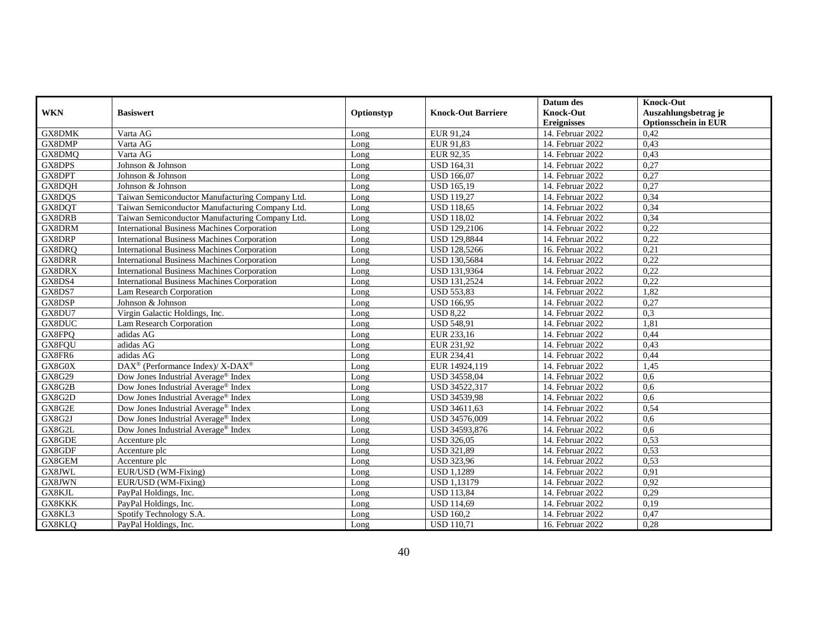|               |                                                          |            |                           | Datum des          | <b>Knock-Out</b>            |
|---------------|----------------------------------------------------------|------------|---------------------------|--------------------|-----------------------------|
| <b>WKN</b>    | <b>Basiswert</b>                                         | Optionstyp | <b>Knock-Out Barriere</b> | <b>Knock-Out</b>   | Auszahlungsbetrag je        |
|               |                                                          |            |                           | <b>Ereignisses</b> | <b>Optionsschein in EUR</b> |
| GX8DMK        | Varta AG                                                 | Long       | EUR 91,24                 | 14. Februar 2022   | 0.42                        |
| GX8DMP        | Varta AG                                                 | Long       | EUR 91.83                 | 14. Februar 2022   | 0,43                        |
| GX8DMQ        | Varta AG                                                 | Long       | EUR 92,35                 | 14. Februar 2022   | 0,43                        |
| GX8DPS        | Johnson & Johnson                                        | Long       | <b>USD 164,31</b>         | 14. Februar 2022   | 0,27                        |
| GX8DPT        | Johnson & Johnson                                        | Long       | <b>USD 166,07</b>         | 14. Februar 2022   | 0,27                        |
| GX8DQH        | Johnson & Johnson                                        | Long       | <b>USD 165.19</b>         | 14. Februar 2022   | 0,27                        |
| GX8DQS        | Taiwan Semiconductor Manufacturing Company Ltd.          | Long       | <b>USD 119.27</b>         | 14. Februar 2022   | 0.34                        |
| GX8DQT        | Taiwan Semiconductor Manufacturing Company Ltd.          | Long       | <b>USD 118,65</b>         | 14. Februar 2022   | 0,34                        |
| GX8DRB        | Taiwan Semiconductor Manufacturing Company Ltd.          | Long       | <b>USD 118,02</b>         | 14. Februar 2022   | 0,34                        |
| GX8DRM        | <b>International Business Machines Corporation</b>       | Long       | <b>USD 129,2106</b>       | 14. Februar 2022   | 0,22                        |
| GX8DRP        | <b>International Business Machines Corporation</b>       | Long       | <b>USD 129,8844</b>       | 14. Februar 2022   | 0,22                        |
| GX8DRQ        | <b>International Business Machines Corporation</b>       | Long       | USD 128,5266              | 16. Februar 2022   | 0,21                        |
| <b>GX8DRR</b> | International Business Machines Corporation              | Long       | <b>USD 130,5684</b>       | 14. Februar 2022   | 0,22                        |
| GX8DRX        | <b>International Business Machines Corporation</b>       | Long       | <b>USD 131,9364</b>       | 14. Februar 2022   | 0,22                        |
| GX8DS4        | <b>International Business Machines Corporation</b>       | Long       | USD 131,2524              | 14. Februar 2022   | 0,22                        |
| GX8DS7        | Lam Research Corporation                                 | Long       | <b>USD 553,83</b>         | 14. Februar 2022   | 1,82                        |
| GX8DSP        | Johnson & Johnson                                        | Long       | <b>USD 166,95</b>         | 14. Februar 2022   | 0,27                        |
| GX8DU7        | Virgin Galactic Holdings, Inc.                           | Long       | <b>USD 8,22</b>           | 14. Februar 2022   | 0,3                         |
| GX8DUC        | Lam Research Corporation                                 | Long       | <b>USD 548,91</b>         | 14. Februar 2022   | 1,81                        |
| GX8FPQ        | adidas AG                                                | Long       | EUR 233,16                | 14. Februar 2022   | 0,44                        |
| GX8FQU        | adidas AG                                                | Long       | EUR 231,92                | 14. Februar 2022   | 0,43                        |
| GX8FR6        | adidas AG                                                | Long       | EUR 234,41                | 14. Februar 2022   | 0,44                        |
| GX8G0X        | DAX <sup>®</sup> (Performance Index)/ X-DAX <sup>®</sup> | Long       | EUR 14924,119             | 14. Februar 2022   | 1,45                        |
| GX8G29        | Dow Jones Industrial Average® Index                      | Long       | USD 34558,04              | 14. Februar 2022   | 0,6                         |
| GX8G2B        | Dow Jones Industrial Average <sup>®</sup> Index          | Long       | USD 34522,317             | 14. Februar 2022   | 0.6                         |
| GX8G2D        | Dow Jones Industrial Average <sup>®</sup> Index          | Long       | USD 34539,98              | 14. Februar 2022   | 0,6                         |
| GX8G2E        | Dow Jones Industrial Average <sup>®</sup> Index          | Long       | USD 34611,63              | 14. Februar 2022   | 0,54                        |
| GX8G2J        | Dow Jones Industrial Average <sup>®</sup> Index          | Long       | USD 34576,009             | 14. Februar 2022   | 0,6                         |
| GX8G2L        | Dow Jones Industrial Average® Index                      | Long       | USD 34593,876             | 14. Februar 2022   | 0,6                         |
| GX8GDE        | Accenture plc                                            | Long       | <b>USD 326,05</b>         | 14. Februar 2022   | 0,53                        |
| GX8GDF        | Accenture plc                                            | Long       | <b>USD 321,89</b>         | 14. Februar 2022   | 0,53                        |
| GX8GEM        | Accenture plc                                            | Long       | <b>USD 323,96</b>         | 14. Februar 2022   | 0,53                        |
| GX8JWL        | EUR/USD (WM-Fixing)                                      | Long       | <b>USD 1,1289</b>         | 14. Februar 2022   | 0,91                        |
| GX8JWN        | EUR/USD (WM-Fixing)                                      | Long       | <b>USD 1,13179</b>        | 14. Februar 2022   | 0,92                        |
| GX8KJL        | PayPal Holdings, Inc.                                    | Long       | <b>USD 113,84</b>         | 14. Februar 2022   | 0,29                        |
| GX8KKK        | PayPal Holdings, Inc.                                    | Long       | <b>USD 114,69</b>         | 14. Februar 2022   | 0,19                        |
| GX8KL3        | Spotify Technology S.A.                                  | Long       | <b>USD 160,2</b>          | 14. Februar 2022   | 0,47                        |
| GX8KLQ        | PayPal Holdings, Inc.                                    | Long       | <b>USD 110,71</b>         | 16. Februar 2022   | 0,28                        |